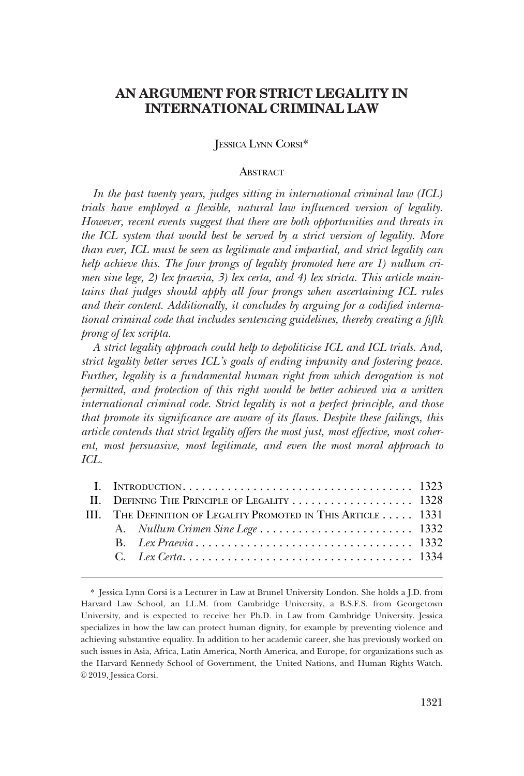# **AN ARGUMENT FOR STRICT LEGALITY IN INTERNATIONAL CRIMINAL LAW**

# JESSICA LYNN CORSI\*

#### **ABSTRACT**

*In the past twenty years, judges sitting in international criminal law (ICL) trials have employed a flexible, natural law influenced version of legality. However, recent events suggest that there are both opportunities and threats in the ICL system that would best be served by a strict version of legality. More than ever, ICL must be seen as legitimate and impartial, and strict legality can help achieve this. The four prongs of legality promoted here are 1) nullum crimen sine lege, 2) lex praevia, 3) lex certa, and 4) lex stricta. This article main*tains that judges should apply all four prongs when ascertaining ICL rules *and their content. Additionally, it concludes by arguing for a codified international criminal code that includes sentencing guidelines, thereby creating a fifth prong of lex scripta.* 

*A strict legality approach could help to depoliticise ICL and ICL trials. And, strict legality better serves ICL's goals of ending impunity and fostering peace. Further, legality is a fundamental human right from which derogation is not permitted, and protection of this right would be better achieved via a written international criminal code. Strict legality is not a perfect principle, and those that promote its significance are aware of its flaws. Despite these failings, this article contends that strict legality offers the most just, most effective, most coherent, most persuasive, most legitimate, and even the most moral approach to ICL.* 

| II. DEFINING THE PRINCIPLE OF LEGALITY  1328                  |  |  |
|---------------------------------------------------------------|--|--|
| III. THE DEFINITION OF LEGALITY PROMOTED IN THIS ARTICLE 1331 |  |  |
|                                                               |  |  |
|                                                               |  |  |
|                                                               |  |  |
|                                                               |  |  |

<sup>\*</sup> Jessica Lynn Corsi is a Lecturer in Law at Brunel University London. She holds a J.D. from Harvard Law School, an LL.M. from Cambridge University, a B.S.F.S. from Georgetown University, and is expected to receive her Ph.D. in Law from Cambridge University. Jessica specializes in how the law can protect human dignity, for example by preventing violence and achieving substantive equality. In addition to her academic career, she has previously worked on such issues in Asia, Africa, Latin America, North America, and Europe, for organizations such as the Harvard Kennedy School of Government, the United Nations, and Human Rights Watch. © 2019, Jessica Corsi.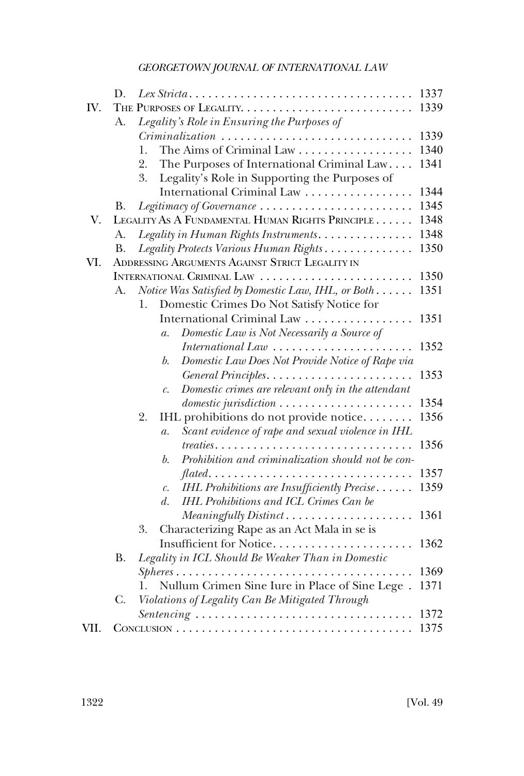|      | D.        |                                                                                      | 1337 |
|------|-----------|--------------------------------------------------------------------------------------|------|
| IV.  |           |                                                                                      | 1339 |
|      | A.        | Legality's Role in Ensuring the Purposes of                                          |      |
|      |           |                                                                                      | 1339 |
|      |           | The Aims of Criminal Law<br>1.                                                       | 1340 |
|      |           | 2.<br>The Purposes of International Criminal Law                                     | 1341 |
|      |           | Legality's Role in Supporting the Purposes of<br>3.                                  |      |
|      |           | International Criminal Law                                                           | 1344 |
|      | В.        | Legitimacy of Governance                                                             | 1345 |
| V.   |           | LEGALITY AS A FUNDAMENTAL HUMAN RIGHTS PRINCIPLE                                     | 1348 |
|      | A.        | Legality in Human Rights Instruments.                                                | 1348 |
|      | <b>B.</b> | Legality Protects Various Human Rights                                               | 1350 |
| VI.  |           | ADDRESSING ARGUMENTS AGAINST STRICT LEGALITY IN                                      |      |
|      |           | INTERNATIONAL CRIMINAL LAW                                                           | 1350 |
|      | А.        | Notice Was Satisfied by Domestic Law, IHL, or Both                                   | 1351 |
|      |           | Domestic Crimes Do Not Satisfy Notice for<br>1.                                      |      |
|      |           | International Criminal Law                                                           | 1351 |
|      |           | Domestic Law is Not Necessarily a Source of<br>$\overline{a}$ .                      |      |
|      |           | International Law $\ldots \ldots \ldots \ldots \ldots \ldots \ldots$                 | 1352 |
|      |           | Domestic Law Does Not Provide Notice of Rape via<br>b.                               |      |
|      |           |                                                                                      | 1353 |
|      |           | Domestic crimes are relevant only in the attendant<br>$\mathcal{C}$ .                |      |
|      |           | domestic jurisdiction                                                                | 1354 |
|      |           | IHL prohibitions do not provide notice<br>2.                                         | 1356 |
|      |           | Scant evidence of rape and sexual violence in IHL<br>$\mathfrak{a}.$                 |      |
|      |           | $treaties \ldots \ldots \ldots \ldots \ldots \ldots \ldots \ldots \ldots$            | 1356 |
|      |           | Prohibition and criminalization should not be con-<br>b.                             |      |
|      |           | $\mathit{flated}. \dots \dots \dots \dots \dots \dots \dots \dots \dots \dots \dots$ | 1357 |
|      |           | IHL Prohibitions are Insufficiently Precise<br>$\mathcal{C}$ .                       | 1359 |
|      |           | IHL Prohibitions and ICL Crimes Can be<br>$d_{\cdot}$                                |      |
|      |           | Meaningfully Distinct                                                                | 1361 |
|      |           | Characterizing Rape as an Act Mala in se is<br>3.                                    |      |
|      |           | Insufficient for Notice                                                              | 1362 |
|      | <b>B.</b> | Legality in ICL Should Be Weaker Than in Domestic                                    | 1369 |
|      |           |                                                                                      | 1371 |
|      | C.        | Nullum Crimen Sine Iure in Place of Sine Lege.                                       |      |
|      |           | Violations of Legality Can Be Mitigated Through                                      | 1372 |
| VII. |           | Sentencing                                                                           | 1375 |
|      |           |                                                                                      |      |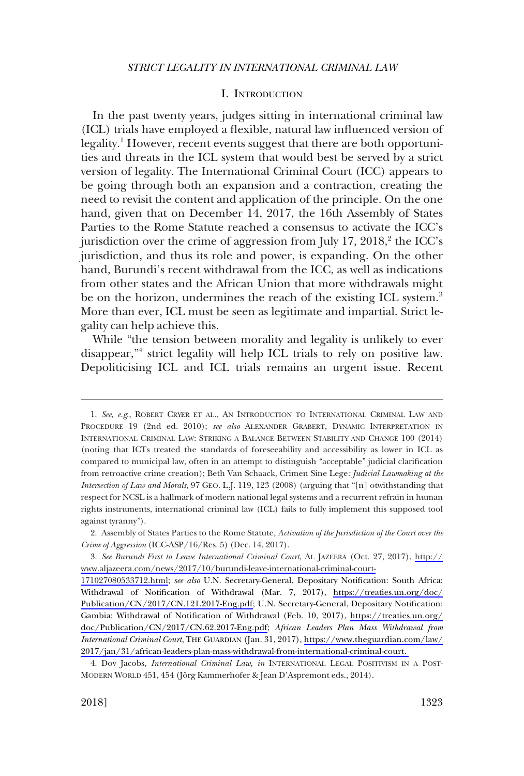### I. INTRODUCTION

<span id="page-2-0"></span>In the past twenty years, judges sitting in international criminal law (ICL) trials have employed a flexible, natural law influenced version of legality.<sup>1</sup> However, recent events suggest that there are both opportunities and threats in the ICL system that would best be served by a strict version of legality. The International Criminal Court (ICC) appears to be going through both an expansion and a contraction, creating the need to revisit the content and application of the principle. On the one hand, given that on December 14, 2017, the 16th Assembly of States Parties to the Rome Statute reached a consensus to activate the ICC's jurisdiction over the crime of aggression from July  $17, 2018$ <sup>2</sup>, the ICC's jurisdiction, and thus its role and power, is expanding. On the other hand, Burundi's recent withdrawal from the ICC, as well as indications from other states and the African Union that more withdrawals might be on the horizon, undermines the reach of the existing ICL system.<sup>3</sup> More than ever, ICL must be seen as legitimate and impartial. Strict legality can help achieve this.

While "the tension between morality and legality is unlikely to ever disappear,"4 strict legality will help ICL trials to rely on positive law. Depoliticising ICL and ICL trials remains an urgent issue. Recent

<sup>1.</sup> *See, e.g*., ROBERT CRYER ET AL., AN INTRODUCTION TO INTERNATIONAL CRIMINAL LAW AND PROCEDURE 19 (2nd ed. 2010); *see also* ALEXANDER GRABERT, DYNAMIC INTERPRETATION IN INTERNATIONAL CRIMINAL LAW: STRIKING A BALANCE BETWEEN STABILITY AND CHANGE 100 (2014) (noting that ICTs treated the standards of foreseeability and accessibility as lower in ICL as compared to municipal law, often in an attempt to distinguish "acceptable" judicial clarification from retroactive crime creation); Beth Van Schaack, Crimen Sine Lege*: Judicial Lawmaking at the Intersection of Law and Morals*, 97 GEO. L.J. 119, 123 (2008) (arguing that "[n] otwithstanding that respect for NCSL is a hallmark of modern national legal systems and a recurrent refrain in human rights instruments, international criminal law (ICL) fails to fully implement this supposed tool against tyranny").

<sup>2.</sup> Assembly of States Parties to the Rome Statute, *Activation of the Jurisdiction of the Court over the Crime of Aggression* (ICC-ASP/16/Res. 5) (Dec. 14, 2017).

*See Burundi First to Leave International Criminal Court*, AL JAZEERA (Oct. 27, 2017), [http://](http://www.aljazeera.com/news/2017/10/burundi-leave-international-criminal-court-171027080533712.html) 3. [www.aljazeera.com/news/2017/10/burundi-leave-international-criminal-court-](http://www.aljazeera.com/news/2017/10/burundi-leave-international-criminal-court-171027080533712.html)

[<sup>171027080533712.</sup>html;](http://www.aljazeera.com/news/2017/10/burundi-leave-international-criminal-court-171027080533712.html) *see also* U.N. Secretary-General, Depositary Notification: South Africa: Withdrawal of Notification of Withdrawal (Mar. 7, 2017), [https://treaties.un.org/doc/](https://treaties.un.org/doc/Publication/CN/2017/CN.121.2017-Eng.pdf) [Publication/CN/2017/CN.121.2017-Eng.pdf;](https://treaties.un.org/doc/Publication/CN/2017/CN.121.2017-Eng.pdf) U.N. Secretary-General, Depositary Notification: Gambia: Withdrawal of Notification of Withdrawal (Feb. 10, 2017), [https://treaties.un.org/](https://treaties.un.org/doc/Publication/CN/2017/CN.62.2017-Eng.pdf) [doc/Publication/CN/2017/CN.62.2017-Eng.pdf](https://treaties.un.org/doc/Publication/CN/2017/CN.62.2017-Eng.pdf); *African Leaders Plan Mass Withdrawal from International Criminal Court*, THE GUARDIAN (Jan. 31, 2017), [https://www.theguardian.com/law/](https://www.theguardian.com/law/2017/jan/31/african-leaders-plan-mass-withdrawal-from-international-criminal-court) [2017/jan/31/african-leaders-plan-mass-withdrawal-from-international-criminal-court.](https://www.theguardian.com/law/2017/jan/31/african-leaders-plan-mass-withdrawal-from-international-criminal-court) 

<sup>4.</sup> Dov Jacobs, *International Criminal Law, in* INTERNATIONAL LEGAL POSITIVISM IN A POST-MODERN WORLD 451, 454 (Jörg Kammerhofer & Jean D'Aspremont eds., 2014).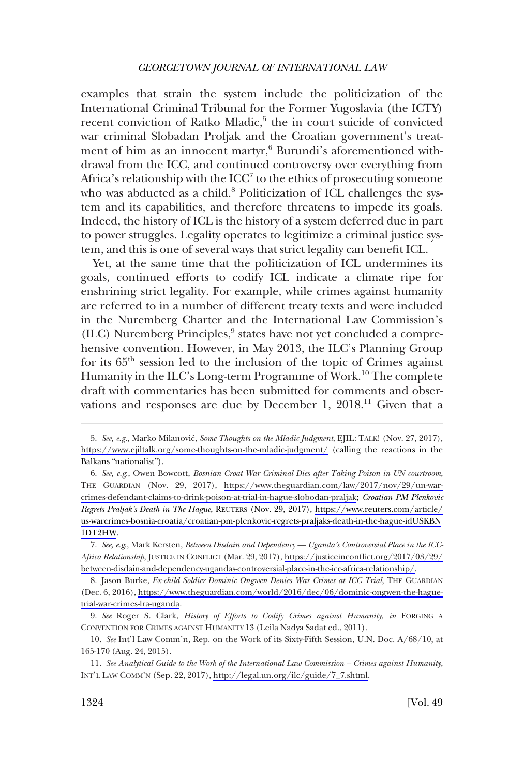examples that strain the system include the politicization of the International Criminal Tribunal for the Former Yugoslavia (the ICTY) recent conviction of Ratko Mladic,<sup>5</sup> the in court suicide of convicted war criminal Slobadan Proljak and the Croatian government's treatment of him as an innocent martyr,<sup>6</sup> Burundi's aforementioned withdrawal from the ICC, and continued controversy over everything from Africa's relationship with the  $ICC<sup>7</sup>$  to the ethics of prosecuting someone who was abducted as a child.<sup>8</sup> Politicization of ICL challenges the system and its capabilities, and therefore threatens to impede its goals. Indeed, the history of ICL is the history of a system deferred due in part to power struggles. Legality operates to legitimize a criminal justice system, and this is one of several ways that strict legality can benefit ICL.

Yet, at the same time that the politicization of ICL undermines its goals, continued efforts to codify ICL indicate a climate ripe for enshrining strict legality. For example, while crimes against humanity are referred to in a number of different treaty texts and were included in the Nuremberg Charter and the International Law Commission's  $(ILC)$  Nuremberg Principles, $9$  states have not yet concluded a comprehensive convention. However, in May 2013, the ILC's Planning Group for its 65th session led to the inclusion of the topic of Crimes against Humanity in the ILC's Long-term Programme of Work.<sup>10</sup> The complete draft with commentaries has been submitted for comments and observations and responses are due by December 1,  $2018<sup>11</sup>$  Given that a

<sup>5.</sup> See, e.g., Marko Milanović, *Some Thoughts on the Mladic Judgment*, EJIL: TALK! (Nov. 27, 2017), <https://www.ejiltalk.org/some-thoughts-on-the-mladic-judgment/> (calling the reactions in the Balkans "nationalist").

*See, e.g*., Owen Bowcott, *Bosnian Croat War Criminal Dies after Taking Poison in UN courtroom*, 6. THE GUARDIAN (Nov. 29, 2017), [https://www.theguardian.com/law/2017/nov/29/un-war](https://www.theguardian.com/law/2017/nov/29/un-war-crimes-defendant-claims-to-drink-poison-at-trial-in-hague-slobodan-praljak)[crimes-defendant-claims-to-drink-poison-at-trial-in-hague-slobodan-praljak;](https://www.theguardian.com/law/2017/nov/29/un-war-crimes-defendant-claims-to-drink-poison-at-trial-in-hague-slobodan-praljak) *Croatian PM Plenkovic Regrets Praljak's Death in The Hague*, REUTERS (Nov. 29, 2017), [https://www.reuters.com/article/](https://www.reuters.com/article/us-warcrimes-bosnia-croatia/croatian-pm-plenkovic-regrets-praljaks-death-in-the-hague-idUSKBN1DT2HW) [us-warcrimes-bosnia-croatia/croatian-pm-plenkovic-regrets-praljaks-death-in-the-hague-idUSKBN](https://www.reuters.com/article/us-warcrimes-bosnia-croatia/croatian-pm-plenkovic-regrets-praljaks-death-in-the-hague-idUSKBN1DT2HW) [1DT2HW](https://www.reuters.com/article/us-warcrimes-bosnia-croatia/croatian-pm-plenkovic-regrets-praljaks-death-in-the-hague-idUSKBN1DT2HW).

*See, e.g*., Mark Kersten, *Between Disdain and Dependency — Uganda's Controversial Place in the ICC-*7. *Africa Relationship*, JUSTICE IN CONFLICT (Mar. 29, 2017), [https://justiceinconflict.org/2017/03/29/](https://justiceinconflict.org/2017/03/29/between-disdain-and-dependency-ugandas-controversial-place-in-the-icc-africa-relationship/)  [between-disdain-and-dependency-ugandas-controversial-place-in-the-icc-africa-relationship/.](https://justiceinconflict.org/2017/03/29/between-disdain-and-dependency-ugandas-controversial-place-in-the-icc-africa-relationship/)

<sup>8.</sup> Jason Burke, *Ex-child Soldier Dominic Ongwen Denies War Crimes at ICC Trial*, THE GUARDIAN (Dec. 6, 2016), [https://www.theguardian.com/world/2016/dec/06/dominic-ongwen-the-hague](https://www.theguardian.com/world/2016/dec/06/dominic-ongwen-the-hague-trial-war-crimes-lra-uganda)[trial-war-crimes-lra-uganda.](https://www.theguardian.com/world/2016/dec/06/dominic-ongwen-the-hague-trial-war-crimes-lra-uganda)

<sup>9.</sup> *See* Roger S. Clark, *History of Efforts to Codify Crimes against Humanity, in* FORGING A CONVENTION FOR CRIMES AGAINST HUMANITY 13 (Leila Nadya Sadat ed., 2011).

<sup>10.</sup> *See* Int'l Law Comm'n, Rep. on the Work of its Sixty-Fifth Session, U.N. Doc. A/68/10, at 165-170 (Aug. 24, 2015).

<sup>11.</sup> *See Analytical Guide to the Work of the International Law Commission – Crimes against Humanity*, INT'L LAW COMM'N (Sep. 22, 2017), [http://legal.un.org/ilc/guide/7\\_7.shtml](http://legal.un.org/ilc/guide/7_7.shtml).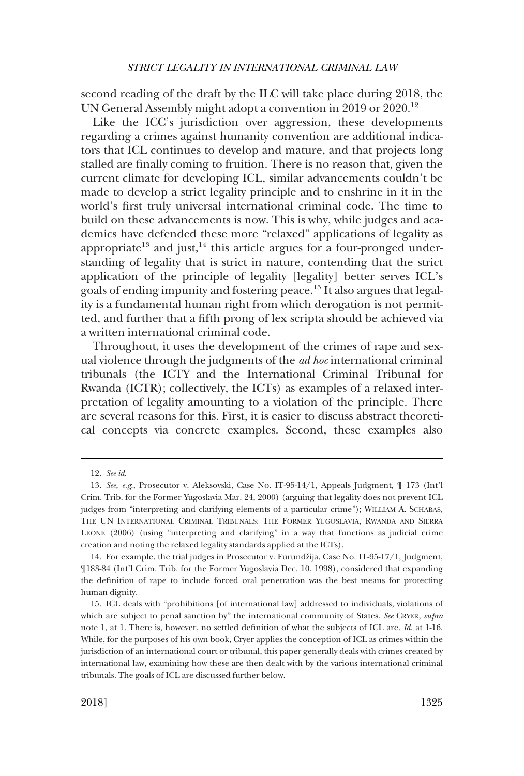second reading of the draft by the ILC will take place during 2018, the UN General Assembly might adopt a convention in 2019 or 2020.<sup>12</sup>

Like the ICC's jurisdiction over aggression, these developments regarding a crimes against humanity convention are additional indicators that ICL continues to develop and mature, and that projects long stalled are finally coming to fruition. There is no reason that, given the current climate for developing ICL, similar advancements couldn't be made to develop a strict legality principle and to enshrine in it in the world's first truly universal international criminal code. The time to build on these advancements is now. This is why, while judges and academics have defended these more "relaxed" applications of legality as appropriate<sup>13</sup> and just,<sup>14</sup> this article argues for a four-pronged understanding of legality that is strict in nature, contending that the strict application of the principle of legality [legality] better serves ICL's goals of ending impunity and fostering peace.15 It also argues that legality is a fundamental human right from which derogation is not permitted, and further that a fifth prong of lex scripta should be achieved via a written international criminal code.

Throughout, it uses the development of the crimes of rape and sexual violence through the judgments of the *ad hoc* international criminal tribunals (the ICTY and the International Criminal Tribunal for Rwanda (ICTR); collectively, the ICTs) as examples of a relaxed interpretation of legality amounting to a violation of the principle. There are several reasons for this. First, it is easier to discuss abstract theoretical concepts via concrete examples. Second, these examples also

<sup>12.</sup> *See id*.

<sup>13.</sup> *See, e.g*., Prosecutor v. Aleksovski, Case No. IT-95-14/1, Appeals Judgment, ¶ 173 (Int'l Crim. Trib. for the Former Yugoslavia Mar. 24, 2000) (arguing that legality does not prevent ICL judges from "interpreting and clarifying elements of a particular crime"); WILLIAM A. SCHABAS, THE UN INTERNATIONAL CRIMINAL TRIBUNALS: THE FORMER YUGOSLAVIA, RWANDA AND SIERRA LEONE (2006) (using "interpreting and clarifying" in a way that functions as judicial crime creation and noting the relaxed legality standards applied at the ICTs).

<sup>14.</sup> For example, the trial judges in Prosecutor v. Furundžija, Case No. IT-95-17/1, Judgment, ¶183-84 (Int'l Crim. Trib. for the Former Yugoslavia Dec. 10, 1998), considered that expanding the definition of rape to include forced oral penetration was the best means for protecting human dignity.

<sup>15.</sup> ICL deals with "prohibitions [of international law] addressed to individuals, violations of which are subject to penal sanction by" the international community of States. *See* CRYER, *supra*  note 1, at 1. There is, however, no settled definition of what the subjects of ICL are. *Id*. at 1-16. While, for the purposes of his own book, Cryer applies the conception of ICL as crimes within the jurisdiction of an international court or tribunal, this paper generally deals with crimes created by international law, examining how these are then dealt with by the various international criminal tribunals. The goals of ICL are discussed further below.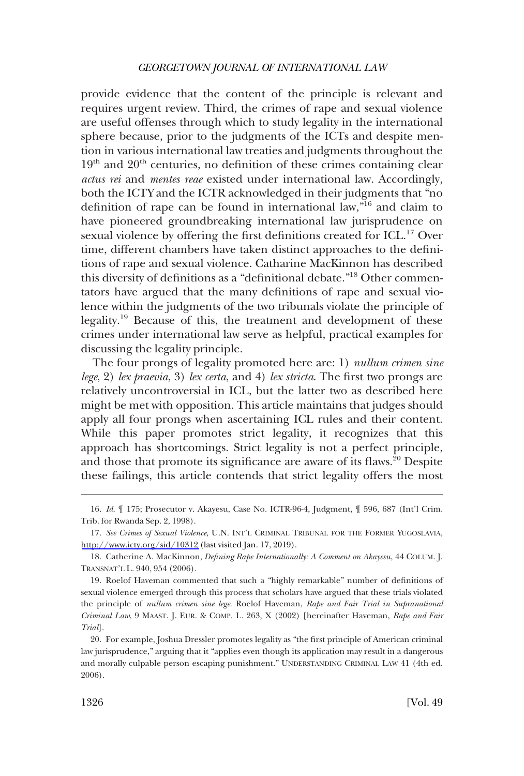provide evidence that the content of the principle is relevant and requires urgent review. Third, the crimes of rape and sexual violence are useful offenses through which to study legality in the international sphere because, prior to the judgments of the ICTs and despite mention in various international law treaties and judgments throughout the  $19<sup>th</sup>$  and  $20<sup>th</sup>$  centuries, no definition of these crimes containing clear *actus rei* and *mentes reae* existed under international law. Accordingly, both the ICTY and the ICTR acknowledged in their judgments that "no definition of rape can be found in international law,"16 and claim to have pioneered groundbreaking international law jurisprudence on sexual violence by offering the first definitions created for ICL.<sup>17</sup> Over time, different chambers have taken distinct approaches to the definitions of rape and sexual violence. Catharine MacKinnon has described this diversity of definitions as a "definitional debate."18 Other commentators have argued that the many definitions of rape and sexual violence within the judgments of the two tribunals violate the principle of legality.19 Because of this, the treatment and development of these crimes under international law serve as helpful, practical examples for discussing the legality principle.

The four prongs of legality promoted here are: 1) *nullum crimen sine lege*, 2) *lex praevia*, 3) *lex certa*, and 4) *lex stricta*. The first two prongs are relatively uncontroversial in ICL, but the latter two as described here might be met with opposition. This article maintains that judges should apply all four prongs when ascertaining ICL rules and their content. While this paper promotes strict legality, it recognizes that this approach has shortcomings. Strict legality is not a perfect principle, and those that promote its significance are aware of its flaws.<sup>20</sup> Despite these failings, this article contends that strict legality offers the most

<sup>16.</sup> *Id*. ¶ 175; Prosecutor v. Akayesu, Case No. ICTR-96-4, Judgment, ¶ 596, 687 (Int'l Crim. Trib. for Rwanda Sep. 2, 1998).

<sup>17.</sup> See Crimes of Sexual Violence, U.N. INT'L CRIMINAL TRIBUNAL FOR THE FORMER YUGOSLAVIA, <http://www.icty.org/sid/10312>(last visited Jan. 17, 2019).

<sup>18.</sup> Catherine A. MacKinnon, *Defining Rape Internationally: A Comment on Akayesu*, 44 COLUM. J. TRANSNAT'L L. 940, 954 (2006).

<sup>19.</sup> Roelof Haveman commented that such a "highly remarkable" number of definitions of sexual violence emerged through this process that scholars have argued that these trials violated the principle of *nullum crimen sine lege*. Roelof Haveman, *Rape and Fair Trial in Supranational Criminal Law*, 9 MAAST. J. EUR. & COMP. L. 263, X (2002) [hereinafter Haveman, *Rape and Fair Trial*].

<sup>20.</sup> For example, Joshua Dressler promotes legality as "the first principle of American criminal law jurisprudence," arguing that it "applies even though its application may result in a dangerous and morally culpable person escaping punishment." UNDERSTANDING CRIMINAL LAW 41 (4th ed. 2006).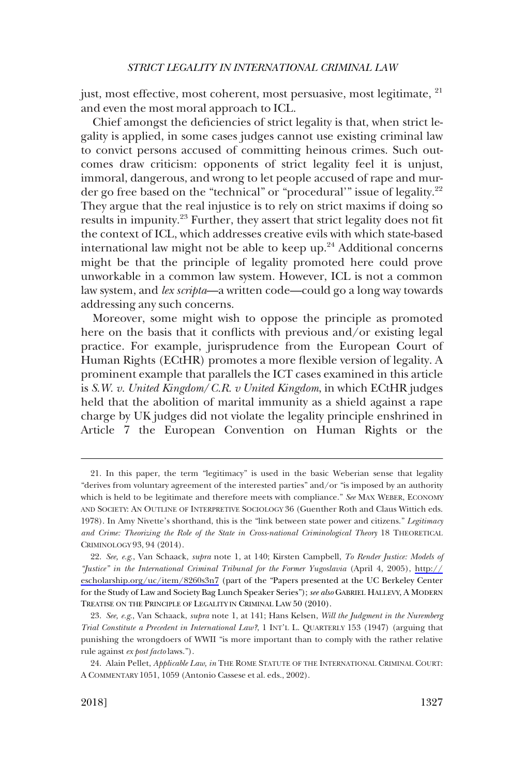just, most effective, most coherent, most persuasive, most legitimate, <sup>21</sup> and even the most moral approach to ICL.

Chief amongst the deficiencies of strict legality is that, when strict legality is applied, in some cases judges cannot use existing criminal law to convict persons accused of committing heinous crimes. Such outcomes draw criticism: opponents of strict legality feel it is unjust, immoral, dangerous, and wrong to let people accused of rape and murder go free based on the "technical" or "procedural'" issue of legality.<sup>22</sup> They argue that the real injustice is to rely on strict maxims if doing so results in impunity.<sup>23</sup> Further, they assert that strict legality does not fit the context of ICL, which addresses creative evils with which state-based international law might not be able to keep up. $24$  Additional concerns might be that the principle of legality promoted here could prove unworkable in a common law system. However, ICL is not a common law system, and *lex scripta*—a written code—could go a long way towards addressing any such concerns.

Moreover, some might wish to oppose the principle as promoted here on the basis that it conflicts with previous and/or existing legal practice. For example, jurisprudence from the European Court of Human Rights (ECtHR) promotes a more flexible version of legality. A prominent example that parallels the ICT cases examined in this article is *S.W. v. United Kingdom*/*C.R. v United Kingdom*, in which ECtHR judges held that the abolition of marital immunity as a shield against a rape charge by UK judges did not violate the legality principle enshrined in Article 7 the European Convention on Human Rights or the

<sup>21.</sup> In this paper, the term "legitimacy" is used in the basic Weberian sense that legality "derives from voluntary agreement of the interested parties" and/or "is imposed by an authority which is held to be legitimate and therefore meets with compliance." *See* MAX WEBER, ECONOMY AND SOCIETY: AN OUTLINE OF INTERPRETIVE SOCIOLOGY 36 (Guenther Roth and Claus Wittich eds. 1978). In Amy Nivette's shorthand, this is the "link between state power and citizens." *Legitimacy*  and Crime: Theorizing the Role of the State in Cross-national Criminological Theory 18 THEORETICAL CRIMINOLOGY 93, 94 (2014).

*See, e.g*., Van Schaack, *supra* note 1, at 140; Kirsten Campbell, *To Render Justice: Models of*  22. *"Justice" in the International Criminal Tribunal for the Former Yugoslavia* (April 4, 2005), [http://](http://escholarship.org/uc/item/8260s3n7) [escholarship.org/uc/item/8260s3n7](http://escholarship.org/uc/item/8260s3n7) (part of the "Papers presented at the UC Berkeley Center for the Study of Law and Society Bag Lunch Speaker Series"); *see also* GABRIEL HALLEVY, A MODERN TREATISE ON THE PRINCIPLE OF LEGALITY IN CRIMINAL LAW 50 (2010).

<sup>23.</sup> *See, e.g*., Van Schaack, *supra* note 1, at 141; Hans Kelsen, *Will the Judgment in the Nuremberg Trial Constitute a Precedent in International Law?*, 1 INT'L L. QUARTERLY 153 (1947) (arguing that punishing the wrongdoers of WWII "is more important than to comply with the rather relative rule against *ex post facto* laws.").

<sup>24.</sup> Alain Pellet, *Applicable Law, in* THE ROME STATUTE OF THE INTERNATIONAL CRIMINAL COURT: A COMMENTARY 1051, 1059 (Antonio Cassese et al. eds., 2002).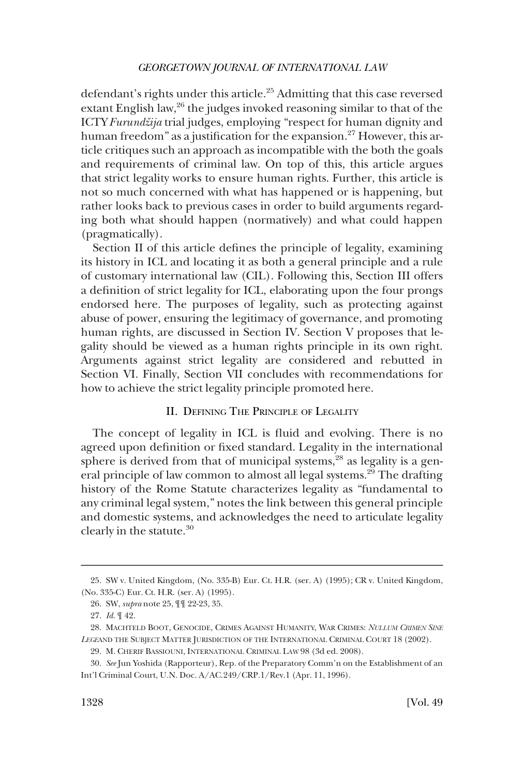<span id="page-7-0"></span>defendant's rights under this article.<sup>25</sup> Admitting that this case reversed extant English law,<sup>26</sup> the judges invoked reasoning similar to that of the ICTY *Furundžija* trial judges, employing "respect for human dignity and human freedom" as a justification for the expansion.<sup>27</sup> However, this article critiques such an approach as incompatible with the both the goals and requirements of criminal law. On top of this, this article argues that strict legality works to ensure human rights. Further, this article is not so much concerned with what has happened or is happening, but rather looks back to previous cases in order to build arguments regarding both what should happen (normatively) and what could happen (pragmatically).

Section II of this article defines the principle of legality, examining its history in ICL and locating it as both a general principle and a rule of customary international law (CIL). Following this, Section III offers a definition of strict legality for ICL, elaborating upon the four prongs endorsed here. The purposes of legality, such as protecting against abuse of power, ensuring the legitimacy of governance, and promoting human rights, are discussed in Section IV. Section V proposes that legality should be viewed as a human rights principle in its own right. Arguments against strict legality are considered and rebutted in Section VI. Finally, Section VII concludes with recommendations for how to achieve the strict legality principle promoted here.

# II. DEFINING THE PRINCIPLE OF LEGALITY

The concept of legality in ICL is fluid and evolving. There is no agreed upon definition or fixed standard. Legality in the international sphere is derived from that of municipal systems,  $28$  as legality is a general principle of law common to almost all legal systems.<sup>29</sup> The drafting history of the Rome Statute characterizes legality as "fundamental to any criminal legal system," notes the link between this general principle and domestic systems, and acknowledges the need to articulate legality clearly in the statute.30

<sup>25.</sup> SW v. United Kingdom, (No. 335-B) Eur. Ct. H.R. (ser. A) (1995); CR v. United Kingdom, (No. 335-C) Eur. Ct. H.R. (ser. A) (1995).

<sup>26.</sup> SW, *supra* note 25, ¶¶ 22-23, 35.

<sup>27.</sup> *Id*. ¶ 42.

<sup>28.</sup> MACHTELD BOOT, GENOCIDE, CRIMES AGAINST HUMANITY, WAR CRIMES: *NULLUM CRIMEN SINE LEGE*AND THE SUBJECT MATTER JURISDICTION OF THE INTERNATIONAL CRIMINAL COURT 18 (2002).

<sup>29.</sup> M. CHERIF BASSIOUNI, INTERNATIONAL CRIMINAL LAW 98 (3d ed. 2008).

<sup>30.</sup> *See* Jun Yoshida (Rapporteur), Rep. of the Preparatory Comm'n on the Establishment of an Int'l Criminal Court, U.N. Doc. A/AC.249/CRP.1/Rev.1 (Apr. 11, 1996).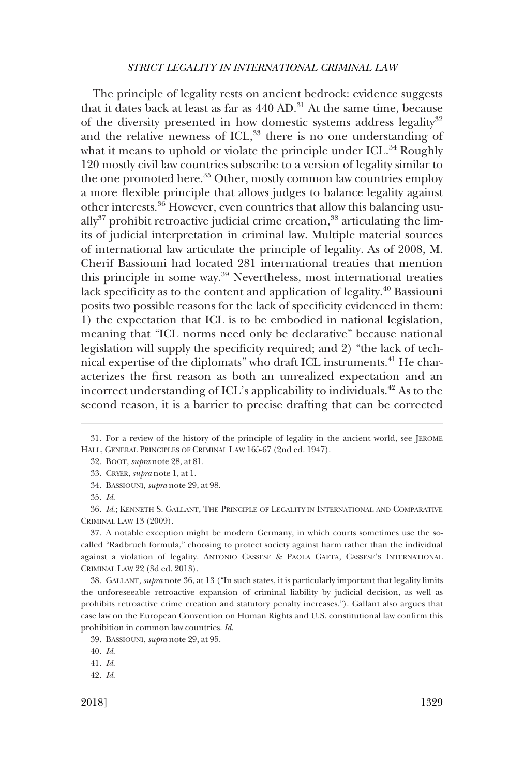The principle of legality rests on ancient bedrock: evidence suggests that it dates back at least as far as  $440$  AD.<sup>31</sup> At the same time, because of the diversity presented in how domestic systems address legality<sup>32</sup> and the relative newness of  $\text{ICL}^{33}$ , there is no one understanding of what it means to uphold or violate the principle under ICL.<sup>34</sup> Roughly 120 mostly civil law countries subscribe to a version of legality similar to the one promoted here.<sup>35</sup> Other, mostly common law countries employ a more flexible principle that allows judges to balance legality against other interests.36 However, even countries that allow this balancing usu- $\text{ally}^{37}$  prohibit retroactive judicial crime creation,<sup>38</sup> articulating the limits of judicial interpretation in criminal law. Multiple material sources of international law articulate the principle of legality. As of 2008, M. Cherif Bassiouni had located 281 international treaties that mention this principle in some way.39 Nevertheless, most international treaties lack specificity as to the content and application of legality.<sup>40</sup> Bassiouni posits two possible reasons for the lack of specificity evidenced in them: 1) the expectation that ICL is to be embodied in national legislation, meaning that "ICL norms need only be declarative" because national legislation will supply the specificity required; and 2) "the lack of technical expertise of the diplomats" who draft ICL instruments.41 He characterizes the first reason as both an unrealized expectation and an incorrect understanding of ICL's applicability to individuals.<sup>42</sup> As to the second reason, it is a barrier to precise drafting that can be corrected

37. A notable exception might be modern Germany, in which courts sometimes use the socalled "Radbruch formula," choosing to protect society against harm rather than the individual against a violation of legality. ANTONIO CASSESE & PAOLA GAETA, CASSESE'S INTERNATIONAL CRIMINAL LAW 22 (3d ed. 2013).

38. GALLANT, *supra* note 36, at 13 ("In such states, it is particularly important that legality limits the unforeseeable retroactive expansion of criminal liability by judicial decision, as well as prohibits retroactive crime creation and statutory penalty increases."). Gallant also argues that case law on the European Convention on Human Rights and U.S. constitutional law confirm this prohibition in common law countries. *Id*.

<sup>31.</sup> For a review of the history of the principle of legality in the ancient world, see JEROME HALL, GENERAL PRINCIPLES OF CRIMINAL LAW 165-67 (2nd ed. 1947).

<sup>32.</sup> BOOT, *supra* note 28, at 81.

<sup>33.</sup> CRYER, *supra* note 1, at 1.

<sup>34.</sup> BASSIOUNI, *supra* note 29, at 98.

<sup>35.</sup> *Id*.

<sup>36.</sup> *Id*.; KENNETH S. GALLANT, THE PRINCIPLE OF LEGALITY IN INTERNATIONAL AND COMPARATIVE CRIMINAL LAW 13 (2009).

<sup>39.</sup> BASSIOUNI*, supra* note 29, at 95.

<sup>40.</sup> *Id*.

<sup>41.</sup> *Id*.

<sup>42.</sup> *Id*.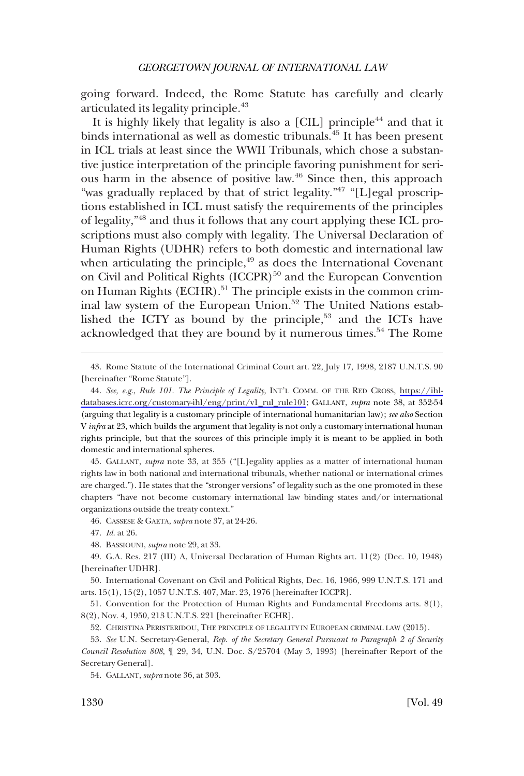going forward. Indeed, the Rome Statute has carefully and clearly articulated its legality principle.<sup>43</sup>

It is highly likely that legality is also a [CIL] principle<sup>44</sup> and that it binds international as well as domestic tribunals.45 It has been present in ICL trials at least since the WWII Tribunals, which chose a substantive justice interpretation of the principle favoring punishment for serious harm in the absence of positive law. $46$  Since then, this approach "was gradually replaced by that of strict legality."47 "[L]egal proscriptions established in ICL must satisfy the requirements of the principles of legality,"48 and thus it follows that any court applying these ICL proscriptions must also comply with legality. The Universal Declaration of Human Rights (UDHR) refers to both domestic and international law when articulating the principle, $49$  as does the International Covenant on Civil and Political Rights  $(ICCPR)^{50}$  and the European Convention on Human Rights (ECHR).<sup>51</sup> The principle exists in the common criminal law system of the European Union.<sup>52</sup> The United Nations established the ICTY as bound by the principle,<sup>53</sup> and the ICTs have acknowledged that they are bound by it numerous times.<sup>54</sup> The Rome

45. GALLANT, *supra* note 33, at 355 ("[L]egality applies as a matter of international human rights law in both national and international tribunals, whether national or international crimes are charged."). He states that the "stronger versions" of legality such as the one promoted in these chapters "have not become customary international law binding states and/or international organizations outside the treaty context."

46. CASSESE & GAETA, *supra* note 37, at 24-26.

47. *Id*. at 26.

48. BASSIOUNI, *supra* note 29, at 33.

50. International Covenant on Civil and Political Rights, Dec. 16, 1966, 999 U.N.T.S. 171 and arts. 15(1), 15(2), 1057 U.N.T.S. 407, Mar. 23, 1976 [hereinafter ICCPR].

51. Convention for the Protection of Human Rights and Fundamental Freedoms arts. 8(1), 8(2), Nov. 4, 1950, 213 U.N.T.S. 221 [hereinafter ECHR].

52. CHRISTINA PERISTERIDOU, THE PRINCIPLE OF LEGALITY IN EUROPEAN CRIMINAL LAW (2015).

53. *See* U.N. Secretary-General, *Rep. of the Secretary General Pursuant to Paragraph 2 of Security Council Resolution 808*, ¶ 29, 34, U.N. Doc. S/25704 (May 3, 1993) [hereinafter Report of the Secretary General].

54. GALLANT, *supra* note 36, at 303.

<sup>43.</sup> Rome Statute of the International Criminal Court art. 22, July 17, 1998, 2187 U.N.T.S. 90 [hereinafter "Rome Statute"].

*See, e.g*., *Rule 101. The Principle of Legality*, INT'L COMM. OF THE RED CROSS, [https://ihl-](https://ihl-databases.icrc.org/customary-ihl/eng/print/v1_rul_rule101)44. [databases.icrc.org/customary-ihl/eng/print/v1\\_rul\\_rule101](https://ihl-databases.icrc.org/customary-ihl/eng/print/v1_rul_rule101); GALLANT, *supra* note 38, at 352-54 (arguing that legality is a customary principle of international humanitarian law); *see also* Section V *infra* at 23, which builds the argument that legality is not only a customary international human rights principle, but that the sources of this principle imply it is meant to be applied in both domestic and international spheres.

<sup>49.</sup> G.A. Res. 217 (III) A, Universal Declaration of Human Rights art. 11(2) (Dec. 10, 1948) [hereinafter UDHR].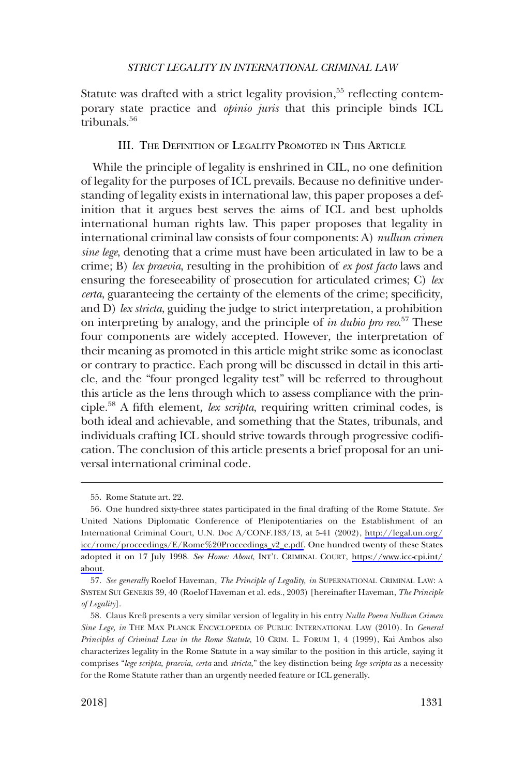<span id="page-10-0"></span>Statute was drafted with a strict legality provision,<sup>55</sup> reflecting contemporary state practice and *opinio juris* that this principle binds ICL tribunals.56

# III. THE DEFINITION OF LEGALITY PROMOTED IN THIS ARTICLE

While the principle of legality is enshrined in CIL, no one definition of legality for the purposes of ICL prevails. Because no definitive understanding of legality exists in international law, this paper proposes a definition that it argues best serves the aims of ICL and best upholds international human rights law. This paper proposes that legality in international criminal law consists of four components: A) *nullum crimen sine lege*, denoting that a crime must have been articulated in law to be a crime; B) *lex praevia*, resulting in the prohibition of *ex post facto* laws and ensuring the foreseeability of prosecution for articulated crimes; C) *lex certa*, guaranteeing the certainty of the elements of the crime; specificity, and D) *lex stricta*, guiding the judge to strict interpretation, a prohibition on interpreting by analogy, and the principle of *in dubio pro reo*. 57 These four components are widely accepted. However, the interpretation of their meaning as promoted in this article might strike some as iconoclast or contrary to practice. Each prong will be discussed in detail in this article, and the "four pronged legality test" will be referred to throughout this article as the lens through which to assess compliance with the principle.58 A fifth element, *lex scripta*, requiring written criminal codes, is both ideal and achievable, and something that the States, tribunals, and individuals crafting ICL should strive towards through progressive codification. The conclusion of this article presents a brief proposal for an universal international criminal code.

<sup>55.</sup> Rome Statute art. 22.

One hundred sixty-three states participated in the final drafting of the Rome Statute. *See* 56. United Nations Diplomatic Conference of Plenipotentiaries on the Establishment of an International Criminal Court, U.N. Doc A/CONF.183/13, at 5-41 (2002), [http://legal.un.org/](http://legal.un.org/icc/rome/proceedings/E/Rome&hx0025;20Proceedings_v2_e.pdf) [icc/rome/proceedings/E/Rome%20Proceedings\\_v2\\_e.pdf.](http://legal.un.org/icc/rome/proceedings/E/Rome&hx0025;20Proceedings_v2_e.pdf) One hundred twenty of these States adopted it on 17 July 1998. *See Home: About*, INT'L CRIMINAL COURT, [https://www.icc-cpi.int/](https://www.icc-cpi.int/about)  [about](https://www.icc-cpi.int/about).

<sup>57.</sup> *See generally* Roelof Haveman, *The Principle of Legality, in* SUPERNATIONAL CRIMINAL LAW: A SYSTEM SUI GENERIS 39, 40 (Roelof Haveman et al. eds., 2003) [hereinafter Haveman, *The Principle of Legality*].

<sup>58.</sup> Claus Kreß presents a very similar version of legality in his entry *Nulla Poena Nullum Crimen Sine Lege, in* THE MAX PLANCK ENCYCLOPEDIA OF PUBLIC INTERNATIONAL LAW (2010). In *General Principles of Criminal Law in the Rome Statute*, 10 CRIM. L. FORUM 1, 4 (1999), Kai Ambos also characterizes legality in the Rome Statute in a way similar to the position in this article, saying it comprises "*lege scripta*, *praevia*, *certa* and *stricta*," the key distinction being *lege scripta* as a necessity for the Rome Statute rather than an urgently needed feature or ICL generally.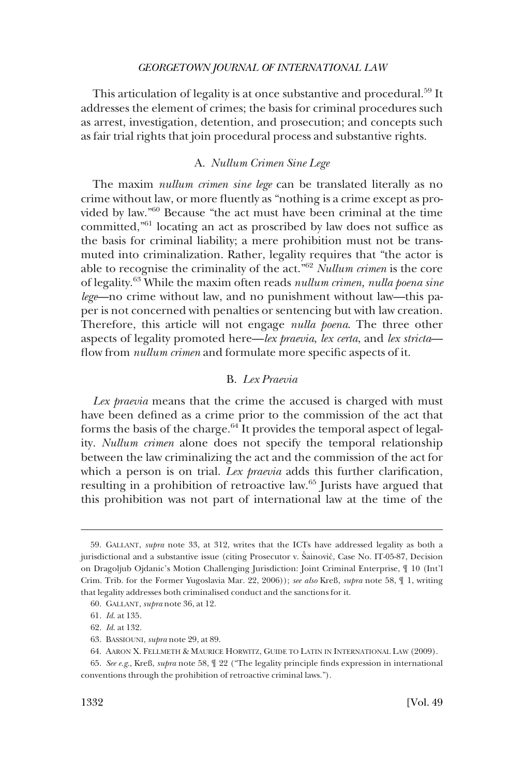<span id="page-11-0"></span>This articulation of legality is at once substantive and procedural.<sup>59</sup> It addresses the element of crimes; the basis for criminal procedures such as arrest, investigation, detention, and prosecution; and concepts such as fair trial rights that join procedural process and substantive rights.

### A. *Nullum Crimen Sine Lege*

The maxim *nullum crimen sine lege* can be translated literally as no crime without law, or more fluently as "nothing is a crime except as provided by law."60 Because "the act must have been criminal at the time committed,"61 locating an act as proscribed by law does not suffice as the basis for criminal liability; a mere prohibition must not be transmuted into criminalization. Rather, legality requires that "the actor is able to recognise the criminality of the act."62 *Nullum crimen* is the core of legality.63 While the maxim often reads *nullum crimen, nulla poena sine lege*—no crime without law, and no punishment without law—this paper is not concerned with penalties or sentencing but with law creation. Therefore, this article will not engage *nulla poena*. The three other aspects of legality promoted here—*lex praevia*, *lex certa*, and *lex stricta* flow from *nullum crimen* and formulate more specific aspects of it.

# B. *Lex Praevia*

*Lex praevia* means that the crime the accused is charged with must have been defined as a crime prior to the commission of the act that forms the basis of the charge. $64$  It provides the temporal aspect of legality. *Nullum crimen* alone does not specify the temporal relationship between the law criminalizing the act and the commission of the act for which a person is on trial. *Lex praevia* adds this further clarification, resulting in a prohibition of retroactive law.65 Jurists have argued that this prohibition was not part of international law at the time of the

<sup>59.</sup> GALLANT, *supra* note 33, at 312, writes that the ICTs have addressed legality as both a jurisdictional and a substantive issue (citing Prosecutor v. Sainović, Case No. IT-05-87, Decision on Dragoljub Ojdanic's Motion Challenging Jurisdiction: Joint Criminal Enterprise, ¶ 10 (Int'l Crim. Trib. for the Former Yugoslavia Mar. 22, 2006)); *see also* Kreß, *supra* note 58, ¶ 1, writing that legality addresses both criminalised conduct and the sanctions for it.

<sup>60.</sup> GALLANT, *supra* note 36, at 12.

<sup>61.</sup> *Id*. at 135.

<sup>62.</sup> *Id*. at 132.

<sup>63.</sup> BASSIOUNI, *supra* note 29, at 89.

<sup>64.</sup> AARON X. FELLMETH & MAURICE HORWITZ, GUIDE TO LATIN IN INTERNATIONAL LAW (2009).

<sup>65.</sup> *See e.g*., Kreß, *supra* note 58, ¶ 22 ("The legality principle finds expression in international conventions through the prohibition of retroactive criminal laws.").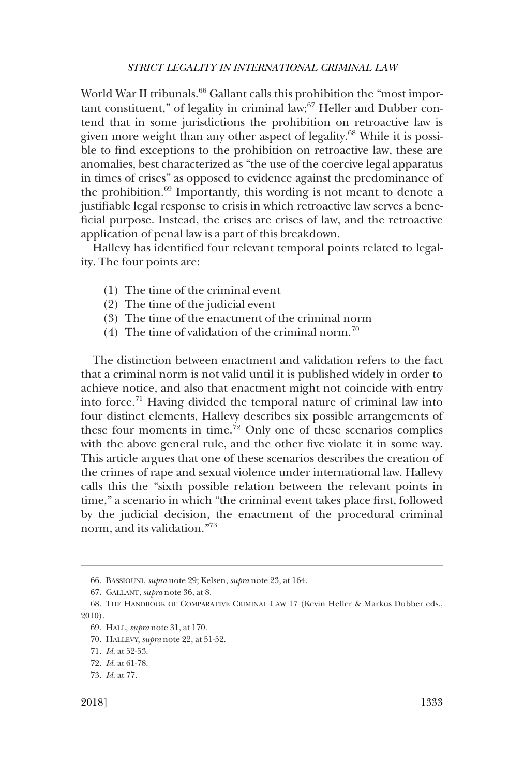World War II tribunals.<sup>66</sup> Gallant calls this prohibition the "most important constituent," of legality in criminal law; $67$  Heller and Dubber contend that in some jurisdictions the prohibition on retroactive law is given more weight than any other aspect of legality.<sup>68</sup> While it is possible to find exceptions to the prohibition on retroactive law, these are anomalies, best characterized as "the use of the coercive legal apparatus in times of crises" as opposed to evidence against the predominance of the prohibition.<sup>69</sup> Importantly, this wording is not meant to denote a justifiable legal response to crisis in which retroactive law serves a beneficial purpose. Instead, the crises are crises of law, and the retroactive application of penal law is a part of this breakdown.

Hallevy has identified four relevant temporal points related to legality. The four points are:

- (1) The time of the criminal event
- (2) The time of the judicial event
- (3) The time of the enactment of the criminal norm
- (4) The time of validation of the criminal norm.<sup>70</sup>

The distinction between enactment and validation refers to the fact that a criminal norm is not valid until it is published widely in order to achieve notice, and also that enactment might not coincide with entry into force.71 Having divided the temporal nature of criminal law into four distinct elements, Hallevy describes six possible arrangements of these four moments in time.<sup> $72$ </sup> Only one of these scenarios complies with the above general rule, and the other five violate it in some way. This article argues that one of these scenarios describes the creation of the crimes of rape and sexual violence under international law. Hallevy calls this the "sixth possible relation between the relevant points in time," a scenario in which "the criminal event takes place first, followed by the judicial decision, the enactment of the procedural criminal norm, and its validation."73

<sup>66.</sup> BASSIOUNI, *supra* note 29; Kelsen, *supra* note 23, at 164.

<sup>67.</sup> GALLANT, *supra* note 36, at 8.

<sup>68.</sup> THE HANDBOOK OF COMPARATIVE CRIMINAL LAW 17 (Kevin Heller & Markus Dubber eds., 2010).

<sup>69.</sup> HALL, *supra* note 31, at 170.

<sup>70.</sup> HALLEVY, *supra* note 22, at 51-52.

<sup>71.</sup> *Id*. at 52-53.

<sup>72.</sup> *Id*. at 61-78.

<sup>73.</sup> *Id*. at 77.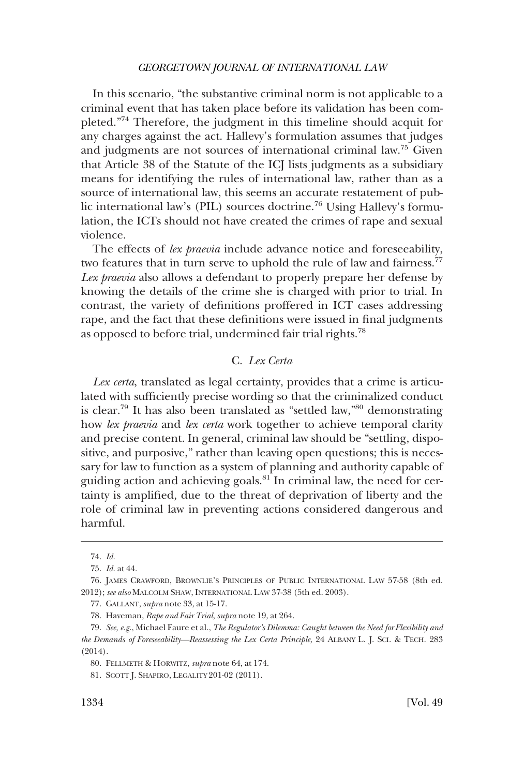<span id="page-13-0"></span>In this scenario, "the substantive criminal norm is not applicable to a criminal event that has taken place before its validation has been completed."74 Therefore, the judgment in this timeline should acquit for any charges against the act. Hallevy's formulation assumes that judges and judgments are not sources of international criminal law.75 Given that Article 38 of the Statute of the ICJ lists judgments as a subsidiary means for identifying the rules of international law, rather than as a source of international law, this seems an accurate restatement of public international law's (PIL) sources doctrine.76 Using Hallevy's formulation, the ICTs should not have created the crimes of rape and sexual violence.

The effects of *lex praevia* include advance notice and foreseeability, two features that in turn serve to uphold the rule of law and fairness.<sup>77</sup> *Lex praevia* also allows a defendant to properly prepare her defense by knowing the details of the crime she is charged with prior to trial. In contrast, the variety of definitions proffered in ICT cases addressing rape, and the fact that these definitions were issued in final judgments as opposed to before trial, undermined fair trial rights.<sup>78</sup>

# C. *Lex Certa*

*Lex certa*, translated as legal certainty, provides that a crime is articulated with sufficiently precise wording so that the criminalized conduct is clear.<sup>79</sup> It has also been translated as "settled law,"<sup>80</sup> demonstrating how *lex praevia* and *lex certa* work together to achieve temporal clarity and precise content. In general, criminal law should be "settling, dispositive, and purposive," rather than leaving open questions; this is necessary for law to function as a system of planning and authority capable of guiding action and achieving goals.<sup>81</sup> In criminal law, the need for certainty is amplified, due to the threat of deprivation of liberty and the role of criminal law in preventing actions considered dangerous and harmful.

<sup>74.</sup> *Id*.

<sup>75.</sup> *Id*. at 44.

<sup>76.</sup> JAMES CRAWFORD, BROWNLIE'S PRINCIPLES OF PUBLIC INTERNATIONAL LAW 57-58 (8th ed. 2012); *see also* MALCOLM SHAW, INTERNATIONAL LAW 37-38 (5th ed. 2003).

<sup>77.</sup> GALLANT, *supra* note 33, at 15-17.

<sup>78.</sup> Haveman, *Rape and Fair Trial*, *supra* note 19, at 264.

<sup>79.</sup> *See, e.g*., Michael Faure et al., *The Regulator's Dilemma: Caught between the Need for Flexibility and the Demands of Foreseeability—Reassessing the Lex Certa Principle*, 24 ALBANY L. J. SCI. & TECH. 283 (2014).

<sup>80.</sup> FELLMETH & HORWITZ, *supra* note 64, at 174.

<sup>81.</sup> SCOTT J. SHAPIRO, LEGALITY 201-02 (2011).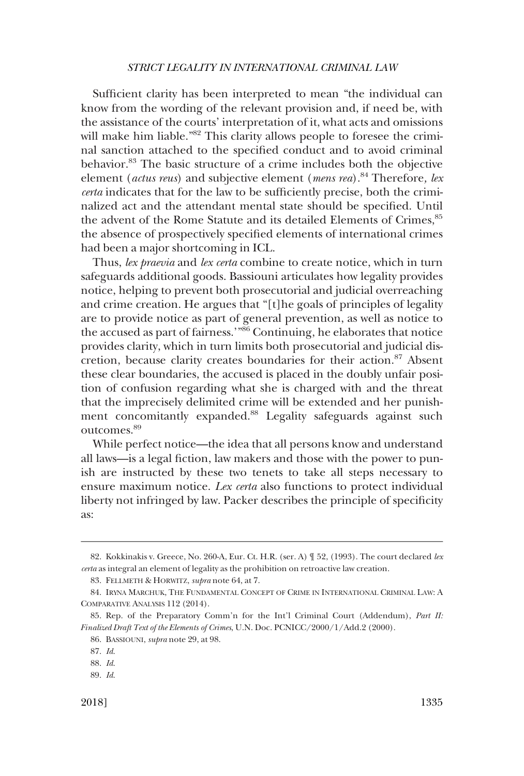Sufficient clarity has been interpreted to mean "the individual can know from the wording of the relevant provision and, if need be, with the assistance of the courts' interpretation of it, what acts and omissions will make him liable."<sup>82</sup> This clarity allows people to foresee the criminal sanction attached to the specified conduct and to avoid criminal behavior.83 The basic structure of a crime includes both the objective element (*actus reus*) and subjective element (*mens rea*).<sup>84</sup> Therefore, lex *certa* indicates that for the law to be sufficiently precise, both the criminalized act and the attendant mental state should be specified. Until the advent of the Rome Statute and its detailed Elements of Crimes, 85 the absence of prospectively specified elements of international crimes had been a major shortcoming in ICL.

Thus, *lex praevia* and *lex certa* combine to create notice, which in turn safeguards additional goods. Bassiouni articulates how legality provides notice, helping to prevent both prosecutorial and judicial overreaching and crime creation. He argues that "[t]he goals of principles of legality are to provide notice as part of general prevention, as well as notice to the accused as part of fairness.'"86 Continuing, he elaborates that notice provides clarity, which in turn limits both prosecutorial and judicial discretion, because clarity creates boundaries for their action.<sup>87</sup> Absent these clear boundaries, the accused is placed in the doubly unfair position of confusion regarding what she is charged with and the threat that the imprecisely delimited crime will be extended and her punishment concomitantly expanded.88 Legality safeguards against such outcomes.<sup>89</sup>

While perfect notice—the idea that all persons know and understand all laws—is a legal fiction, law makers and those with the power to punish are instructed by these two tenets to take all steps necessary to ensure maximum notice. *Lex certa* also functions to protect individual liberty not infringed by law. Packer describes the principle of specificity as:

<sup>82.</sup> Kokkinakis v. Greece, No. 260-A, Eur. Ct. H.R. (ser. A) ¶ 52, (1993). The court declared *lex certa* as integral an element of legality as the prohibition on retroactive law creation.

<sup>83.</sup> FELLMETH & HORWITZ, *supra* note 64, at 7.

<sup>84.</sup> IRYNA MARCHUK, THE FUNDAMENTAL CONCEPT OF CRIME IN INTERNATIONAL CRIMINAL LAW: A COMPARATIVE ANALYSIS 112 (2014).

<sup>85.</sup> Rep. of the Preparatory Comm'n for the Int'l Criminal Court (Addendum), *Part II: Finalized Draft Text of the Elements of Crimes*, U.N. Doc. PCNICC/2000/1/Add.2 (2000).

<sup>86.</sup> BASSIOUNI, *supra* note 29, at 98.

<sup>87.</sup> *Id*.

<sup>88.</sup> *Id*.

<sup>89.</sup> *Id*.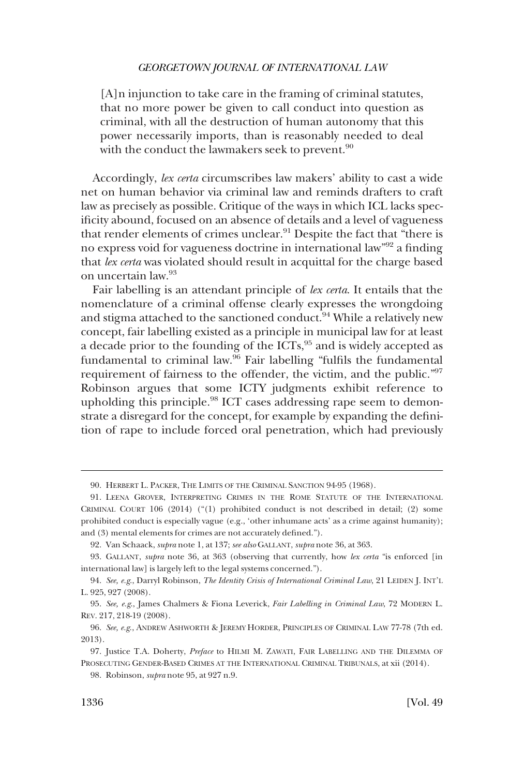[A]n injunction to take care in the framing of criminal statutes, that no more power be given to call conduct into question as criminal, with all the destruction of human autonomy that this power necessarily imports, than is reasonably needed to deal with the conduct the lawmakers seek to prevent.<sup>90</sup>

Accordingly, *lex certa* circumscribes law makers' ability to cast a wide net on human behavior via criminal law and reminds drafters to craft law as precisely as possible. Critique of the ways in which ICL lacks specificity abound, focused on an absence of details and a level of vagueness that render elements of crimes unclear.91 Despite the fact that "there is no express void for vagueness doctrine in international law"92 a finding that *lex certa* was violated should result in acquittal for the charge based on uncertain law.93

Fair labelling is an attendant principle of *lex certa*. It entails that the nomenclature of a criminal offense clearly expresses the wrongdoing and stigma attached to the sanctioned conduct.<sup>94</sup> While a relatively new concept, fair labelling existed as a principle in municipal law for at least a decade prior to the founding of the ICTs,<sup>95</sup> and is widely accepted as fundamental to criminal law.<sup>96</sup> Fair labelling "fulfils the fundamental requirement of fairness to the offender, the victim, and the public."97 Robinson argues that some ICTY judgments exhibit reference to upholding this principle.<sup>98</sup> ICT cases addressing rape seem to demonstrate a disregard for the concept, for example by expanding the definition of rape to include forced oral penetration, which had previously

<sup>90.</sup> HERBERT L. PACKER, THE LIMITS OF THE CRIMINAL SANCTION 94-95 (1968).

<sup>91.</sup> LEENA GROVER, INTERPRETING CRIMES IN THE ROME STATUTE OF THE INTERNATIONAL CRIMINAL COURT 106 (2014) ("(1) prohibited conduct is not described in detail; (2) some prohibited conduct is especially vague (e.g., 'other inhumane acts' as a crime against humanity); and (3) mental elements for crimes are not accurately defined.").

<sup>92.</sup> Van Schaack, *supra* note 1, at 137; *see also* GALLANT, *supra* note 36, at 363.

<sup>93.</sup> GALLANT, *supra* note 36, at 363 (observing that currently, how *lex certa* "is enforced [in international law] is largely left to the legal systems concerned.").

<sup>94.</sup> *See, e.g*., Darryl Robinson, *The Identity Crisis of International Criminal Law*, 21 LEIDEN J. INT'L L. 925, 927 (2008).

<sup>95.</sup> *See, e.g*., James Chalmers & Fiona Leverick, *Fair Labelling in Criminal Law*, 72 MODERN L. REV. 217, 218-19 (2008).

<sup>96.</sup> *See, e.g*., ANDREW ASHWORTH & JEREMY HORDER, PRINCIPLES OF CRIMINAL LAW 77-78 (7th ed. 2013).

<sup>97.</sup> Justice T.A. Doherty, *Preface* to HILMI M. ZAWATI, FAIR LABELLING AND THE DILEMMA OF PROSECUTING GENDER-BASED CRIMES AT THE INTERNATIONAL CRIMINAL TRIBUNALS, at xii (2014).

<sup>98.</sup> Robinson, *supra* note 95, at 927 n.9.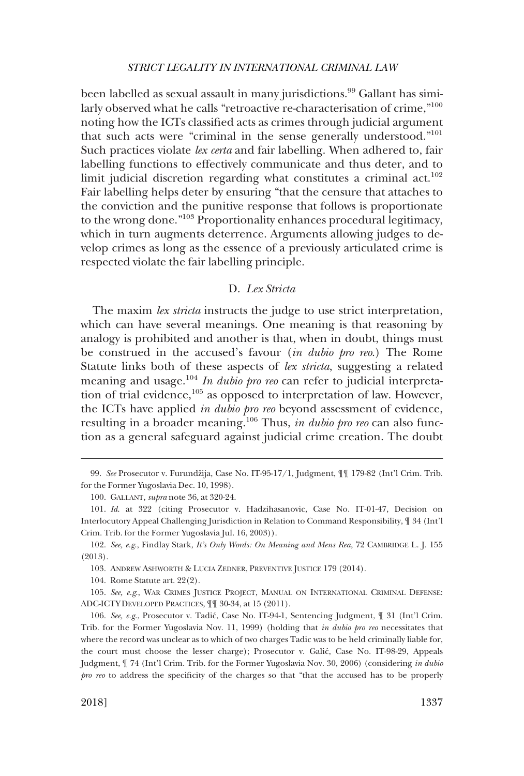<span id="page-16-0"></span>been labelled as sexual assault in many jurisdictions.<sup>99</sup> Gallant has similarly observed what he calls "retroactive re-characterisation of crime,"<sup>100</sup> noting how the ICTs classified acts as crimes through judicial argument that such acts were "criminal in the sense generally understood."<sup>101</sup> Such practices violate *lex certa* and fair labelling. When adhered to, fair labelling functions to effectively communicate and thus deter, and to limit judicial discretion regarding what constitutes a criminal  $act.^{102}$ . Fair labelling helps deter by ensuring "that the censure that attaches to the conviction and the punitive response that follows is proportionate to the wrong done."103 Proportionality enhances procedural legitimacy, which in turn augments deterrence. Arguments allowing judges to develop crimes as long as the essence of a previously articulated crime is respected violate the fair labelling principle.

### D. *Lex Stricta*

The maxim *lex stricta* instructs the judge to use strict interpretation, which can have several meanings. One meaning is that reasoning by analogy is prohibited and another is that, when in doubt, things must be construed in the accused's favour (*in dubio pro reo*.) The Rome Statute links both of these aspects of *lex stricta*, suggesting a related meaning and usage.<sup>104</sup> *In dubio pro reo* can refer to judicial interpretation of trial evidence, $105$  as opposed to interpretation of law. However, the ICTs have applied *in dubio pro reo* beyond assessment of evidence, resulting in a broader meaning.106 Thus, *in dubio pro reo* can also function as a general safeguard against judicial crime creation. The doubt

103. ANDREW ASHWORTH & LUCIA ZEDNER, PREVENTIVE JUSTICE 179 (2014).

104. Rome Statute art. 22(2).

105. *See, e.g*., WAR CRIMES JUSTICE PROJECT, MANUAL ON INTERNATIONAL CRIMINAL DEFENSE: ADC-ICTY DEVELOPED PRACTICES, ¶¶ 30-34, at 15 (2011).

<sup>99.</sup> See Prosecutor v. Furundžija, Case No. IT-95-17/1, Judgment,  $\P\P$  179-82 (Int'l Crim. Trib. for the Former Yugoslavia Dec. 10, 1998).

<sup>100.</sup> GALLANT, *supra* note 36, at 320-24.

<sup>101.</sup> *Id*. at 322 (citing Prosecutor v. Hadzihasanovic, Case No. IT-01-47, Decision on Interlocutory Appeal Challenging Jurisdiction in Relation to Command Responsibility, ¶ 34 (Int'l Crim. Trib. for the Former Yugoslavia Jul. 16, 2003)).

<sup>102.</sup> *See, e.g*., Findlay Stark, *It's Only Words: On Meaning and Mens Rea*, 72 CAMBRIDGE L. J. 155 (2013).

<sup>106.</sup> *See, e.g*., Prosecutor v. Tadic´, Case No. IT-94-1, Sentencing Judgment, ¶ 31 (Int'l Crim. Trib. for the Former Yugoslavia Nov. 11, 1999) (holding that *in dubio pro reo* necessitates that where the record was unclear as to which of two charges Tadic was to be held criminally liable for, the court must choose the lesser charge); Prosecutor v. Galić, Case No. IT-98-29, Appeals Judgment, ¶ 74 (Int'l Crim. Trib. for the Former Yugoslavia Nov. 30, 2006) (considering *in dubio pro reo* to address the specificity of the charges so that "that the accused has to be properly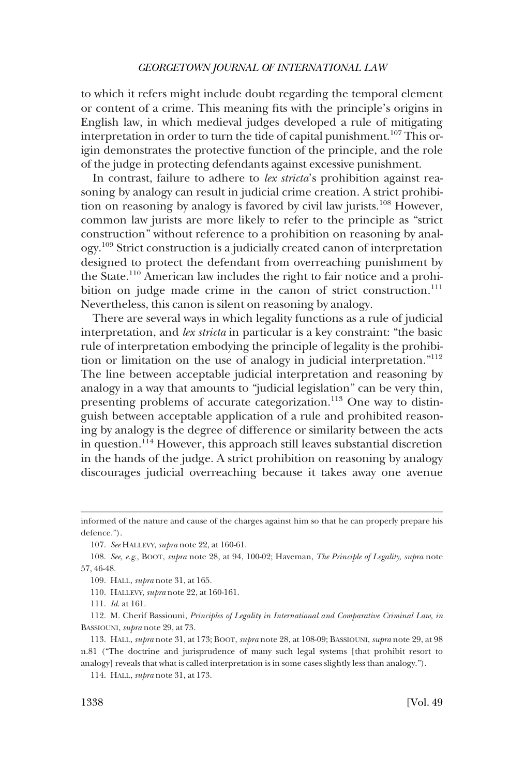to which it refers might include doubt regarding the temporal element or content of a crime. This meaning fits with the principle's origins in English law, in which medieval judges developed a rule of mitigating interpretation in order to turn the tide of capital punishment.<sup>107</sup> This origin demonstrates the protective function of the principle, and the role of the judge in protecting defendants against excessive punishment.

In contrast, failure to adhere to *lex stricta*'s prohibition against reasoning by analogy can result in judicial crime creation. A strict prohibition on reasoning by analogy is favored by civil law jurists.<sup>108</sup> However, common law jurists are more likely to refer to the principle as "strict construction" without reference to a prohibition on reasoning by analogy.109 Strict construction is a judicially created canon of interpretation designed to protect the defendant from overreaching punishment by the State.110 American law includes the right to fair notice and a prohibition on judge made crime in the canon of strict construction.<sup>111</sup> Nevertheless, this canon is silent on reasoning by analogy.

There are several ways in which legality functions as a rule of judicial interpretation, and *lex stricta* in particular is a key constraint: "the basic rule of interpretation embodying the principle of legality is the prohibition or limitation on the use of analogy in judicial interpretation."<sup>112</sup> The line between acceptable judicial interpretation and reasoning by analogy in a way that amounts to "judicial legislation" can be very thin, presenting problems of accurate categorization.<sup>113</sup> One way to distinguish between acceptable application of a rule and prohibited reasoning by analogy is the degree of difference or similarity between the acts in question.114 However, this approach still leaves substantial discretion in the hands of the judge. A strict prohibition on reasoning by analogy discourages judicial overreaching because it takes away one avenue

107. *See* HALLEVY, *supra* note 22, at 160-61.

109. HALL, *supra* note 31, at 165.

110. HALLEVY, *supra* note 22, at 160-161.

111. *Id*. at 161.

112. M. Cherif Bassiouni, *Principles of Legality in International and Comparative Criminal Law, in*  BASSIOUNI, *supra* note 29, at 73.

114. HALL, *supra* note 31, at 173.

informed of the nature and cause of the charges against him so that he can properly prepare his defence.").

<sup>108.</sup> *See, e.g*., BOOT, *supra* note 28, at 94, 100-02; Haveman, *The Principle of Legality*, *supra* note 57, 46-48.

<sup>113.</sup> HALL, *supra* note 31, at 173; BOOT, *supra* note 28, at 108-09; BASSIOUNI, *supra* note 29, at 98 n.81 ("The doctrine and jurisprudence of many such legal systems [that prohibit resort to analogy] reveals that what is called interpretation is in some cases slightly less than analogy.").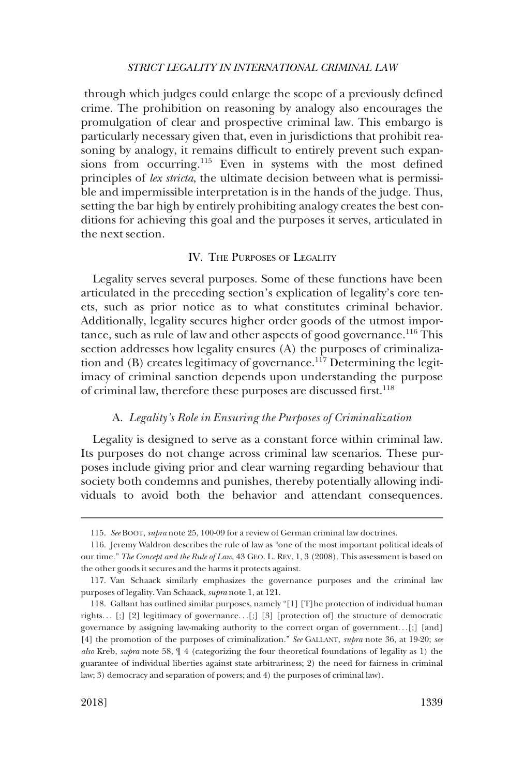<span id="page-18-0"></span>through which judges could enlarge the scope of a previously defined crime. The prohibition on reasoning by analogy also encourages the promulgation of clear and prospective criminal law. This embargo is particularly necessary given that, even in jurisdictions that prohibit reasoning by analogy, it remains difficult to entirely prevent such expansions from occurring.<sup>115</sup> Even in systems with the most defined principles of *lex stricta*, the ultimate decision between what is permissible and impermissible interpretation is in the hands of the judge. Thus, setting the bar high by entirely prohibiting analogy creates the best conditions for achieving this goal and the purposes it serves, articulated in the next section.

# IV. THE PURPOSES OF LEGALITY

Legality serves several purposes. Some of these functions have been articulated in the preceding section's explication of legality's core tenets, such as prior notice as to what constitutes criminal behavior. Additionally, legality secures higher order goods of the utmost importance, such as rule of law and other aspects of good governance.<sup>116</sup> This section addresses how legality ensures (A) the purposes of criminalization and (B) creates legitimacy of governance.<sup>117</sup> Determining the legitimacy of criminal sanction depends upon understanding the purpose of criminal law, therefore these purposes are discussed first.<sup>118</sup>

# A. *Legality's Role in Ensuring the Purposes of Criminalization*

Legality is designed to serve as a constant force within criminal law. Its purposes do not change across criminal law scenarios. These purposes include giving prior and clear warning regarding behaviour that society both condemns and punishes, thereby potentially allowing individuals to avoid both the behavior and attendant consequences.

<sup>115.</sup> *See* BOOT, *supra* note 25, 100-09 for a review of German criminal law doctrines.

<sup>116.</sup> Jeremy Waldron describes the rule of law as "one of the most important political ideals of our time." *The Concept and the Rule of Law*, 43 GEO. L. REV. 1, 3 (2008). This assessment is based on the other goods it secures and the harms it protects against.

<sup>117.</sup> Van Schaack similarly emphasizes the governance purposes and the criminal law purposes of legality. Van Schaack, *supra* note 1, at 121.

<sup>118.</sup> Gallant has outlined similar purposes, namely "[1] [T]he protection of individual human rights. . . [;] [2] legitimacy of governance. . .[;] [3] [protection of] the structure of democratic governance by assigning law-making authority to the correct organ of government. . .[;] [and] [4] the promotion of the purposes of criminalization." *See* GALLANT, *supra* note 36, at 19-20; *see also* Kreb, *supra* note 58, ¶ 4 (categorizing the four theoretical foundations of legality as 1) the guarantee of individual liberties against state arbitrariness; 2) the need for fairness in criminal law; 3) democracy and separation of powers; and 4) the purposes of criminal law).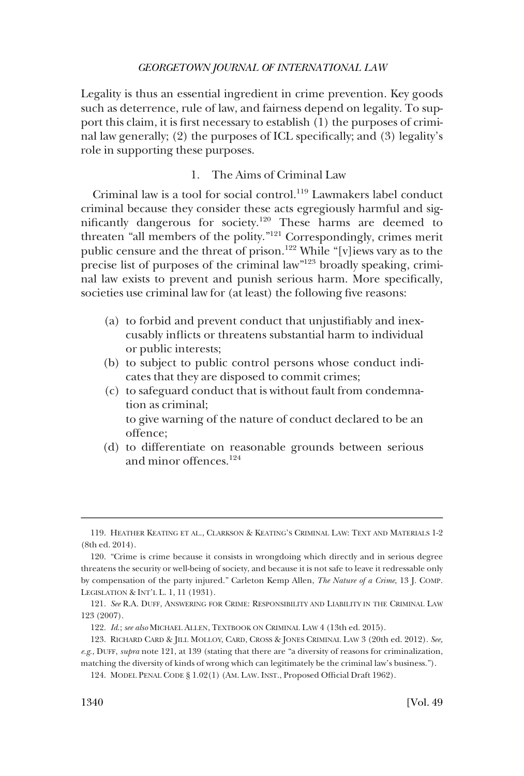<span id="page-19-0"></span>Legality is thus an essential ingredient in crime prevention. Key goods such as deterrence, rule of law, and fairness depend on legality. To support this claim, it is first necessary to establish (1) the purposes of criminal law generally; (2) the purposes of ICL specifically; and (3) legality's role in supporting these purposes.

# 1. The Aims of Criminal Law

Criminal law is a tool for social control.<sup>119</sup> Lawmakers label conduct criminal because they consider these acts egregiously harmful and significantly dangerous for society.120 These harms are deemed to threaten "all members of the polity."<sup>121</sup> Correspondingly, crimes merit public censure and the threat of prison.<sup>122</sup> While "[v]iews vary as to the precise list of purposes of the criminal law"123 broadly speaking, criminal law exists to prevent and punish serious harm. More specifically, societies use criminal law for (at least) the following five reasons:

- (a) to forbid and prevent conduct that unjustifiably and inexcusably inflicts or threatens substantial harm to individual or public interests;
- (b) to subject to public control persons whose conduct indicates that they are disposed to commit crimes;
- (c) to safeguard conduct that is without fault from condemnation as criminal; to give warning of the nature of conduct declared to be an offence;
- (d) to differentiate on reasonable grounds between serious and minor offences.124

<sup>119.</sup> HEATHER KEATING ET AL., CLARKSON & KEATING'S CRIMINAL LAW: TEXT AND MATERIALS 1-2 (8th ed. 2014).

<sup>120. &</sup>quot;Crime is crime because it consists in wrongdoing which directly and in serious degree threatens the security or well-being of society, and because it is not safe to leave it redressable only by compensation of the party injured." Carleton Kemp Allen, *The Nature of a Crime*, 13 J. COMP. LEGISLATION & INT'L L. 1, 11 (1931).

<sup>121.</sup> *See* R.A. DUFF, ANSWERING FOR CRIME: RESPONSIBILITY AND LIABILITY IN THE CRIMINAL LAW 123 (2007).

<sup>122.</sup> *Id*.; *see also* MICHAEL ALLEN, TEXTBOOK ON CRIMINAL LAW 4 (13th ed. 2015).

<sup>123.</sup> RICHARD CARD & JILL MOLLOY, CARD, CROSS & JONES CRIMINAL LAW 3 (20th ed. 2012). *See, e.g*., DUFF, *supra* note 121, at 139 (stating that there are "a diversity of reasons for criminalization, matching the diversity of kinds of wrong which can legitimately be the criminal law's business.").

<sup>124.</sup> MODEL PENAL CODE § 1.02(1) (AM. LAW. INST., Proposed Official Draft 1962).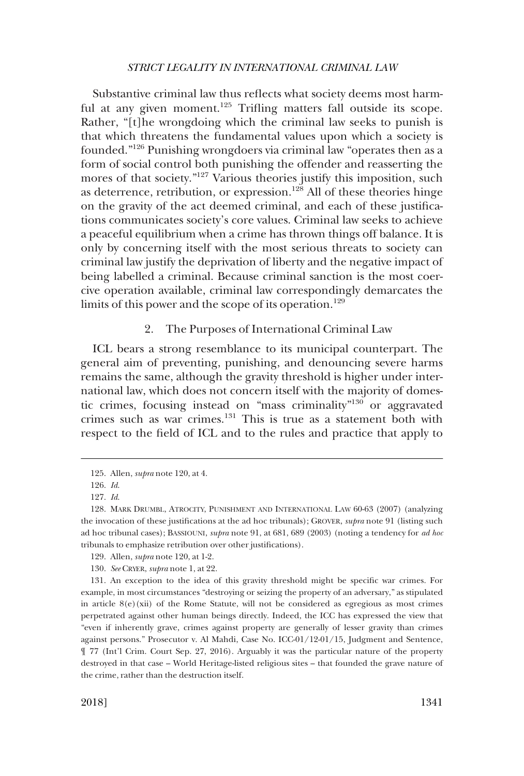<span id="page-20-0"></span>Substantive criminal law thus reflects what society deems most harmful at any given moment.<sup>125</sup> Trifling matters fall outside its scope. Rather, "[t]he wrongdoing which the criminal law seeks to punish is that which threatens the fundamental values upon which a society is founded."126 Punishing wrongdoers via criminal law "operates then as a form of social control both punishing the offender and reasserting the mores of that society."<sup>127</sup> Various theories justify this imposition, such as deterrence, retribution, or expression.<sup>128</sup> All of these theories hinge on the gravity of the act deemed criminal, and each of these justifications communicates society's core values. Criminal law seeks to achieve a peaceful equilibrium when a crime has thrown things off balance. It is only by concerning itself with the most serious threats to society can criminal law justify the deprivation of liberty and the negative impact of being labelled a criminal. Because criminal sanction is the most coercive operation available, criminal law correspondingly demarcates the limits of this power and the scope of its operation.<sup>129</sup>

# 2. The Purposes of International Criminal Law

ICL bears a strong resemblance to its municipal counterpart. The general aim of preventing, punishing, and denouncing severe harms remains the same, although the gravity threshold is higher under international law, which does not concern itself with the majority of domestic crimes, focusing instead on "mass criminality"130 or aggravated crimes such as war crimes.131 This is true as a statement both with respect to the field of ICL and to the rules and practice that apply to

<sup>125.</sup> Allen, *supra* note 120, at 4.

<sup>126.</sup> *Id*.

<sup>127.</sup> *Id*.

<sup>128.</sup> MARK DRUMBL, ATROCITY, PUNISHMENT AND INTERNATIONAL LAW 60-63 (2007) (analyzing the invocation of these justifications at the ad hoc tribunals); GROVER, *supra* note 91 (listing such ad hoc tribunal cases); BASSIOUNI, *supra* note 91, at 681, 689 (2003) (noting a tendency for *ad hoc*  tribunals to emphasize retribution over other justifications).

<sup>129.</sup> Allen, *supra* note 120, at 1-2.

<sup>130.</sup> *See* CRYER, *supra* note 1, at 22.

<sup>131.</sup> An exception to the idea of this gravity threshold might be specific war crimes. For example, in most circumstances "destroying or seizing the property of an adversary," as stipulated in article  $8(e)$ (xii) of the Rome Statute, will not be considered as egregious as most crimes perpetrated against other human beings directly. Indeed, the ICC has expressed the view that "even if inherently grave, crimes against property are generally of lesser gravity than crimes against persons." Prosecutor v. Al Mahdi, Case No. ICC-01/12-01/15, Judgment and Sentence, ¶ 77 (Int'l Crim. Court Sep. 27, 2016). Arguably it was the particular nature of the property destroyed in that case – World Heritage-listed religious sites – that founded the grave nature of the crime, rather than the destruction itself.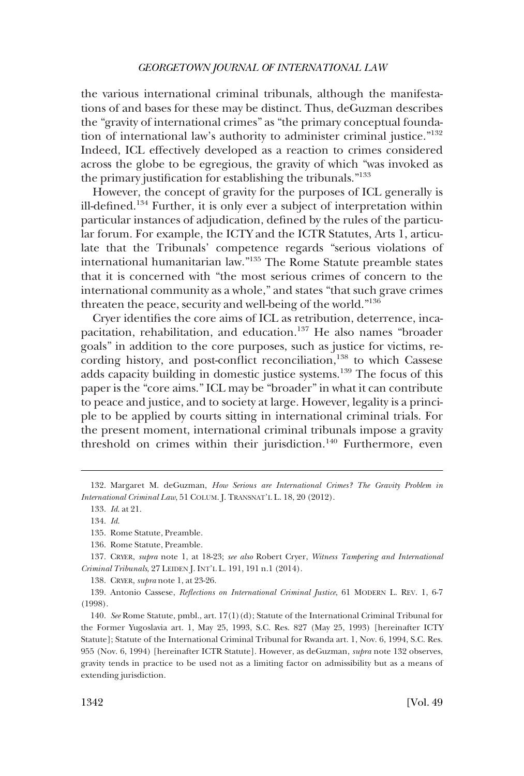the various international criminal tribunals, although the manifestations of and bases for these may be distinct. Thus, deGuzman describes the "gravity of international crimes" as "the primary conceptual foundation of international law's authority to administer criminal justice."132 Indeed, ICL effectively developed as a reaction to crimes considered across the globe to be egregious, the gravity of which "was invoked as the primary justification for establishing the tribunals."<sup>133</sup>

However, the concept of gravity for the purposes of ICL generally is ill-defined.134 Further, it is only ever a subject of interpretation within particular instances of adjudication, defined by the rules of the particular forum. For example, the ICTY and the ICTR Statutes, Arts 1, articulate that the Tribunals' competence regards "serious violations of international humanitarian law."135 The Rome Statute preamble states that it is concerned with "the most serious crimes of concern to the international community as a whole," and states "that such grave crimes threaten the peace, security and well-being of the world."<sup>136</sup>

Cryer identifies the core aims of ICL as retribution, deterrence, incapacitation, rehabilitation, and education.<sup>137</sup> He also names "broader goals" in addition to the core purposes, such as justice for victims, recording history, and post-conflict reconciliation,<sup>138</sup> to which Cassese adds capacity building in domestic justice systems.139 The focus of this paper is the "core aims." ICL may be "broader" in what it can contribute to peace and justice, and to society at large. However, legality is a principle to be applied by courts sitting in international criminal trials. For the present moment, international criminal tribunals impose a gravity threshold on crimes within their jurisdiction.<sup>140</sup> Furthermore, even

138. CRYER, *supra* note 1, at 23-26.

139. Antonio Cassese, *Reflections on International Criminal Justice*, 61 MODERN L. REV. 1, 6-7 (1998).

140. *See* Rome Statute, pmbl., art. 17(1)(d); Statute of the International Criminal Tribunal for the Former Yugoslavia art. 1, May 25, 1993, S.C. Res. 827 (May 25, 1993) [hereinafter ICTY Statute]; Statute of the International Criminal Tribunal for Rwanda art. 1, Nov. 6, 1994, S.C. Res. 955 (Nov. 6, 1994) [hereinafter ICTR Statute]. However, as deGuzman, *supra* note 132 observes, gravity tends in practice to be used not as a limiting factor on admissibility but as a means of extending jurisdiction.

<sup>132.</sup> Margaret M. deGuzman, *How Serious are International Crimes? The Gravity Problem in International Criminal Law*, 51 COLUM. J. TRANSNAT'L L. 18, 20 (2012).

<sup>133.</sup> *Id*. at 21.

<sup>134.</sup> *Id*.

<sup>135.</sup> Rome Statute, Preamble.

<sup>136.</sup> Rome Statute, Preamble.

<sup>137.</sup> CRYER, *supra* note 1, at 18-23; *see also* Robert Cryer, *Witness Tampering and International Criminal Tribunals*, 27 LEIDEN J. INT'L L. 191, 191 n.1 (2014).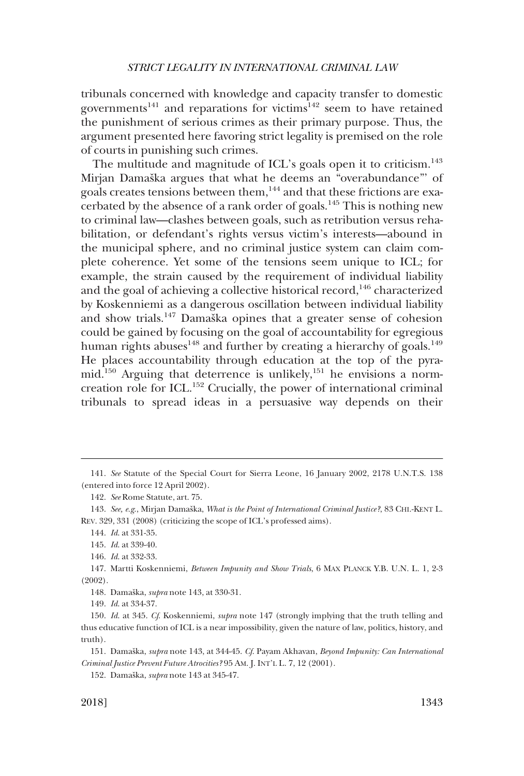tribunals concerned with knowledge and capacity transfer to domestic governments<sup>141</sup> and reparations for victims<sup>142</sup> seem to have retained the punishment of serious crimes as their primary purpose. Thus, the argument presented here favoring strict legality is premised on the role of courts in punishing such crimes.

The multitude and magnitude of ICL's goals open it to criticism.<sup>143</sup> Mirjan Damaška argues that what he deems an "overabundance"' of goals creates tensions between them,144 and that these frictions are exacerbated by the absence of a rank order of goals.145 This is nothing new to criminal law—clashes between goals, such as retribution versus rehabilitation, or defendant's rights versus victim's interests—abound in the municipal sphere, and no criminal justice system can claim complete coherence. Yet some of the tensions seem unique to ICL; for example, the strain caused by the requirement of individual liability and the goal of achieving a collective historical record,<sup>146</sup> characterized by Koskenniemi as a dangerous oscillation between individual liability and show trials.<sup>147</sup> Damaška opines that a greater sense of cohesion could be gained by focusing on the goal of accountability for egregious human rights abuses $^{148}$  and further by creating a hierarchy of goals.<sup>149</sup> He places accountability through education at the top of the pyramid.<sup>150</sup> Arguing that deterrence is unlikely,<sup>151</sup> he envisions a normcreation role for ICL.152 Crucially, the power of international criminal tribunals to spread ideas in a persuasive way depends on their

<sup>141.</sup> *See* Statute of the Special Court for Sierra Leone, 16 January 2002, 2178 U.N.T.S. 138 (entered into force 12 April 2002).

<sup>142.</sup> *See* Rome Statute, art. 75.

<sup>143.</sup> See, e.g., Mirjan Damaška, *What is the Point of International Criminal Justice?*, 83 CHI.-KENT L. REV. 329, 331 (2008) (criticizing the scope of ICL's professed aims).

<sup>144.</sup> *Id*. at 331-35.

<sup>145.</sup> *Id*. at 339-40.

<sup>146.</sup> *Id*. at 332-33.

<sup>147.</sup> Martti Koskenniemi, *Between Impunity and Show Trials*, 6 MAX PLANCK Y.B. U.N. L. 1, 2-3 (2002).

<sup>148.</sup> Damaška, *supra* note 143, at 330-31.

<sup>149.</sup> *Id*. at 334-37.

<sup>150.</sup> *Id*. at 345. *Cf*. Koskenniemi, *supra* note 147 (strongly implying that the truth telling and thus educative function of ICL is a near impossibility, given the nature of law, politics, history, and truth).

<sup>151.</sup> Damaška, *supra* note 143, at 344-45. *Cf. Payam Akhavan, Beyond Impunity: Can International Criminal Justice Prevent Future Atrocities?* 95 AM. J. INT'L L. 7, 12 (2001).

<sup>152.</sup> Damaška, *supra* note 143 at 345-47.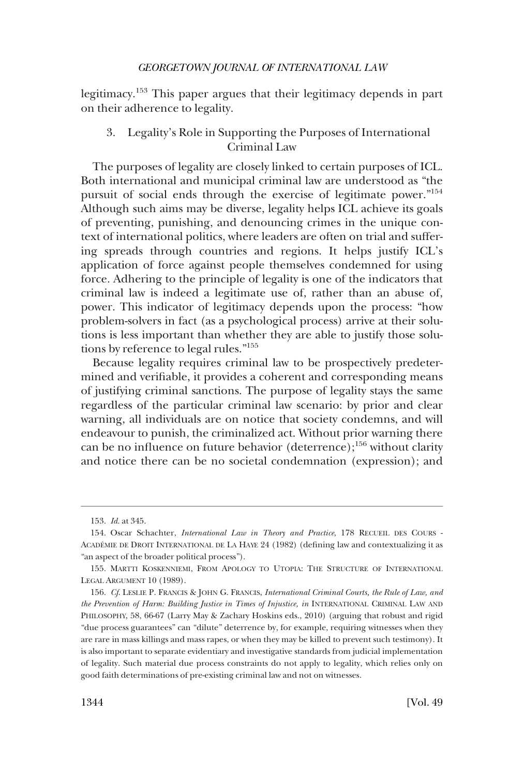<span id="page-23-0"></span>legitimacy.153 This paper argues that their legitimacy depends in part on their adherence to legality.

# 3. Legality's Role in Supporting the Purposes of International Criminal Law

The purposes of legality are closely linked to certain purposes of ICL. Both international and municipal criminal law are understood as "the pursuit of social ends through the exercise of legitimate power."<sup>154</sup> Although such aims may be diverse, legality helps ICL achieve its goals of preventing, punishing, and denouncing crimes in the unique context of international politics, where leaders are often on trial and suffering spreads through countries and regions. It helps justify ICL's application of force against people themselves condemned for using force. Adhering to the principle of legality is one of the indicators that criminal law is indeed a legitimate use of, rather than an abuse of, power. This indicator of legitimacy depends upon the process: "how problem-solvers in fact (as a psychological process) arrive at their solutions is less important than whether they are able to justify those solutions by reference to legal rules."155

Because legality requires criminal law to be prospectively predetermined and verifiable, it provides a coherent and corresponding means of justifying criminal sanctions. The purpose of legality stays the same regardless of the particular criminal law scenario: by prior and clear warning, all individuals are on notice that society condemns, and will endeavour to punish, the criminalized act. Without prior warning there can be no influence on future behavior (deterrence);156 without clarity and notice there can be no societal condemnation (expression); and

<sup>153.</sup> *Id*. at 345.

<sup>154.</sup> Oscar Schachter, *International Law in Theory and Practice*, 178 RECUEIL DES COURS - ACADE´MIE DE DROIT INTERNATIONAL DE LA HAYE 24 (1982) (defining law and contextualizing it as "an aspect of the broader political process").

<sup>155.</sup> MARTTI KOSKENNIEMI, FROM APOLOGY TO UTOPIA: THE STRUCTURE OF INTERNATIONAL LEGAL ARGUMENT 10 (1989).

<sup>156.</sup> *Cf*. LESLIE P. FRANCIS & JOHN G. FRANCIS, *International Criminal Courts, the Rule of Law, and the Prevention of Harm: Building Justice in Times of Injustice, in* INTERNATIONAL CRIMINAL LAW AND PHILOSOPHY, 58, 66-67 (Larry May & Zachary Hoskins eds., 2010) (arguing that robust and rigid "due process guarantees" can "dilute" deterrence by, for example, requiring witnesses when they are rare in mass killings and mass rapes, or when they may be killed to prevent such testimony). It is also important to separate evidentiary and investigative standards from judicial implementation of legality. Such material due process constraints do not apply to legality, which relies only on good faith determinations of pre-existing criminal law and not on witnesses.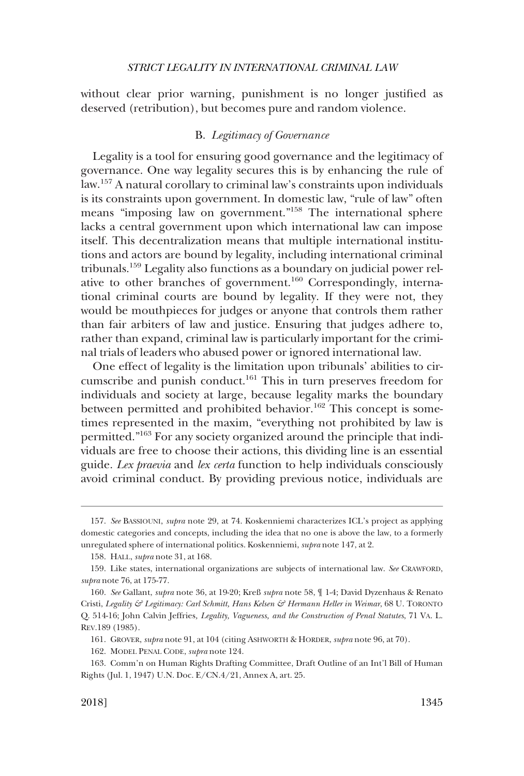<span id="page-24-0"></span>without clear prior warning, punishment is no longer justified as deserved (retribution), but becomes pure and random violence.

### B. *Legitimacy of Governance*

Legality is a tool for ensuring good governance and the legitimacy of governance. One way legality secures this is by enhancing the rule of law.157 A natural corollary to criminal law's constraints upon individuals is its constraints upon government. In domestic law, "rule of law" often means "imposing law on government."158 The international sphere lacks a central government upon which international law can impose itself. This decentralization means that multiple international institutions and actors are bound by legality, including international criminal tribunals.159 Legality also functions as a boundary on judicial power relative to other branches of government.<sup>160</sup> Correspondingly, international criminal courts are bound by legality. If they were not, they would be mouthpieces for judges or anyone that controls them rather than fair arbiters of law and justice. Ensuring that judges adhere to, rather than expand, criminal law is particularly important for the criminal trials of leaders who abused power or ignored international law.

One effect of legality is the limitation upon tribunals' abilities to circumscribe and punish conduct.<sup>161</sup> This in turn preserves freedom for individuals and society at large, because legality marks the boundary between permitted and prohibited behavior.<sup>162</sup> This concept is sometimes represented in the maxim, "everything not prohibited by law is permitted."163 For any society organized around the principle that individuals are free to choose their actions, this dividing line is an essential guide. *Lex praevia* and *lex certa* function to help individuals consciously avoid criminal conduct. By providing previous notice, individuals are

<sup>157.</sup> *See* BASSIOUNI, *supra* note 29, at 74. Koskenniemi characterizes ICL's project as applying domestic categories and concepts, including the idea that no one is above the law, to a formerly unregulated sphere of international politics. Koskenniemi, *supra* note 147, at 2.

<sup>158.</sup> HALL, *supra* note 31, at 168.

<sup>159.</sup> Like states, international organizations are subjects of international law. *See* CRAWFORD, *supra* note 76, at 175-77.

<sup>160.</sup> *See* Gallant, *supra* note 36, at 19-20; Kreß *supra* note 58, ¶ 1-4; David Dyzenhaus & Renato Cristi, *Legality & Legitimacy: Carl Schmitt, Hans Kelsen & Hermann Heller in Weimar*, 68 U. TORONTO Q. 514-16; John Calvin Jeffries*, Legality, Vagueness, and the Construction of Penal Statutes*, 71 VA. L. REV.189 (1985).

<sup>161.</sup> GROVER, *supra* note 91, at 104 (citing ASHWORTH & HORDER, *supra* note 96, at 70).

<sup>162.</sup> MODEL PENAL CODE, *supra* note 124.

<sup>163.</sup> Comm'n on Human Rights Drafting Committee, Draft Outline of an Int'l Bill of Human Rights (Jul. 1, 1947) U.N. Doc. E/CN.4/21, Annex A, art. 25.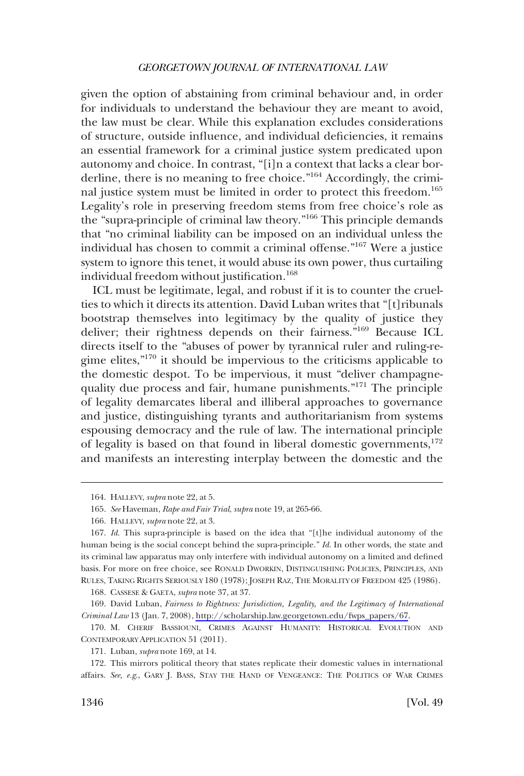given the option of abstaining from criminal behaviour and, in order for individuals to understand the behaviour they are meant to avoid, the law must be clear. While this explanation excludes considerations of structure, outside influence, and individual deficiencies, it remains an essential framework for a criminal justice system predicated upon autonomy and choice. In contrast, "[i]n a context that lacks a clear borderline, there is no meaning to free choice."164 Accordingly, the criminal justice system must be limited in order to protect this freedom.<sup>165</sup> Legality's role in preserving freedom stems from free choice's role as the "supra-principle of criminal law theory."166 This principle demands that "no criminal liability can be imposed on an individual unless the individual has chosen to commit a criminal offense."167 Were a justice system to ignore this tenet, it would abuse its own power, thus curtailing individual freedom without justification.<sup>168</sup>

ICL must be legitimate, legal, and robust if it is to counter the cruelties to which it directs its attention. David Luban writes that "[t]ribunals bootstrap themselves into legitimacy by the quality of justice they deliver; their rightness depends on their fairness."169 Because ICL directs itself to the "abuses of power by tyrannical ruler and ruling-regime elites,"170 it should be impervious to the criticisms applicable to the domestic despot. To be impervious, it must "deliver champagnequality due process and fair, humane punishments."171 The principle of legality demarcates liberal and illiberal approaches to governance and justice, distinguishing tyrants and authoritarianism from systems espousing democracy and the rule of law. The international principle of legality is based on that found in liberal domestic governments,<sup>172</sup> and manifests an interesting interplay between the domestic and the

168. CASSESE & GAETA, *supra* note 37, at 37.

169. David Luban, *Fairness to Rightness: Jurisdiction, Legality, and the Legitimacy of International Criminal Law* 13 (Jan. 7, 2008), [http://scholarship.law.georgetown.edu/fwps\\_papers/67.](http://scholarship.law.georgetown.edu/fwps_papers/67)

<sup>164.</sup> HALLEVY, *supra* note 22, at 5.

<sup>165.</sup> *See* Haveman, *Rape and Fair Trial*, *supra* note 19, at 265-66.

<sup>166.</sup> HALLEVY, *supra* note 22, at 3.

<sup>167.</sup> *Id*. This supra-principle is based on the idea that "[t]he individual autonomy of the human being is the social concept behind the supra-principle." *Id*. In other words, the state and its criminal law apparatus may only interfere with individual autonomy on a limited and defined basis. For more on free choice, see RONALD DWORKIN, DISTINGUISHING POLICIES, PRINCIPLES, AND RULES, TAKING RIGHTS SERIOUSLY 180 (1978); JOSEPH RAZ, THE MORALITY OF FREEDOM 425 (1986).

<sup>170.</sup> M. CHERIF BASSIOUNI, CRIMES AGAINST HUMANITY: HISTORICAL EVOLUTION AND CONTEMPORARY APPLICATION 51 (2011).

<sup>171.</sup> Luban, *supra* note 169, at 14.

<sup>172.</sup> This mirrors political theory that states replicate their domestic values in international affairs. *See, e.g*., GARY J. BASS, STAY THE HAND OF VENGEANCE: THE POLITICS OF WAR CRIMES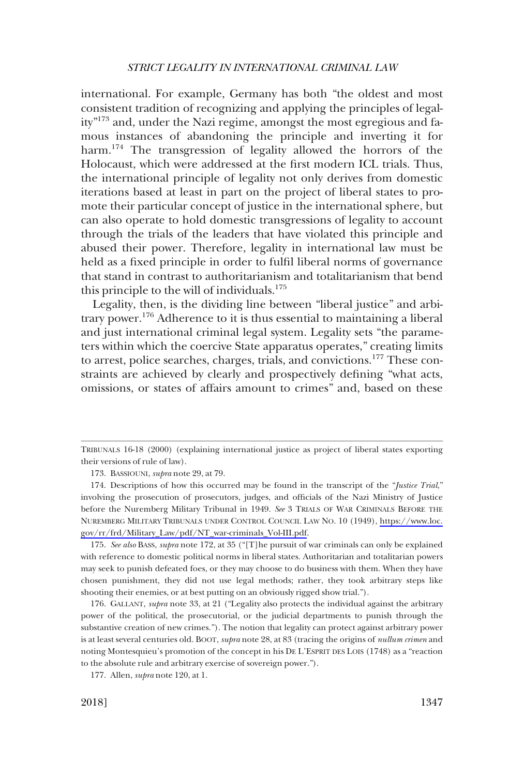international. For example, Germany has both "the oldest and most consistent tradition of recognizing and applying the principles of legality"173 and, under the Nazi regime, amongst the most egregious and famous instances of abandoning the principle and inverting it for harm.<sup>174</sup> The transgression of legality allowed the horrors of the Holocaust, which were addressed at the first modern ICL trials. Thus, the international principle of legality not only derives from domestic iterations based at least in part on the project of liberal states to promote their particular concept of justice in the international sphere, but can also operate to hold domestic transgressions of legality to account through the trials of the leaders that have violated this principle and abused their power. Therefore, legality in international law must be held as a fixed principle in order to fulfil liberal norms of governance that stand in contrast to authoritarianism and totalitarianism that bend this principle to the will of individuals.<sup>175</sup>

Legality, then, is the dividing line between "liberal justice" and arbitrary power.<sup>176</sup> Adherence to it is thus essential to maintaining a liberal and just international criminal legal system. Legality sets "the parameters within which the coercive State apparatus operates," creating limits to arrest, police searches, charges, trials, and convictions.<sup>177</sup> These constraints are achieved by clearly and prospectively defining "what acts, omissions, or states of affairs amount to crimes" and, based on these

175. *See also* BASS, *supra* note 172, at 35 ("[T]he pursuit of war criminals can only be explained with reference to domestic political norms in liberal states. Authoritarian and totalitarian powers may seek to punish defeated foes, or they may choose to do business with them. When they have chosen punishment, they did not use legal methods; rather, they took arbitrary steps like shooting their enemies, or at best putting on an obviously rigged show trial.").

176. GALLANT, *supra* note 33, at 21 ("Legality also protects the individual against the arbitrary power of the political, the prosecutorial, or the judicial departments to punish through the substantive creation of new crimes."). The notion that legality can protect against arbitrary power is at least several centuries old. BOOT, *supra* note 28, at 83 (tracing the origins of *nullum crimen* and noting Montesquieu's promotion of the concept in his DE L'ESPRIT DES LOIS (1748) as a "reaction to the absolute rule and arbitrary exercise of sovereign power.").

TRIBUNALS 16-18 (2000) (explaining international justice as project of liberal states exporting their versions of rule of law).

<sup>173.</sup> BASSIOUNI, *supra* note 29, at 79.

<sup>174.</sup> Descriptions of how this occurred may be found in the transcript of the "*Justice Trial*," involving the prosecution of prosecutors, judges, and officials of the Nazi Ministry of Justice before the Nuremberg Military Tribunal in 1949. *See* 3 TRIALS OF WAR CRIMINALS BEFORE THE NUREMBERG MILITARY TRIBUNALS UNDER CONTROL COUNCIL LAW NO. 10 (1949), [https://www.loc.](https://www.loc.gov/rr/frd/Military_Law/pdf/NT_war-criminals_Vol-III.pdf) [gov/rr/frd/Military\\_Law/pdf/NT\\_war-criminals\\_Vol-III.pdf.](https://www.loc.gov/rr/frd/Military_Law/pdf/NT_war-criminals_Vol-III.pdf)

<sup>177.</sup> Allen, *supra* note 120, at 1.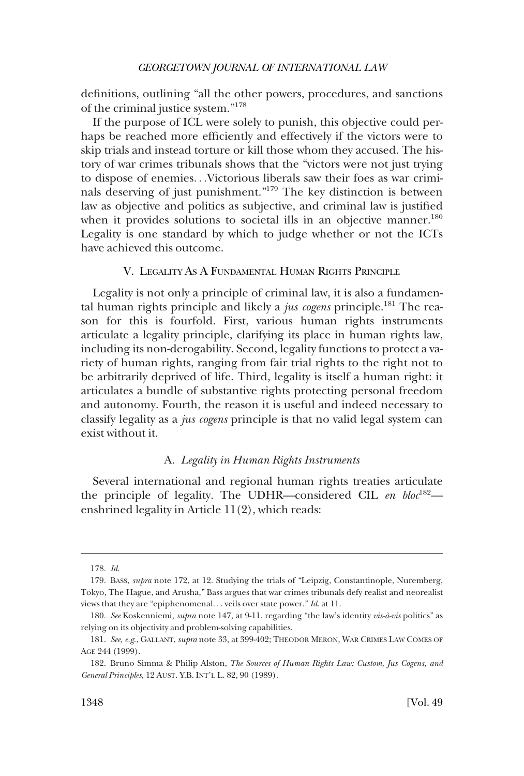<span id="page-27-0"></span>definitions, outlining "all the other powers, procedures, and sanctions of the criminal justice system."178

If the purpose of ICL were solely to punish, this objective could perhaps be reached more efficiently and effectively if the victors were to skip trials and instead torture or kill those whom they accused. The history of war crimes tribunals shows that the "victors were not just trying to dispose of enemies. . .Victorious liberals saw their foes as war criminals deserving of just punishment."179 The key distinction is between law as objective and politics as subjective, and criminal law is justified when it provides solutions to societal ills in an objective manner.<sup>180</sup> Legality is one standard by which to judge whether or not the ICTs have achieved this outcome.

# V. LEGALITY AS A FUNDAMENTAL HUMAN RIGHTS PRINCIPLE

Legality is not only a principle of criminal law, it is also a fundamental human rights principle and likely a *jus cogens* principle.<sup>181</sup> The reason for this is fourfold. First, various human rights instruments articulate a legality principle, clarifying its place in human rights law, including its non-derogability. Second, legality functions to protect a variety of human rights, ranging from fair trial rights to the right not to be arbitrarily deprived of life. Third, legality is itself a human right: it articulates a bundle of substantive rights protecting personal freedom and autonomy. Fourth, the reason it is useful and indeed necessary to classify legality as a *jus cogens* principle is that no valid legal system can exist without it.

#### A. *Legality in Human Rights Instruments*

Several international and regional human rights treaties articulate the principle of legality. The UDHR-considered CIL en bloc<sup>182</sup>enshrined legality in Article 11(2), which reads:

<sup>178.</sup> *Id*.

<sup>179.</sup> BASS, *supra* note 172, at 12. Studying the trials of "Leipzig, Constantinople, Nuremberg, Tokyo, The Hague, and Arusha," Bass argues that war crimes tribunals defy realist and neorealist views that they are "epiphenomenal. . . veils over state power." *Id*. at 11.

<sup>180.</sup> *See* Koskenniemi, *supra* note 147, at 9-11, regarding "the law's identity *vis-a`-vis* politics" as relying on its objectivity and problem-solving capabilities.

<sup>181.</sup> *See, e.g*., GALLANT, *supra* note 33, at 399-402; THEODOR MERON, WAR CRIMES LAW COMES OF AGE 244 (1999).

<sup>182.</sup> Bruno Simma & Philip Alston, *The Sources of Human Rights Law: Custom, Jus Cogens, and General Principles*, 12 AUST. Y.B. INT'L L. 82, 90 (1989).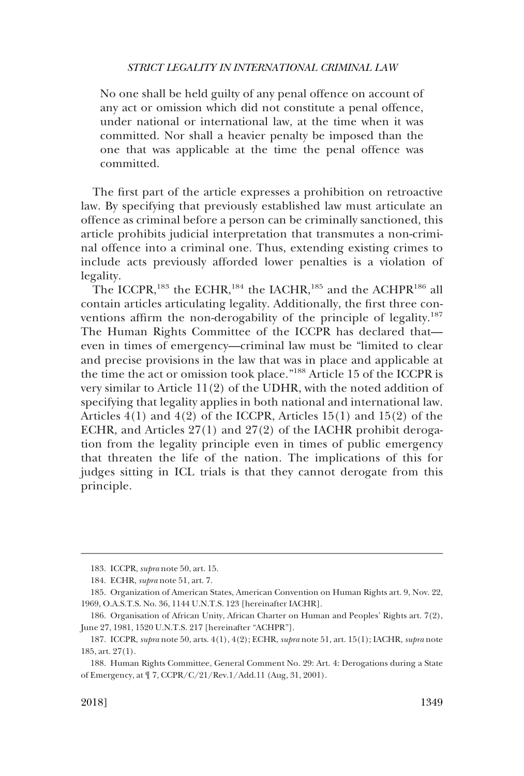No one shall be held guilty of any penal offence on account of any act or omission which did not constitute a penal offence, under national or international law, at the time when it was committed. Nor shall a heavier penalty be imposed than the one that was applicable at the time the penal offence was committed.

The first part of the article expresses a prohibition on retroactive law. By specifying that previously established law must articulate an offence as criminal before a person can be criminally sanctioned, this article prohibits judicial interpretation that transmutes a non-criminal offence into a criminal one. Thus, extending existing crimes to include acts previously afforded lower penalties is a violation of legality.

The ICCPR,<sup>183</sup> the ECHR,<sup>184</sup> the IACHR,<sup>185</sup> and the ACHPR<sup>186</sup> all contain articles articulating legality. Additionally, the first three conventions affirm the non-derogability of the principle of legality.<sup>187</sup> The Human Rights Committee of the ICCPR has declared that even in times of emergency—criminal law must be "limited to clear and precise provisions in the law that was in place and applicable at the time the act or omission took place."188 Article 15 of the ICCPR is very similar to Article 11(2) of the UDHR, with the noted addition of specifying that legality applies in both national and international law. Articles 4(1) and 4(2) of the ICCPR, Articles 15(1) and 15(2) of the ECHR, and Articles 27(1) and 27(2) of the IACHR prohibit derogation from the legality principle even in times of public emergency that threaten the life of the nation. The implications of this for judges sitting in ICL trials is that they cannot derogate from this principle.

<sup>183.</sup> ICCPR, *supra* note 50, art. 15.

<sup>184.</sup> ECHR, *supra* note 51, art. 7.

<sup>185.</sup> Organization of American States, American Convention on Human Rights art. 9, Nov. 22, 1969, O.A.S.T.S. No. 36, 1144 U.N.T.S. 123 [hereinafter IACHR].

<sup>186.</sup> Organisation of African Unity, African Charter on Human and Peoples' Rights art. 7(2), June 27, 1981, 1520 U.N.T.S. 217 [hereinafter "ACHPR"].

<sup>187.</sup> ICCPR, *supra* note 50, arts. 4(1), 4(2); ECHR, *supra* note 51, art. 15(1); IACHR, *supra* note 185, art. 27(1).

<sup>188.</sup> Human Rights Committee, General Comment No. 29: Art. 4: Derogations during a State of Emergency, at ¶ 7, CCPR/C/21/Rev.1/Add.11 (Aug, 31, 2001).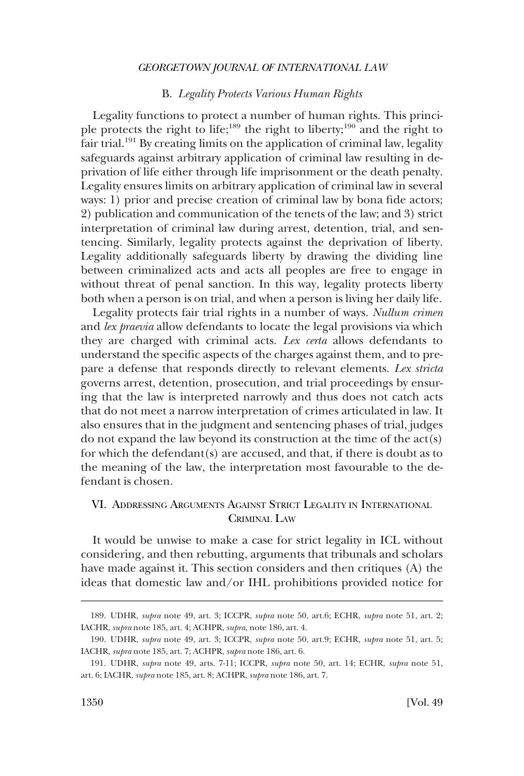### B. *Legality Protects Various Human Rights*

<span id="page-29-0"></span>Legality functions to protect a number of human rights. This principle protects the right to life;<sup>189</sup> the right to liberty;<sup>190</sup> and the right to fair trial.<sup>191</sup> By creating limits on the application of criminal law, legality safeguards against arbitrary application of criminal law resulting in deprivation of life either through life imprisonment or the death penalty. Legality ensures limits on arbitrary application of criminal law in several ways: 1) prior and precise creation of criminal law by bona fide actors; 2) publication and communication of the tenets of the law; and 3) strict interpretation of criminal law during arrest, detention, trial, and sentencing. Similarly, legality protects against the deprivation of liberty. Legality additionally safeguards liberty by drawing the dividing line between criminalized acts and acts all peoples are free to engage in without threat of penal sanction. In this way, legality protects liberty both when a person is on trial, and when a person is living her daily life.

Legality protects fair trial rights in a number of ways. *Nullum crimen*  and *lex praevia* allow defendants to locate the legal provisions via which they are charged with criminal acts. *Lex certa* allows defendants to understand the specific aspects of the charges against them, and to prepare a defense that responds directly to relevant elements. *Lex stricta*  governs arrest, detention, prosecution, and trial proceedings by ensuring that the law is interpreted narrowly and thus does not catch acts that do not meet a narrow interpretation of crimes articulated in law. It also ensures that in the judgment and sentencing phases of trial, judges do not expand the law beyond its construction at the time of the act(s) for which the defendant(s) are accused, and that, if there is doubt as to the meaning of the law, the interpretation most favourable to the defendant is chosen.

# VI. ADDRESSING ARGUMENTS AGAINST STRICT LEGALITY IN INTERNATIONAL CRIMINAL LAW

It would be unwise to make a case for strict legality in ICL without considering, and then rebutting, arguments that tribunals and scholars have made against it. This section considers and then critiques (A) the ideas that domestic law and/or IHL prohibitions provided notice for

<sup>189.</sup> UDHR, *supra* note 49, art. 3; ICCPR, *supra* note 50, art.6; ECHR, *supra* note 51, art. 2; IACHR, *supra* note 185, art. 4; ACHPR, *supra*, note 186, art. 4.

<sup>190.</sup> UDHR, *supra* note 49, art. 3; ICCPR, *supra* note 50, art.9; ECHR, *supra* note 51, art. 5; IACHR, *supra* note 185, art. 7; ACHPR, *supra* note 186, art. 6.

<sup>191.</sup> UDHR, *supra* note 49, arts. 7-11; ICCPR, *supra* note 50, art. 14; ECHR, *supra* note 51, art. 6; IACHR, *supra* note 185, art. 8; ACHPR, *supra* note 186, art. 7.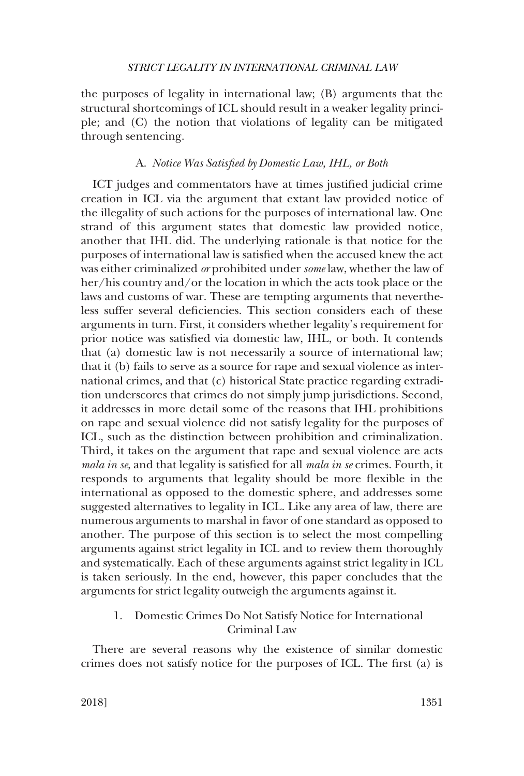<span id="page-30-0"></span>the purposes of legality in international law; (B) arguments that the structural shortcomings of ICL should result in a weaker legality principle; and (C) the notion that violations of legality can be mitigated through sentencing.

# A. *Notice Was Satisfied by Domestic Law, IHL, or Both*

ICT judges and commentators have at times justified judicial crime creation in ICL via the argument that extant law provided notice of the illegality of such actions for the purposes of international law. One strand of this argument states that domestic law provided notice, another that IHL did. The underlying rationale is that notice for the purposes of international law is satisfied when the accused knew the act was either criminalized *or* prohibited under *some* law, whether the law of her/his country and/or the location in which the acts took place or the laws and customs of war. These are tempting arguments that nevertheless suffer several deficiencies. This section considers each of these arguments in turn. First, it considers whether legality's requirement for prior notice was satisfied via domestic law, IHL, or both. It contends that (a) domestic law is not necessarily a source of international law; that it (b) fails to serve as a source for rape and sexual violence as international crimes, and that (c) historical State practice regarding extradition underscores that crimes do not simply jump jurisdictions. Second, it addresses in more detail some of the reasons that IHL prohibitions on rape and sexual violence did not satisfy legality for the purposes of ICL, such as the distinction between prohibition and criminalization. Third, it takes on the argument that rape and sexual violence are acts *mala in se*, and that legality is satisfied for all *mala in se* crimes. Fourth, it responds to arguments that legality should be more flexible in the international as opposed to the domestic sphere, and addresses some suggested alternatives to legality in ICL. Like any area of law, there are numerous arguments to marshal in favor of one standard as opposed to another. The purpose of this section is to select the most compelling arguments against strict legality in ICL and to review them thoroughly and systematically. Each of these arguments against strict legality in ICL is taken seriously. In the end, however, this paper concludes that the arguments for strict legality outweigh the arguments against it.

1. Domestic Crimes Do Not Satisfy Notice for International Criminal Law

There are several reasons why the existence of similar domestic crimes does not satisfy notice for the purposes of ICL. The first (a) is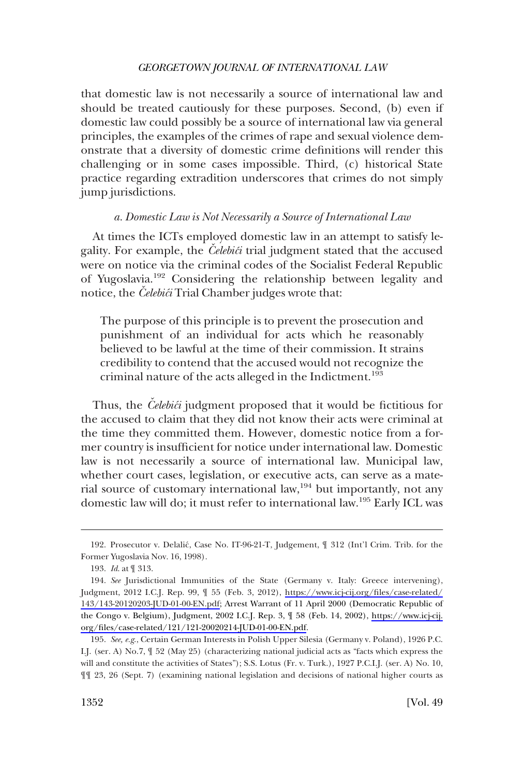<span id="page-31-0"></span>that domestic law is not necessarily a source of international law and should be treated cautiously for these purposes. Second, (b) even if domestic law could possibly be a source of international law via general principles, the examples of the crimes of rape and sexual violence demonstrate that a diversity of domestic crime definitions will render this challenging or in some cases impossible. Third, (c) historical State practice regarding extradition underscores that crimes do not simply jump jurisdictions.

### *a. Domestic Law is Not Necessarily a Source of International Law*

At times the ICTs employed domestic law in an attempt to satisfy legality. For example, the *Celebic*i trial judgment stated that the accused were on notice via the criminal codes of the Socialist Federal Republic of Yugoslavia.192 Considering the relationship between legality and notice, the *Celebici* Trial Chamber judges wrote that:

The purpose of this principle is to prevent the prosecution and punishment of an individual for acts which he reasonably believed to be lawful at the time of their commission. It strains credibility to contend that the accused would not recognize the criminal nature of the acts alleged in the Indictment.<sup>193</sup>

Thus, the *Celebici* judgment proposed that it would be fictitious for the accused to claim that they did not know their acts were criminal at the time they committed them. However, domestic notice from a former country is insufficient for notice under international law. Domestic law is not necessarily a source of international law. Municipal law, whether court cases, legislation, or executive acts, can serve as a material source of customary international law,<sup>194</sup> but importantly, not any domestic law will do; it must refer to international law.195 Early ICL was

<sup>192.</sup> Prosecutor v. Delalic´, Case No. IT-96-21-T, Judgement, ¶ 312 (Int'l Crim. Trib. for the Former Yugoslavia Nov. 16, 1998).

<sup>193.</sup> *Id*. at ¶ 313.

<sup>194.</sup> See Jurisdictional Immunities of the State (Germany v. Italy: Greece intervening), Judgment, 2012 I.C.J. Rep. 99, ¶ 55 (Feb. 3, 2012), [https://www.icj-cij.org/files/case-related/](https://www.icj-cij.org/files/case-related/143/143-20120203-JUD-01-00-EN.pdf)  [143/143-20120203-JUD-01-00-EN.pdf;](https://www.icj-cij.org/files/case-related/143/143-20120203-JUD-01-00-EN.pdf) Arrest Warrant of 11 April 2000 (Democratic Republic of the Congo v. Belgium), Judgment, 2002 I.C.J. Rep. 3, ¶ 58 (Feb. 14, 2002), [https://www.icj-cij.](https://www.icj-cij.org/files/case-related/121/121-20020214-JUD-01-00-EN.pdf) [org/files/case-related/121/121-20020214-JUD-01-00-EN.pdf](https://www.icj-cij.org/files/case-related/121/121-20020214-JUD-01-00-EN.pdf).

<sup>195.</sup> *See, e.g*., Certain German Interests in Polish Upper Silesia (Germany v. Poland), 1926 P.C. I.J. (ser. A) No.7, ¶ 52 (May 25) (characterizing national judicial acts as "facts which express the will and constitute the activities of States"); S.S. Lotus (Fr. v. Turk.), 1927 P.C.I.J. (ser. A) No. 10, ¶¶ 23, 26 (Sept. 7) (examining national legislation and decisions of national higher courts as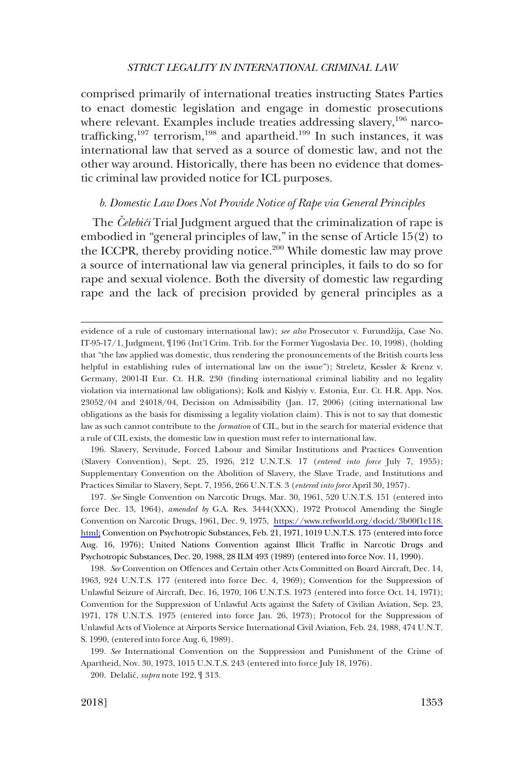<span id="page-32-0"></span>comprised primarily of international treaties instructing States Parties to enact domestic legislation and engage in domestic prosecutions where relevant. Examples include treaties addressing slavery,<sup>196</sup> narcotrafficking,<sup>197</sup> terrorism,<sup>198</sup> and apartheid.<sup>199</sup> In such instances, it was international law that served as a source of domestic law, and not the other way around. Historically, there has been no evidence that domestic criminal law provided notice for ICL purposes.

# *b. Domestic Law Does Not Provide Notice of Rape via General Principles*

The *Celebici* Trial Judgment argued that the criminalization of rape is embodied in "general principles of law," in the sense of Article 15(2) to the ICCPR, thereby providing notice.<sup>200</sup> While domestic law may prove a source of international law via general principles, it fails to do so for rape and sexual violence. Both the diversity of domestic law regarding rape and the lack of precision provided by general principles as a

196. Slavery, Servitude, Forced Labour and Similar Institutions and Practices Convention (Slavery Convention), Sept. 25, 1926, 212 U.N.T.S. 17 (*entered into force* July 7, 1955); Supplementary Convention on the Abolition of Slavery, the Slave Trade, and Institutions and Practices Similar to Slavery, Sept. 7, 1956, 266 U.N.T.S. 3 (*entered into force* April 30, 1957).

*See* Single Convention on Narcotic Drugs, Mar. 30, 1961, 520 U.N.T.S. 151 (entered into 197. force Dec. 13, 1964), *amended by* G.A. Res. 3444(XXX), 1972 Protocol Amending the Single Convention on Narcotic Drugs, 1961, Dec. 9, 1975, [https://www.refworld.org/docid/3b00f1c118.](https://www.refworld.org/docid/3b00f1c118.html)  [html;](https://www.refworld.org/docid/3b00f1c118.html) Convention on Psychotropic Substances, Feb. 21, 1971, 1019 U.N.T.S. 175 (entered into force Aug. 16, 1976); United Nations Convention against Illicit Traffic in Narcotic Drugs and Psychotropic Substances, Dec. 20, 1988, 28 ILM 493 (1989) (entered into force Nov. 11, 1990).

198. *See* Convention on Offences and Certain other Acts Committed on Board Aircraft, Dec. 14, 1963, 924 U.N.T.S. 177 (entered into force Dec. 4, 1969); Convention for the Suppression of Unlawful Seizure of Aircraft, Dec. 16, 1970, 106 U.N.T.S. 1973 (entered into force Oct. 14, 1971); Convention for the Suppression of Unlawful Acts against the Safety of Civilian Aviation, Sep. 23, 1971, 178 U.N.T.S. 1975 (entered into force Jan. 26, 1973); Protocol for the Suppression of Unlawful Acts of Violence at Airports Service International Civil Aviation, Feb. 24, 1988, 474 U.N.T. S. 1990, (entered into force Aug. 6, 1989).

199. *See* International Convention on the Suppression and Punishment of the Crime of Apartheid, Nov. 30, 1973, 1015 U.N.T.S. 243 (entered into force July 18, 1976).

200. Delalic´, *supra* note 192, ¶ 313.

evidence of a rule of customary international law); *see also* Prosecutor v. Furundžija, Case No. IT-95-17/1, Judgment, ¶196 (Int'l Crim. Trib. for the Former Yugoslavia Dec. 10, 1998), (holding that "the law applied was domestic, thus rendering the pronouncements of the British courts less helpful in establishing rules of international law on the issue"); Streletz, Kessler & Krenz v. Germany, 2001-II Eur. Ct. H.R. 230 (finding international criminal liability and no legality violation via international law obligations); Kolk and Kislyiy v. Estonia, Eur. Ct. H.R. App. Nos. 23052/04 and 24018/04, Decision on Admissibility (Jan. 17, 2006) (citing international law obligations as the basis for dismissing a legality violation claim). This is not to say that domestic law as such cannot contribute to the *formation* of CIL, but in the search for material evidence that a rule of CIL exists, the domestic law in question must refer to international law.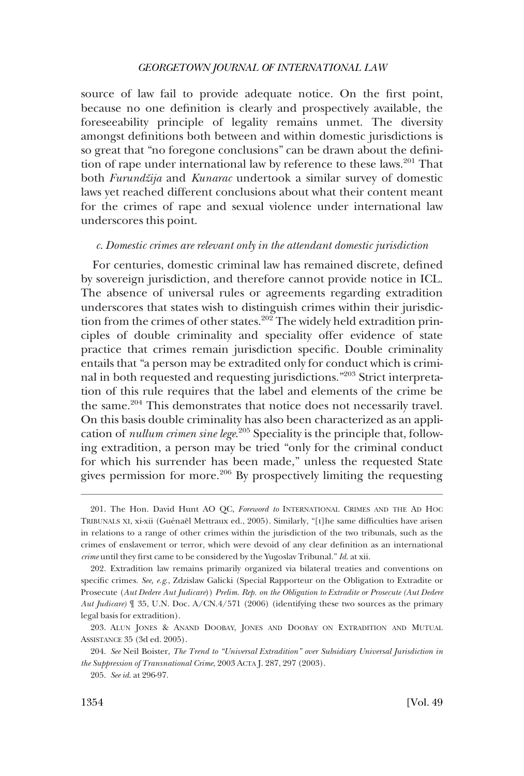<span id="page-33-0"></span>source of law fail to provide adequate notice. On the first point, because no one definition is clearly and prospectively available, the foreseeability principle of legality remains unmet. The diversity amongst definitions both between and within domestic jurisdictions is so great that "no foregone conclusions" can be drawn about the definition of rape under international law by reference to these laws.<sup>201</sup> That both *Furundžija* and *Kunarac* undertook a similar survey of domestic laws yet reached different conclusions about what their content meant for the crimes of rape and sexual violence under international law underscores this point.

# *c. Domestic crimes are relevant only in the attendant domestic jurisdiction*

For centuries, domestic criminal law has remained discrete, defined by sovereign jurisdiction, and therefore cannot provide notice in ICL. The absence of universal rules or agreements regarding extradition underscores that states wish to distinguish crimes within their jurisdiction from the crimes of other states.<sup>202</sup> The widely held extradition principles of double criminality and speciality offer evidence of state practice that crimes remain jurisdiction specific. Double criminality entails that "a person may be extradited only for conduct which is criminal in both requested and requesting jurisdictions."203 Strict interpretation of this rule requires that the label and elements of the crime be the same.204 This demonstrates that notice does not necessarily travel. On this basis double criminality has also been characterized as an application of *nullum crimen sine lege*. 205 Speciality is the principle that, following extradition, a person may be tried "only for the criminal conduct for which his surrender has been made," unless the requested State gives permission for more.206 By prospectively limiting the requesting

<sup>201.</sup> The Hon. David Hunt AO QC, *Foreword to* INTERNATIONAL CRIMES AND THE AD HOC TRIBUNALS XI, xi-xii (Guénaël Mettraux ed., 2005). Similarly, "[t]he same difficulties have arisen in relations to a range of other crimes within the jurisdiction of the two tribunals, such as the crimes of enslavement or terror, which were devoid of any clear definition as an international *crime* until they first came to be considered by the Yugoslav Tribunal." *Id*. at xii.

<sup>202.</sup> Extradition law remains primarily organized via bilateral treaties and conventions on specific crimes. *See, e.g*., Zdzislaw Galicki (Special Rapporteur on the Obligation to Extradite or Prosecute (*Aut Dedere Aut Judicare*)) *Prelim. Rep. on the Obligation to Extradite or Prosecute (Aut Dedere Aut Judicare)* ¶ 35, U.N. Doc. A/CN.4/571 (2006) (identifying these two sources as the primary legal basis for extradition).

<sup>203.</sup> ALUN JONES & ANAND DOOBAY, JONES AND DOOBAY ON EXTRADITION AND MUTUAL ASSISTANCE 35 (3d ed. 2005).

<sup>204.</sup> *See* Neil Boister, *The Trend to "Universal Extradition" over Subsidiary Universal Jurisdiction in the Suppression of Transnational Crime*, 2003 ACTA J. 287, 297 (2003).

<sup>205.</sup> *See id*. at 296-97.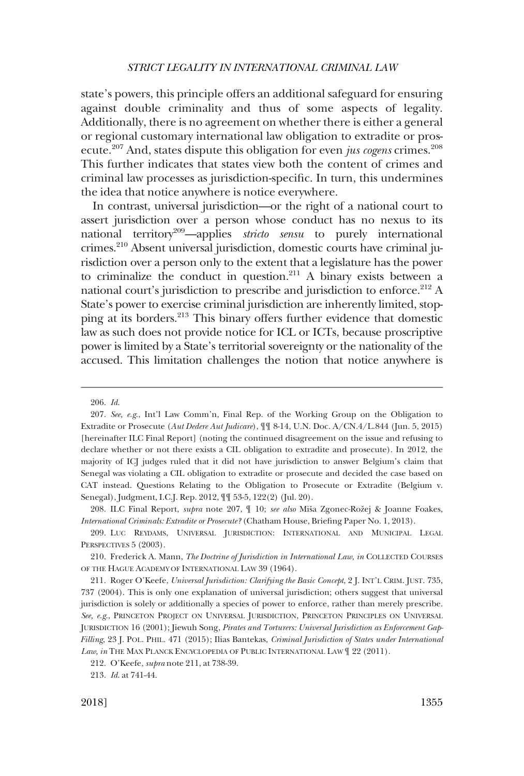state's powers, this principle offers an additional safeguard for ensuring against double criminality and thus of some aspects of legality. Additionally, there is no agreement on whether there is either a general or regional customary international law obligation to extradite or prosecute.207 And, states dispute this obligation for even *jus cogens* crimes.208 This further indicates that states view both the content of crimes and criminal law processes as jurisdiction-specific. In turn, this undermines the idea that notice anywhere is notice everywhere.

In contrast, universal jurisdiction—or the right of a national court to assert jurisdiction over a person whose conduct has no nexus to its national territory209—applies *stricto sensu* to purely international crimes.210 Absent universal jurisdiction, domestic courts have criminal jurisdiction over a person only to the extent that a legislature has the power to criminalize the conduct in question.<sup>211</sup> A binary exists between a national court's jurisdiction to prescribe and jurisdiction to enforce.<sup>212</sup> A State's power to exercise criminal jurisdiction are inherently limited, stopping at its borders.213 This binary offers further evidence that domestic law as such does not provide notice for ICL or ICTs, because proscriptive power is limited by a State's territorial sovereignty or the nationality of the accused. This limitation challenges the notion that notice anywhere is

<sup>206.</sup> *Id*.

<sup>207.</sup> *See, e.g*., Int'l Law Comm'n, Final Rep. of the Working Group on the Obligation to Extradite or Prosecute (*Aut Dedere Aut Judicare*), ¶¶ 8-14, U.N. Doc. A/CN.4/L.844 (Jun. 5, 2015) [hereinafter ILC Final Report] (noting the continued disagreement on the issue and refusing to declare whether or not there exists a CIL obligation to extradite and prosecute). In 2012, the majority of ICJ judges ruled that it did not have jurisdiction to answer Belgium's claim that Senegal was violating a CIL obligation to extradite or prosecute and decided the case based on CAT instead. Questions Relating to the Obligation to Prosecute or Extradite (Belgium v. Senegal), Judgment, I.C.J. Rep. 2012, ¶¶ 53-5, 122(2) (Jul. 20).

<sup>208.</sup> ILC Final Report, *supra* note 207,  $\parallel$  10; *see also* Miša Zgonec-Rožej & Joanne Foakes, *International Criminals: Extradite or Prosecute?* (Chatham House, Briefing Paper No. 1, 2013).

<sup>209.</sup> LUC REYDAMS, UNIVERSAL JURISDICTION: INTERNATIONAL AND MUNICIPAL LEGAL PERSPECTIVES 5 (2003).

<sup>210.</sup> Frederick A. Mann, *The Doctrine of Jurisdiction in International Law, in* COLLECTED COURSES OF THE HAGUE ACADEMY OF INTERNATIONAL LAW 39 (1964).

<sup>211.</sup> Roger O'Keefe, *Universal Jurisdiction: Clarifying the Basic Concept*, 2 J. INT'L CRIM. JUST. 735, 737 (2004). This is only one explanation of universal jurisdiction; others suggest that universal jurisdiction is solely or additionally a species of power to enforce, rather than merely prescribe. *See, e.g*., PRINCETON PROJECT ON UNIVERSAL JURISDICTION, PRINCETON PRINCIPLES ON UNIVERSAL JURISDICTION 16 (2001); Jiewuh Song, *Pirates and Torturers: Universal Jurisdiction as Enforcement Gap-Filling*, 23 J. POL. PHIL. 471 (2015); Ilias Bantekas, *Criminal Jurisdiction of States under International*  Law, in THE MAX PLANCK ENCYCLOPEDIA OF PUBLIC INTERNATIONAL LAW  $\mathbb{I}$  22 (2011).

<sup>212.</sup> O'Keefe, *supra* note 211, at 738-39.

<sup>213.</sup> *Id*. at 741-44.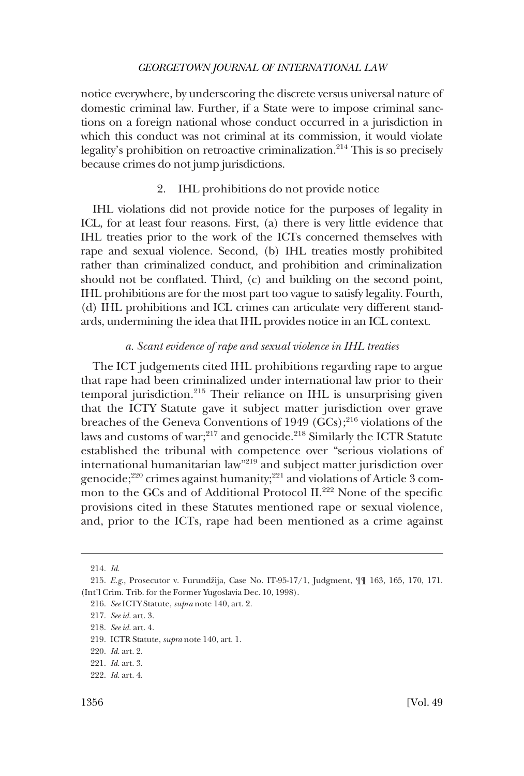<span id="page-35-0"></span>notice everywhere, by underscoring the discrete versus universal nature of domestic criminal law. Further, if a State were to impose criminal sanctions on a foreign national whose conduct occurred in a jurisdiction in which this conduct was not criminal at its commission, it would violate legality's prohibition on retroactive criminalization. $2^{14}$  This is so precisely because crimes do not jump jurisdictions.

### 2. IHL prohibitions do not provide notice

IHL violations did not provide notice for the purposes of legality in ICL, for at least four reasons. First, (a) there is very little evidence that IHL treaties prior to the work of the ICTs concerned themselves with rape and sexual violence. Second, (b) IHL treaties mostly prohibited rather than criminalized conduct, and prohibition and criminalization should not be conflated. Third, (c) and building on the second point, IHL prohibitions are for the most part too vague to satisfy legality. Fourth, (d) IHL prohibitions and ICL crimes can articulate very different standards, undermining the idea that IHL provides notice in an ICL context.

#### *a. Scant evidence of rape and sexual violence in IHL treaties*

The ICT judgements cited IHL prohibitions regarding rape to argue that rape had been criminalized under international law prior to their  $temporal$  jurisdiction.<sup>215</sup> Their reliance on IHL is unsurprising given that the ICTY Statute gave it subject matter jurisdiction over grave breaches of the Geneva Conventions of 1949  $(GCs)$ ;  $^{216}$  violations of the laws and customs of war;<sup>217</sup> and genocide.<sup>218</sup> Similarly the ICTR Statute established the tribunal with competence over "serious violations of international humanitarian law"219 and subject matter jurisdiction over genocide;<sup>220</sup> crimes against humanity;<sup>221</sup> and violations of Article 3 common to the GCs and of Additional Protocol II.<sup>222</sup> None of the specific provisions cited in these Statutes mentioned rape or sexual violence, and, prior to the ICTs, rape had been mentioned as a crime against

<sup>214.</sup> *Id*.

<sup>215.</sup> *E.g.*, Prosecutor v. Furundžija, Case No. IT-95-17/1, Judgment,  $\P$  [163, 165, 170, 171. (Int'l Crim. Trib. for the Former Yugoslavia Dec. 10, 1998).

<sup>216.</sup> *See* ICTY Statute, *supra* note 140, art. 2.

<sup>217.</sup> *See id*. art. 3.

<sup>218.</sup> *See id*. art. 4.

<sup>219.</sup> ICTR Statute, *supra* note 140, art. 1.

<sup>220.</sup> *Id*. art. 2.

<sup>221.</sup> *Id*. art. 3.

<sup>222.</sup> *Id*. art. 4.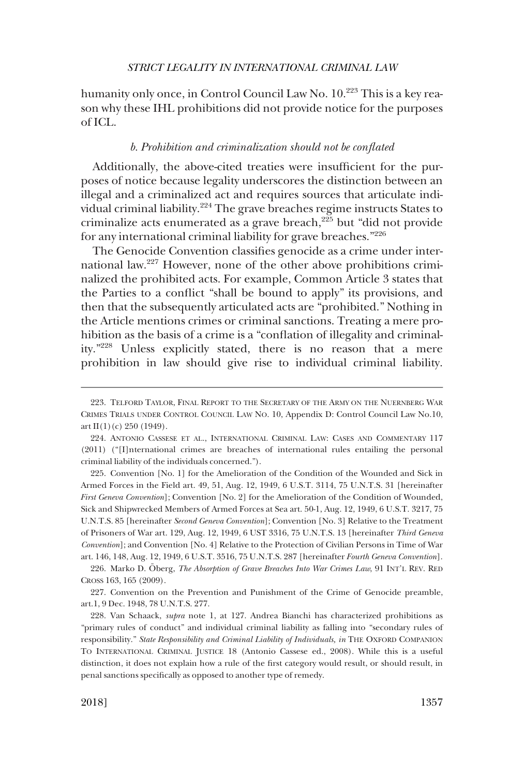<span id="page-36-0"></span>humanity only once, in Control Council Law No. 10.<sup>223</sup> This is a key reason why these IHL prohibitions did not provide notice for the purposes of ICL.

# *b. Prohibition and criminalization should not be conflated*

Additionally, the above-cited treaties were insufficient for the purposes of notice because legality underscores the distinction between an illegal and a criminalized act and requires sources that articulate individual criminal liability.224 The grave breaches regime instructs States to criminalize acts enumerated as a grave breach, $225$  but "did not provide" for any international criminal liability for grave breaches."<sup>226</sup>

The Genocide Convention classifies genocide as a crime under international law.227 However, none of the other above prohibitions criminalized the prohibited acts. For example, Common Article 3 states that the Parties to a conflict "shall be bound to apply" its provisions, and then that the subsequently articulated acts are "prohibited." Nothing in the Article mentions crimes or criminal sanctions. Treating a mere prohibition as the basis of a crime is a "conflation of illegality and criminality."228 Unless explicitly stated, there is no reason that a mere prohibition in law should give rise to individual criminal liability.

225. Convention [No. 1] for the Amelioration of the Condition of the Wounded and Sick in Armed Forces in the Field art. 49, 51, Aug. 12, 1949, 6 U.S.T. 3114, 75 U.N.T.S. 31 [hereinafter *First Geneva Convention*]; Convention [No. 2] for the Amelioration of the Condition of Wounded, Sick and Shipwrecked Members of Armed Forces at Sea art. 50-1, Aug. 12, 1949, 6 U.S.T. 3217, 75 U.N.T.S. 85 [hereinafter *Second Geneva Convention*]; Convention [No. 3] Relative to the Treatment of Prisoners of War art. 129, Aug. 12, 1949, 6 UST 3316, 75 U.N.T.S. 13 [hereinafter *Third Geneva Convention*]; and Convention [No. 4] Relative to the Protection of Civilian Persons in Time of War art. 146, 148, Aug. 12, 1949, 6 U.S.T. 3516, 75 U.N.T.S. 287 [hereinafter *Fourth Geneva Convention*].

226. Marko D. Öberg, *The Absorption of Grave Breaches Into War Crimes Law*, 91 INT'L REV. RED CROSS 163, 165 (2009).

227. Convention on the Prevention and Punishment of the Crime of Genocide preamble, art.1, 9 Dec. 1948, 78 U.N.T.S. 277.

<sup>223.</sup> TELFORD TAYLOR, FINAL REPORT TO THE SECRETARY OF THE ARMY ON THE NUERNBERG WAR CRIMES TRIALS UNDER CONTROL COUNCIL LAW NO. 10, Appendix D: Control Council Law No.10,  $art II(1)(c) 250 (1949).$ 

<sup>224.</sup> ANTONIO CASSESE ET AL., INTERNATIONAL CRIMINAL LAW: CASES AND COMMENTARY 117 (2011) ("[I]nternational crimes are breaches of international rules entailing the personal criminal liability of the individuals concerned.").

<sup>228.</sup> Van Schaack, *supra* note 1, at 127. Andrea Bianchi has characterized prohibitions as "primary rules of conduct" and individual criminal liability as falling into "secondary rules of responsibility." *State Responsibility and Criminal Liability of Individuals, in* THE OXFORD COMPANION TO INTERNATIONAL CRIMINAL JUSTICE 18 (Antonio Cassese ed., 2008). While this is a useful distinction, it does not explain how a rule of the first category would result, or should result, in penal sanctions specifically as opposed to another type of remedy.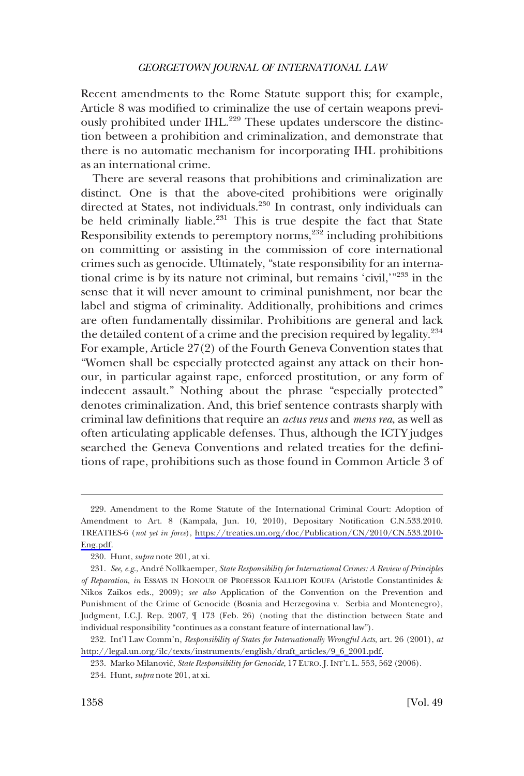Recent amendments to the Rome Statute support this; for example, Article 8 was modified to criminalize the use of certain weapons previously prohibited under IHL.<sup>229</sup> These updates underscore the distinction between a prohibition and criminalization, and demonstrate that there is no automatic mechanism for incorporating IHL prohibitions as an international crime.

There are several reasons that prohibitions and criminalization are distinct. One is that the above-cited prohibitions were originally directed at States, not individuals.<sup>230</sup> In contrast, only individuals can be held criminally liable.<sup>231</sup> This is true despite the fact that State Responsibility extends to peremptory norms,<sup>232</sup> including prohibitions on committing or assisting in the commission of core international crimes such as genocide. Ultimately, "state responsibility for an international crime is by its nature not criminal, but remains 'civil,'"233 in the sense that it will never amount to criminal punishment, nor bear the label and stigma of criminality. Additionally, prohibitions and crimes are often fundamentally dissimilar. Prohibitions are general and lack the detailed content of a crime and the precision required by legality.234 For example, Article 27(2) of the Fourth Geneva Convention states that "Women shall be especially protected against any attack on their honour, in particular against rape, enforced prostitution, or any form of indecent assault." Nothing about the phrase "especially protected" denotes criminalization. And, this brief sentence contrasts sharply with criminal law definitions that require an *actus reus* and *mens rea*, as well as often articulating applicable defenses. Thus, although the ICTY judges searched the Geneva Conventions and related treaties for the definitions of rape, prohibitions such as those found in Common Article 3 of

<sup>229.</sup> Amendment to the Rome Statute of the International Criminal Court: Adoption of Amendment to Art. 8 (Kampala, Jun. 10, 2010), Depositary Notification C.N.533.2010. TREATIES-6 (*not yet in force*), [https://treaties.un.org/doc/Publication/CN/2010/CN.533.2010-](https://treaties.un.org/doc/Publication/CN/2010/CN.533.2010-Eng.pdf) [Eng.pdf.](https://treaties.un.org/doc/Publication/CN/2010/CN.533.2010-Eng.pdf)

<sup>230.</sup> Hunt, *supra* note 201, at xi.

<sup>231.</sup> *See, e.g*., Andre´ Nollkaemper, *State Responsibility for International Crimes: A Review of Principles of Reparation, in* ESSAYS IN HONOUR OF PROFESSOR KALLIOPI KOUFA (Aristotle Constantinides & Nikos Zaikos eds., 2009); *see also* Application of the Convention on the Prevention and Punishment of the Crime of Genocide (Bosnia and Herzegovina v. Serbia and Montenegro), Judgment, I.C.J. Rep. 2007, ¶ 173 (Feb. 26) (noting that the distinction between State and individual responsibility "continues as a constant feature of international law").

<sup>232.</sup> Int'l Law Comm'n, *Responsibility of States for Internationally Wrongful Acts*, art. 26 (2001), *at* [http://legal.un.org/ilc/texts/instruments/english/draft\\_articles/9\\_6\\_2001.pdf](http://legal.un.org/ilc/texts/instruments/english/draft_articles/9_6_2001.pdf).

<sup>233.</sup> Marko Milanovic´, *State Responsibility for Genocide*, 17 EURO. J. INT'L L. 553, 562 (2006).

<sup>234.</sup> Hunt, *supra* note 201, at xi.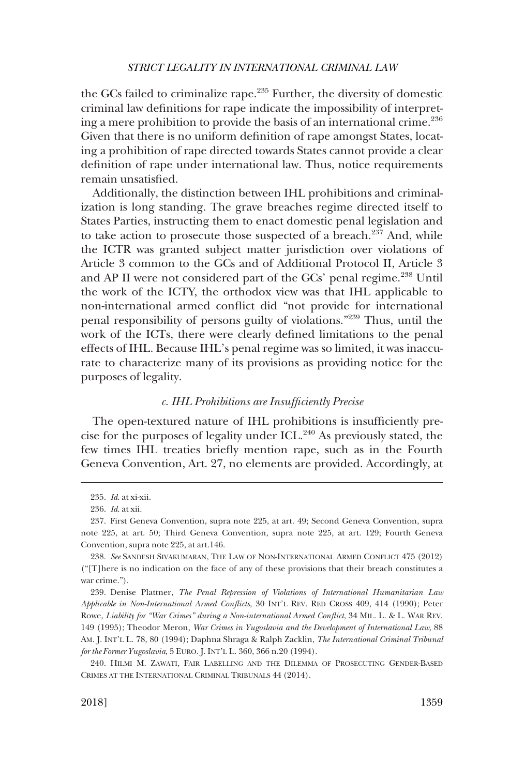<span id="page-38-0"></span>the GCs failed to criminalize rape. $235$  Further, the diversity of domestic criminal law definitions for rape indicate the impossibility of interpreting a mere prohibition to provide the basis of an international crime.<sup>236</sup> Given that there is no uniform definition of rape amongst States, locating a prohibition of rape directed towards States cannot provide a clear definition of rape under international law. Thus, notice requirements remain unsatisfied.

Additionally, the distinction between IHL prohibitions and criminalization is long standing. The grave breaches regime directed itself to States Parties, instructing them to enact domestic penal legislation and to take action to prosecute those suspected of a breach. $237$  And, while the ICTR was granted subject matter jurisdiction over violations of Article 3 common to the GCs and of Additional Protocol II, Article 3 and AP II were not considered part of the GCs' penal regime.<sup>238</sup> Until the work of the ICTY, the orthodox view was that IHL applicable to non-international armed conflict did "not provide for international penal responsibility of persons guilty of violations."239 Thus, until the work of the ICTs, there were clearly defined limitations to the penal effects of IHL. Because IHL's penal regime was so limited, it was inaccurate to characterize many of its provisions as providing notice for the purposes of legality.

### *c. IHL Prohibitions are Insufficiently Precise*

The open-textured nature of IHL prohibitions is insufficiently precise for the purposes of legality under ICL.240 As previously stated, the few times IHL treaties briefly mention rape, such as in the Fourth Geneva Convention, Art. 27, no elements are provided. Accordingly, at

240. HILMI M. ZAWATI, FAIR LABELLING AND THE DILEMMA OF PROSECUTING GENDER-BASED CRIMES AT THE INTERNATIONAL CRIMINAL TRIBUNALS 44 (2014).

<sup>235.</sup> *Id*. at xi-xii.

<sup>236.</sup> *Id*. at xii.

<sup>237.</sup> First Geneva Convention, supra note 225, at art. 49; Second Geneva Convention, supra note 225, at art. 50; Third Geneva Convention, supra note 225, at art. 129; Fourth Geneva Convention, supra note 225, at art.146.

<sup>238.</sup> *See* SANDESH SIVAKUMARAN, THE LAW OF NON-INTERNATIONAL ARMED CONFLICT 475 (2012) ("[T]here is no indication on the face of any of these provisions that their breach constitutes a war crime.").

<sup>239.</sup> Denise Plattner, *The Penal Repression of Violations of International Humanitarian Law Applicable in Non-International Armed Conflicts*, 30 INT'L REV. RED CROSS 409, 414 (1990); Peter Rowe, *Liability for "War Crimes" during a Non-international Armed Conflict*, 34 MIL. L. & L. WAR REV. 149 (1995); Theodor Meron, *War Crimes in Yugoslavia and the Development of International Law*, 88 AM. J. INT'L L. 78, 80 (1994); Daphna Shraga & Ralph Zacklin, *The International Criminal Tribunal for the Former Yugoslavia*, 5 EURO. J. INT'L L. 360, 366 n.20 (1994).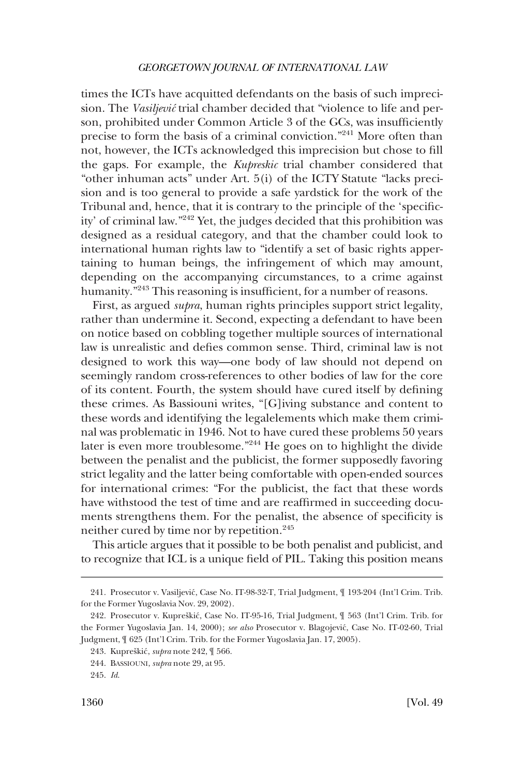times the ICTs have acquitted defendants on the basis of such imprecision. The *Vasiljević* trial chamber decided that "violence to life and person, prohibited under Common Article 3 of the GCs, was insufficiently precise to form the basis of a criminal conviction."241 More often than not, however, the ICTs acknowledged this imprecision but chose to fill the gaps. For example, the *Kupreskic* trial chamber considered that "other inhuman acts" under Art. 5(i) of the ICTY Statute "lacks precision and is too general to provide a safe yardstick for the work of the Tribunal and, hence, that it is contrary to the principle of the 'specificity' of criminal law."242 Yet, the judges decided that this prohibition was designed as a residual category, and that the chamber could look to international human rights law to "identify a set of basic rights appertaining to human beings, the infringement of which may amount, depending on the accompanying circumstances, to a crime against humanity."<sup>243</sup> This reasoning is insufficient, for a number of reasons.

First, as argued *supra*, human rights principles support strict legality, rather than undermine it. Second, expecting a defendant to have been on notice based on cobbling together multiple sources of international law is unrealistic and defies common sense. Third, criminal law is not designed to work this way—one body of law should not depend on seemingly random cross-references to other bodies of law for the core of its content. Fourth, the system should have cured itself by defining these crimes. As Bassiouni writes, "[G]iving substance and content to these words and identifying the legalelements which make them criminal was problematic in 1946. Not to have cured these problems 50 years later is even more troublesome."244 He goes on to highlight the divide between the penalist and the publicist, the former supposedly favoring strict legality and the latter being comfortable with open-ended sources for international crimes: "For the publicist, the fact that these words have withstood the test of time and are reaffirmed in succeeding documents strengthens them. For the penalist, the absence of specificity is neither cured by time nor by repetition.<sup>245</sup>

This article argues that it possible to be both penalist and publicist, and to recognize that ICL is a unique field of PIL. Taking this position means

<sup>241.</sup> Prosecutor v. Vasiljević, Case No. IT-98-32-T, Trial Judgment,  $\parallel$  193-204 (Int'l Crim. Trib. for the Former Yugoslavia Nov. 29, 2002).

<sup>242.</sup> Prosecutor v. Kupreškić, Case No. IT-95-16, Trial Judgment,  $\int$  563 (Int'l Crim. Trib. for the Former Yugoslavia Jan. 14, 2000); *see also* Prosecutor v. Blagojevic´, Case No. IT-02-60, Trial Judgment, ¶ 625 (Int'l Crim. Trib. for the Former Yugoslavia Jan. 17, 2005).

<sup>243.</sup> Kupreškić, *supra* note 242, ¶ 566.

<sup>244.</sup> BASSIOUNI, *supra* note 29, at 95.

<sup>245.</sup> *Id*.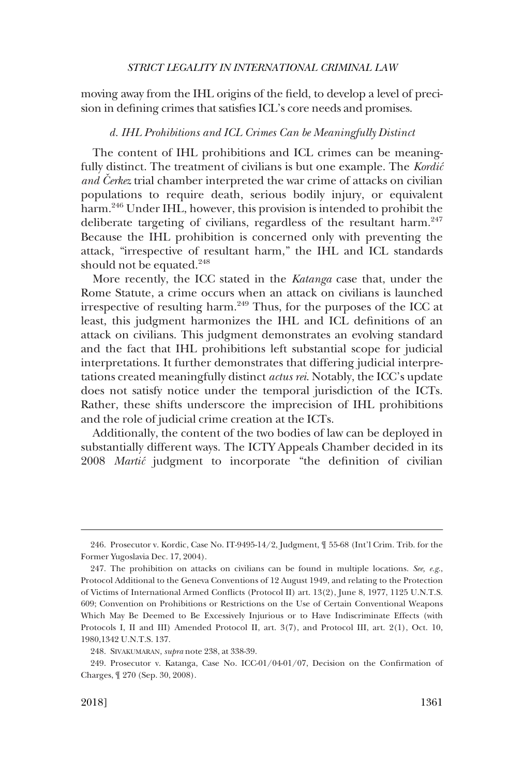<span id="page-40-0"></span>moving away from the IHL origins of the field, to develop a level of precision in defining crimes that satisfies ICL's core needs and promises.

### *d. IHL Prohibitions and ICL Crimes Can be Meaningfully Distinct*

The content of IHL prohibitions and ICL crimes can be meaningfully distinct. The treatment of civilians is but one example. The *Kordic´ and Cerkez* trial chamber interpreted the war crime of attacks on civilian populations to require death, serious bodily injury, or equivalent harm.<sup>246</sup> Under IHL, however, this provision is intended to prohibit the deliberate targeting of civilians, regardless of the resultant harm. $247$ Because the IHL prohibition is concerned only with preventing the attack, "irrespective of resultant harm," the IHL and ICL standards should not be equated. $248$ 

More recently, the ICC stated in the *Katanga* case that, under the Rome Statute, a crime occurs when an attack on civilians is launched irrespective of resulting harm. $249$  Thus, for the purposes of the ICC at least, this judgment harmonizes the IHL and ICL definitions of an attack on civilians. This judgment demonstrates an evolving standard and the fact that IHL prohibitions left substantial scope for judicial interpretations. It further demonstrates that differing judicial interpretations created meaningfully distinct *actus rei*. Notably, the ICC's update does not satisfy notice under the temporal jurisdiction of the ICTs. Rather, these shifts underscore the imprecision of IHL prohibitions and the role of judicial crime creation at the ICTs.

Additionally, the content of the two bodies of law can be deployed in substantially different ways. The ICTY Appeals Chamber decided in its 2008 *Martic´* judgment to incorporate "the definition of civilian

<sup>246.</sup> Prosecutor v. Kordic, Case No. IT-9495-14/2, Judgment, ¶ 55-68 (Int'l Crim. Trib. for the Former Yugoslavia Dec. 17, 2004).

<sup>247.</sup> The prohibition on attacks on civilians can be found in multiple locations. *See, e.g*., Protocol Additional to the Geneva Conventions of 12 August 1949, and relating to the Protection of Victims of International Armed Conflicts (Protocol II) art. 13(2), June 8, 1977, 1125 U.N.T.S. 609; Convention on Prohibitions or Restrictions on the Use of Certain Conventional Weapons Which May Be Deemed to Be Excessively Injurious or to Have Indiscriminate Effects (with Protocols I, II and III) Amended Protocol II, art. 3(7), and Protocol III, art. 2(1), Oct. 10, 1980,1342 U.N.T.S. 137.

<sup>248.</sup> SIVAKUMARAN, *supra* note 238, at 338-39.

<sup>249.</sup> Prosecutor v. Katanga, Case No. ICC-01/04-01/07, Decision on the Confirmation of Charges, ¶ 270 (Sep. 30, 2008).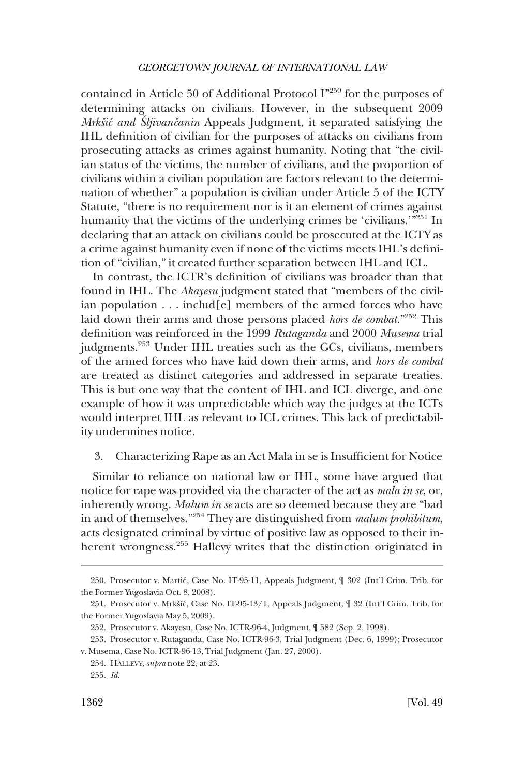<span id="page-41-0"></span>contained in Article 50 of Additional Protocol I"250 for the purposes of determining attacks on civilians. However, in the subsequent 2009 *Mrkšić and Sljivančanin* Appeals Judgment, it separated satisfying the IHL definition of civilian for the purposes of attacks on civilians from prosecuting attacks as crimes against humanity. Noting that "the civilian status of the victims, the number of civilians, and the proportion of civilians within a civilian population are factors relevant to the determination of whether" a population is civilian under Article 5 of the ICTY Statute, "there is no requirement nor is it an element of crimes against humanity that the victims of the underlying crimes be 'civilians.'"251 In declaring that an attack on civilians could be prosecuted at the ICTY as a crime against humanity even if none of the victims meets IHL's definition of "civilian," it created further separation between IHL and ICL.

In contrast, the ICTR's definition of civilians was broader than that found in IHL. The *Akayesu* judgment stated that "members of the civilian population . . . includ[e] members of the armed forces who have laid down their arms and those persons placed *hors de combat*."252 This definition was reinforced in the 1999 *Rutaganda* and 2000 *Musema* trial judgments.<sup>253</sup> Under IHL treaties such as the GCs, civilians, members of the armed forces who have laid down their arms, and *hors de combat*  are treated as distinct categories and addressed in separate treaties. This is but one way that the content of IHL and ICL diverge, and one example of how it was unpredictable which way the judges at the ICTs would interpret IHL as relevant to ICL crimes. This lack of predictability undermines notice.

### 3. Characterizing Rape as an Act Mala in se is Insufficient for Notice

Similar to reliance on national law or IHL, some have argued that notice for rape was provided via the character of the act as *mala in se*, or, inherently wrong. *Malum in se* acts are so deemed because they are "bad in and of themselves."254 They are distinguished from *malum prohibitum*, acts designated criminal by virtue of positive law as opposed to their inherent wrongness.<sup>255</sup> Hallevy writes that the distinction originated in

<sup>250.</sup> Prosecutor v. Martić, Case No. IT-95-11, Appeals Judgment,  $\int$  302 (Int'l Crim. Trib. for the Former Yugoslavia Oct. 8, 2008).

<sup>251.</sup> Prosecutor v. Mrkšić, Case No. IT-95-13/1, Appeals Judgment,  $\parallel$  32 (Int'l Crim. Trib. for the Former Yugoslavia May 5, 2009).

<sup>252.</sup> Prosecutor v. Akayesu, Case No. ICTR-96-4, Judgment, ¶ 582 (Sep. 2, 1998).

<sup>253.</sup> Prosecutor v. Rutaganda, Case No. ICTR-96-3, Trial Judgment (Dec. 6, 1999); Prosecutor v. Musema, Case No. ICTR-96-13, Trial Judgment (Jan. 27, 2000).

<sup>254.</sup> HALLEVY, *supra* note 22, at 23.

<sup>255.</sup> *Id*.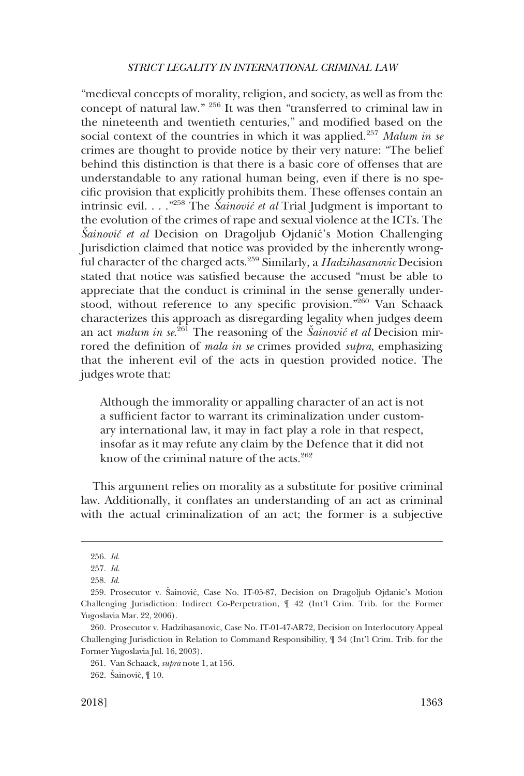"medieval concepts of morality, religion, and society, as well as from the concept of natural law." 256 It was then "transferred to criminal law in the nineteenth and twentieth centuries," and modified based on the social context of the countries in which it was applied.257 *Malum in se*  crimes are thought to provide notice by their very nature: "The belief behind this distinction is that there is a basic core of offenses that are understandable to any rational human being, even if there is no specific provision that explicitly prohibits them. These offenses contain an intrinsic evil. . . .<sup>"258</sup> The *Šainović et al* Trial Judgment is important to the evolution of the crimes of rape and sexual violence at the ICTs. The *Sainovic<sup>\*</sup>* et al Decision on Dragoljub Ojdanic<sup>\*</sup>s Motion Challenging Jurisdiction claimed that notice was provided by the inherently wrongful character of the charged acts.259 Similarly, a *Hadzihasanovic* Decision stated that notice was satisfied because the accused "must be able to appreciate that the conduct is criminal in the sense generally understood, without reference to any specific provision."260 Van Schaack characterizes this approach as disregarding legality when judges deem an act *malum in se*.<sup>261</sup> The reasoning of the *Šainovic<sup>\*</sup> et al* Decision mirrored the definition of *mala in se* crimes provided *supra*, emphasizing that the inherent evil of the acts in question provided notice. The judges wrote that:

Although the immorality or appalling character of an act is not a sufficient factor to warrant its criminalization under customary international law, it may in fact play a role in that respect, insofar as it may refute any claim by the Defence that it did not know of the criminal nature of the acts.<sup>262</sup>

This argument relies on morality as a substitute for positive criminal law. Additionally, it conflates an understanding of an act as criminal with the actual criminalization of an act; the former is a subjective

<sup>256.</sup> *Id*.

<sup>257.</sup> *Id*.

<sup>258.</sup> *Id*.

<sup>259.</sup> Prosecutor v. Sainović, Case No. IT-05-87, Decision on Dragoljub Ojdanic's Motion Challenging Jurisdiction: Indirect Co-Perpetration, ¶ 42 (Int'l Crim. Trib. for the Former Yugoslavia Mar. 22, 2006).

<sup>260.</sup> Prosecutor v. Hadzihasanovic, Case No. IT-01-47-AR72, Decision on Interlocutory Appeal Challenging Jurisdiction in Relation to Command Responsibility, ¶ 34 (Int'l Crim. Trib. for the Former Yugoslavia Jul. 16, 2003).

<sup>261.</sup> Van Schaack, *supra* note 1, at 156.

<sup>262.</sup> Šainović, ¶ 10.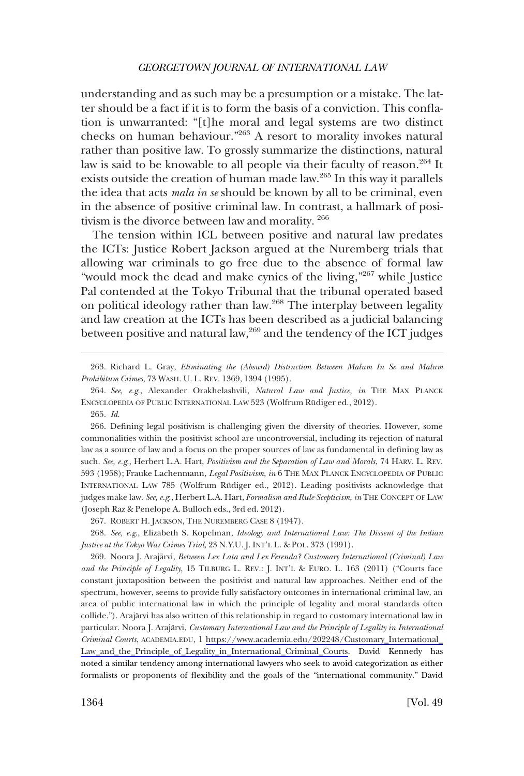understanding and as such may be a presumption or a mistake. The latter should be a fact if it is to form the basis of a conviction. This conflation is unwarranted: "[t]he moral and legal systems are two distinct checks on human behaviour."263 A resort to morality invokes natural rather than positive law. To grossly summarize the distinctions, natural law is said to be knowable to all people via their faculty of reason.<sup>264</sup> It exists outside the creation of human made law.265 In this way it parallels the idea that acts *mala in se* should be known by all to be criminal, even in the absence of positive criminal law. In contrast, a hallmark of positivism is the divorce between law and morality. <sup>266</sup>

The tension within ICL between positive and natural law predates the ICTs: Justice Robert Jackson argued at the Nuremberg trials that allowing war criminals to go free due to the absence of formal law "would mock the dead and make cynics of the living,"<sup>267</sup> while Justice" Pal contended at the Tokyo Tribunal that the tribunal operated based on political ideology rather than law.268 The interplay between legality and law creation at the ICTs has been described as a judicial balancing between positive and natural law, $^{269}$  and the tendency of the ICT judges

265. *Id*.

266. Defining legal positivism is challenging given the diversity of theories. However, some commonalities within the positivist school are uncontroversial, including its rejection of natural law as a source of law and a focus on the proper sources of law as fundamental in defining law as such. *See, e.g*., Herbert L.A. Hart, *Positivism and the Separation of Law and Morals*, 74 HARV. L. REV. 593 (1958); Frauke Lachenmann, *Legal Positivism, in* 6 THE MAX PLANCK ENCYCLOPEDIA OF PUBLIC INTERNATIONAL LAW 785 (Wolfrum Rüdiger ed., 2012). Leading positivists acknowledge that judges make law. *See, e.g*., Herbert L.A. Hart, *Formalism and Rule-Scepticism, in* THE CONCEPT OF LAW (Joseph Raz & Penelope A. Bulloch eds., 3rd ed. 2012).

267. ROBERT H. JACKSON, THE NUREMBERG CASE 8 (1947).

268. *See, e.g*., Elizabeth S. Kopelman, *Ideology and International Law: The Dissent of the Indian Justice at the Tokyo War Crimes Trial*, 23 N.Y.U. J. INT'L L. & POL. 373 (1991).

269. Noora J. Arajärvi, *Between Lex Lata and Lex Ferenda? Customary International (Criminal) Law and the Principle of Legality*, 15 TILBURG L. REV.: J. INT'L & EURO. L. 163 (2011) ("Courts face constant juxtaposition between the positivist and natural law approaches. Neither end of the spectrum, however, seems to provide fully satisfactory outcomes in international criminal law, an area of public international law in which the principle of legality and moral standards often collide."). Arajärvi has also written of this relationship in regard to customary international law in particular. Noora J. Arajärvi, *Customary International Law and the Principle of Legality in International Criminal Courts*, ACADEMIA.EDU, 1 [https://www.academia.edu/202248/Customary\\_International\\_](https://www.academia.edu/202248/Customary_International_Law_and_the_Principle_of_Legality_in_International_Criminal_Courts)  [Law\\_and\\_the\\_Principle\\_of\\_Legality\\_in\\_International\\_Criminal\\_Courts.](https://www.academia.edu/202248/Customary_International_Law_and_the_Principle_of_Legality_in_International_Criminal_Courts) David Kennedy has noted a similar tendency among international lawyers who seek to avoid categorization as either formalists or proponents of flexibility and the goals of the "international community." David

<sup>263.</sup> Richard L. Gray, *Eliminating the (Absurd) Distinction Between Malum In Se and Malum Prohibitum Crimes*, 73 WASH. U. L. REV. 1369, 1394 (1995).

<sup>264.</sup> *See, e.g*., Alexander Orakhelashvili, *Natural Law and Justice, in* THE MAX PLANCK ENCYCLOPEDIA OF PUBLIC INTERNATIONAL LAW 523 (Wolfrum Rüdiger ed., 2012).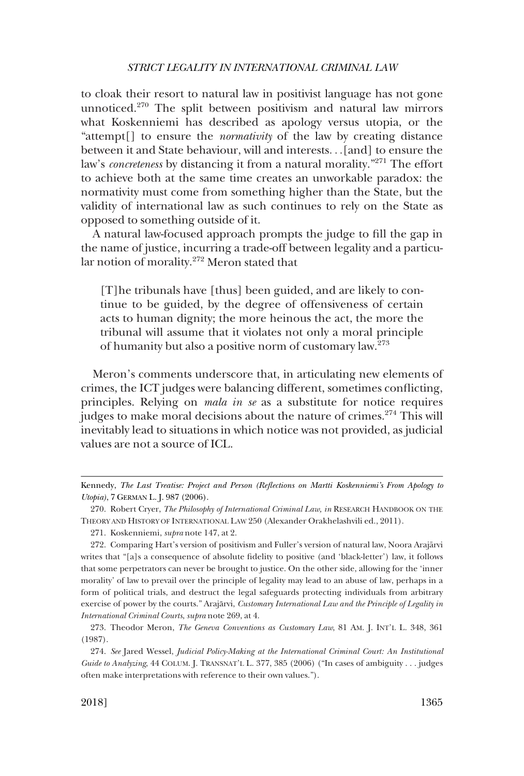to cloak their resort to natural law in positivist language has not gone unnoticed.270 The split between positivism and natural law mirrors what Koskenniemi has described as apology versus utopia, or the "attempt[] to ensure the *normativity* of the law by creating distance between it and State behaviour, will and interests. . .[and] to ensure the law's *concreteness* by distancing it from a natural morality."<sup>271</sup> The effort to achieve both at the same time creates an unworkable paradox: the normativity must come from something higher than the State, but the validity of international law as such continues to rely on the State as opposed to something outside of it.

A natural law-focused approach prompts the judge to fill the gap in the name of justice, incurring a trade-off between legality and a particular notion of morality.272 Meron stated that

[T]he tribunals have [thus] been guided, and are likely to continue to be guided, by the degree of offensiveness of certain acts to human dignity; the more heinous the act, the more the tribunal will assume that it violates not only a moral principle of humanity but also a positive norm of customary law.<sup>273</sup>

Meron's comments underscore that, in articulating new elements of crimes, the ICT judges were balancing different, sometimes conflicting, principles. Relying on *mala in se* as a substitute for notice requires judges to make moral decisions about the nature of crimes.<sup>274</sup> This will inevitably lead to situations in which notice was not provided, as judicial values are not a source of ICL.

Kennedy, *The Last Treatise: Project and Person (Reflections on Martti Koskenniemi's From Apology to Utopia)*, 7 GERMAN L. J. 987 (2006).

<sup>270.</sup> Robert Cryer, *The Philosophy of International Criminal Law, in* RESEARCH HANDBOOK ON THE THEORY AND HISTORY OF INTERNATIONAL LAW 250 (Alexander Orakhelashvili ed., 2011).

<sup>271.</sup> Koskenniemi, *supra* note 147, at 2.

<sup>272.</sup> Comparing Hart's version of positivism and Fuller's version of natural law, Noora Arajärvi writes that "[a]s a consequence of absolute fidelity to positive (and 'black-letter') law, it follows that some perpetrators can never be brought to justice. On the other side, allowing for the 'inner morality' of law to prevail over the principle of legality may lead to an abuse of law, perhaps in a form of political trials, and destruct the legal safeguards protecting individuals from arbitrary exercise of power by the courts." Arajärvi, *Customary International Law and the Principle of Legality in International Criminal Courts*, *supra* note 269, at 4.

<sup>273.</sup> Theodor Meron, *The Geneva Conventions as Customary Law*, 81 AM. J. INT'L L. 348, 361 (1987).

<sup>274.</sup> *See* Jared Wessel, *Judicial Policy-Making at the International Criminal Court: An Institutional Guide to Analyzing*, 44 COLUM. J. TRANSNAT'L L. 377, 385 (2006) ("In cases of ambiguity . . . judges often make interpretations with reference to their own values.").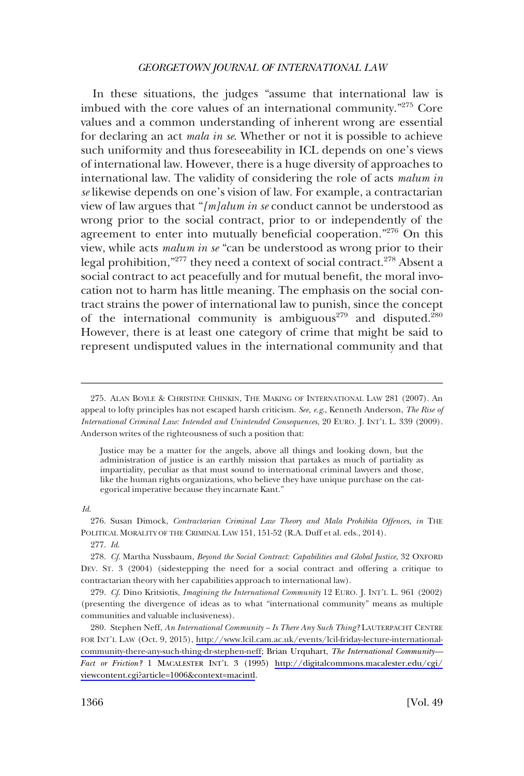In these situations, the judges "assume that international law is imbued with the core values of an international community."275 Core values and a common understanding of inherent wrong are essential for declaring an act *mala in se*. Whether or not it is possible to achieve such uniformity and thus foreseeability in ICL depends on one's views of international law. However, there is a huge diversity of approaches to international law. The validity of considering the role of acts *malum in se* likewise depends on one's vision of law. For example, a contractarian view of law argues that "*[m]alum in se* conduct cannot be understood as wrong prior to the social contract, prior to or independently of the agreement to enter into mutually beneficial cooperation."<sup>276</sup> On this view, while acts *malum in se* "can be understood as wrong prior to their legal prohibition,"<sup>277</sup> they need a context of social contract.<sup>278</sup> Absent a social contract to act peacefully and for mutual benefit, the moral invocation not to harm has little meaning. The emphasis on the social contract strains the power of international law to punish, since the concept of the international community is ambiguous<sup>279</sup> and disputed.<sup>280</sup> However, there is at least one category of crime that might be said to represent undisputed values in the international community and that

275. ALAN BOYLE & CHRISTINE CHINKIN, THE MAKING OF INTERNATIONAL LAW 281 (2007). An appeal to lofty principles has not escaped harsh criticism. *See, e.g*., Kenneth Anderson, *The Rise of International Criminal Law: Intended and Unintended Consequences*, 20 EURO. J. INT'L L. 339 (2009). Anderson writes of the righteousness of such a position that:

*Id*.

277. *Id*.

278. *Cf*. Martha Nussbaum, *Beyond the Social Contract: Capabilities and Global Justice*, 32 OXFORD DEV. ST. 3 (2004) (sidestepping the need for a social contract and offering a critique to contractarian theory with her capabilities approach to international law).

279. *Cf*. Dino Kritsiotis, *Imagining the International Community* 12 EURO. J. INT'L L. 961 (2002) (presenting the divergence of ideas as to what "international community" means as multiple communities and valuable inclusiveness).

280. Stephen Neff, *An International Community - Is There Any Such Thing?* LAUTERPACHT CENTRE FOR INT'L LAW (Oct. 9, 2015), [http://www.lcil.cam.ac.uk/events/lcil-friday-lecture-international](http://www.lcil.cam.ac.uk/events/lcil-friday-lecture-international-community-there-any-such-thing-dr-stephen-neff)[community-there-any-such-thing-dr-stephen-neff;](http://www.lcil.cam.ac.uk/events/lcil-friday-lecture-international-community-there-any-such-thing-dr-stephen-neff) Brian Urquhart, *The International Community— Fact or Friction?* 1 MACALESTER INT'L 3 (1995) [http://digitalcommons.macalester.edu/cgi/](http://digitalcommons.macalester.edu/cgi/viewcontent.cgi?article=1006&context=macintl)  [viewcontent.cgi?article=1006&context=macintl.](http://digitalcommons.macalester.edu/cgi/viewcontent.cgi?article=1006&context=macintl)

Justice may be a matter for the angels, above all things and looking down, but the administration of justice is an earthly mission that partakes as much of partiality as impartiality, peculiar as that must sound to international criminal lawyers and those, like the human rights organizations, who believe they have unique purchase on the categorical imperative because they incarnate Kant."

<sup>276.</sup> Susan Dimock, *Contractarian Criminal Law Theory and Mala Prohibita Offences, in* THE POLITICAL MORALITY OF THE CRIMINAL LAW 151, 151-52 (R.A. Duff et al. eds., 2014).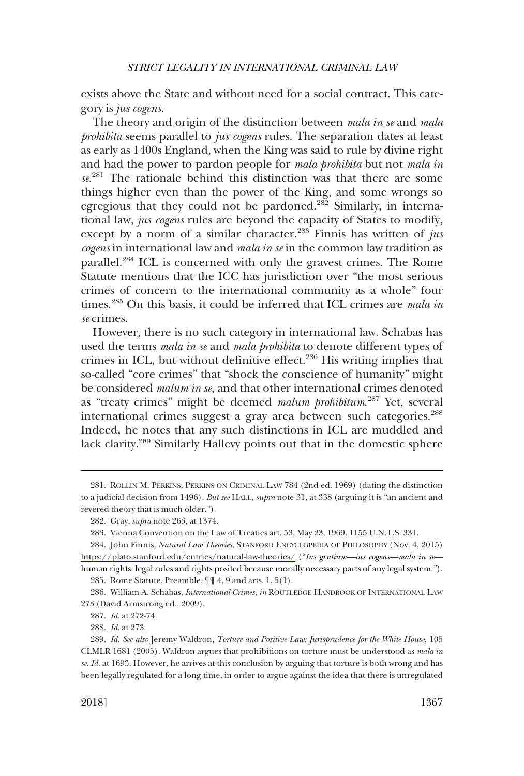exists above the State and without need for a social contract. This category is *jus cogens*.

The theory and origin of the distinction between *mala in se* and *mala prohibita* seems parallel to *jus cogens* rules. The separation dates at least as early as 1400s England, when the King was said to rule by divine right and had the power to pardon people for *mala prohibita* but not *mala in se*. 281 The rationale behind this distinction was that there are some things higher even than the power of the King, and some wrongs so egregious that they could not be pardoned.<sup>282</sup> Similarly, in international law, *jus cogens* rules are beyond the capacity of States to modify, except by a norm of a similar character.<sup>283</sup> Finnis has written of *jus cogens* in international law and *mala in se* in the common law tradition as parallel.<sup>284</sup> ICL is concerned with only the gravest crimes. The Rome Statute mentions that the ICC has jurisdiction over "the most serious crimes of concern to the international community as a whole" four times.285 On this basis, it could be inferred that ICL crimes are *mala in se* crimes.

However, there is no such category in international law. Schabas has used the terms *mala in se* and *mala prohibita* to denote different types of crimes in ICL, but without definitive effect.<sup>286</sup> His writing implies that so-called "core crimes" that "shock the conscience of humanity" might be considered *malum in se*, and that other international crimes denoted as "treaty crimes" might be deemed *malum prohibitum*. 287 Yet, several international crimes suggest a gray area between such categories.<sup>288</sup> Indeed, he notes that any such distinctions in ICL are muddled and lack clarity.289 Similarly Hallevy points out that in the domestic sphere

<sup>281.</sup> ROLLIN M. PERKINS, PERKINS ON CRIMINAL LAW 784 (2nd ed. 1969) (dating the distinction to a judicial decision from 1496). *But see* HALL, *supra* note 31, at 338 (arguing it is "an ancient and revered theory that is much older.").

<sup>282.</sup> Gray, *supra* note 263, at 1374.

<sup>283.</sup> Vienna Convention on the Law of Treaties art. 53, May 23, 1969, 1155 U.N.T.S. 331.

<sup>284.</sup> John Finnis, *Natural Law Theories*, STANFORD ENCYCLOPEDIA OF PHILOSOPHY (Nov. 4, 2015) <https://plato.stanford.edu/entries/natural-law-theories/>("*Ius gentium—ius cogens—mala in se* human rights: legal rules and rights posited because morally necessary parts of any legal system.").

<sup>285.</sup> Rome Statute, Preamble, ¶¶ 4, 9 and arts. 1, 5(1).

<sup>286.</sup> William A. Schabas, *International Crimes, in* ROUTLEDGE HANDBOOK OF INTERNATIONAL LAW 273 (David Armstrong ed., 2009).

<sup>287.</sup> *Id*. at 272-74.

<sup>288.</sup> *Id*. at 273.

<sup>289.</sup> *Id*. *See also* Jeremy Waldron, *Torture and Positive Law: Jurisprudence for the White House*, 105 CLMLR 1681 (2005). Waldron argues that prohibitions on torture must be understood as *mala in se*. *Id*. at 1693. However, he arrives at this conclusion by arguing that torture is both wrong and has been legally regulated for a long time, in order to argue against the idea that there is unregulated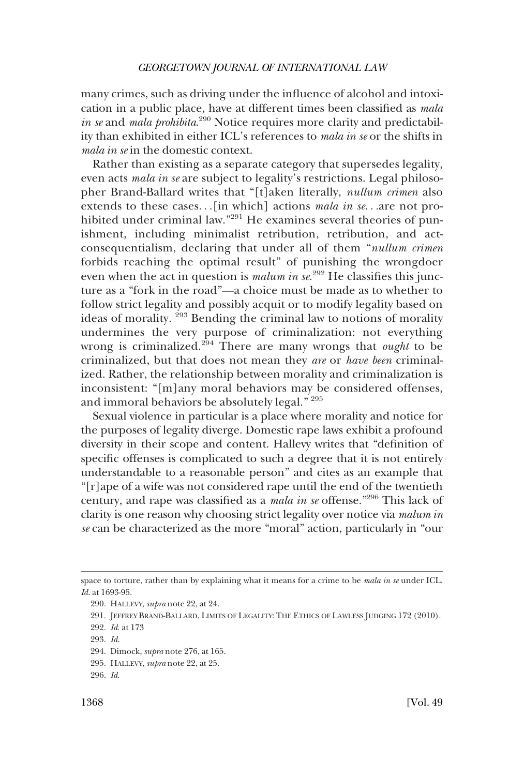many crimes, such as driving under the influence of alcohol and intoxication in a public place, have at different times been classified as *mala in se* and *mala prohibita*. 290 Notice requires more clarity and predictability than exhibited in either ICL's references to *mala in se* or the shifts in *mala in se* in the domestic context.

Rather than existing as a separate category that supersedes legality, even acts *mala in se* are subject to legality's restrictions. Legal philosopher Brand-Ballard writes that "[t]aken literally, *nullum crimen* also extends to these cases. . .[in which] actions *mala in se*. . .are not prohibited under criminal law."<sup>291</sup> He examines several theories of punishment, including minimalist retribution, retribution, and actconsequentialism, declaring that under all of them "*nullum crimen*  forbids reaching the optimal result" of punishing the wrongdoer even when the act in question is *malum in se*.<sup>292</sup> He classifies this juncture as a "fork in the road"—a choice must be made as to whether to follow strict legality and possibly acquit or to modify legality based on ideas of morality.<sup>293</sup> Bending the criminal law to notions of morality undermines the very purpose of criminalization: not everything wrong is criminalized.294 There are many wrongs that *ought* to be criminalized, but that does not mean they *are* or *have been* criminalized. Rather, the relationship between morality and criminalization is inconsistent: "[m]any moral behaviors may be considered offenses, and immoral behaviors be absolutely legal." 295

Sexual violence in particular is a place where morality and notice for the purposes of legality diverge. Domestic rape laws exhibit a profound diversity in their scope and content. Hallevy writes that "definition of specific offenses is complicated to such a degree that it is not entirely understandable to a reasonable person" and cites as an example that "[r]ape of a wife was not considered rape until the end of the twentieth century, and rape was classified as a *mala in se* offense."296 This lack of clarity is one reason why choosing strict legality over notice via *malum in se* can be characterized as the more "moral" action, particularly in "our

292. *Id*. at 173

space to torture, rather than by explaining what it means for a crime to be *mala in se* under ICL. *Id*. at 1693-95.

<sup>290.</sup> HALLEVY, *supra* note 22, at 24.

<sup>291.</sup> JEFFREY BRAND-BALLARD, LIMITS OF LEGALITY: THE ETHICS OF LAWLESS JUDGING 172 (2010).

<sup>293.</sup> *Id*.

<sup>294.</sup> Dimock, *supra* note 276, at 165.

<sup>295.</sup> HALLEVY, *supra* note 22, at 25.

<sup>296.</sup> *Id*.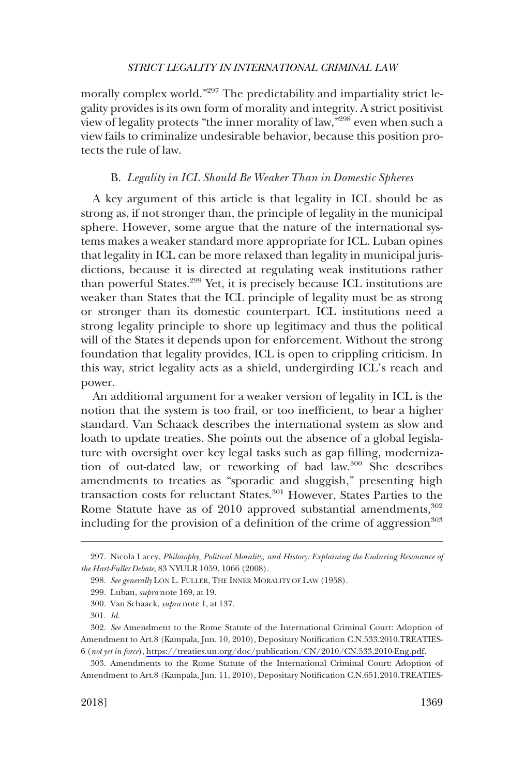<span id="page-48-0"></span>morally complex world."<sup>297</sup> The predictability and impartiality strict legality provides is its own form of morality and integrity. A strict positivist view of legality protects "the inner morality of law,"298 even when such a view fails to criminalize undesirable behavior, because this position protects the rule of law.

# B. *Legality in ICL Should Be Weaker Than in Domestic Spheres*

A key argument of this article is that legality in ICL should be as strong as, if not stronger than, the principle of legality in the municipal sphere. However, some argue that the nature of the international systems makes a weaker standard more appropriate for ICL. Luban opines that legality in ICL can be more relaxed than legality in municipal jurisdictions, because it is directed at regulating weak institutions rather than powerful States.299 Yet, it is precisely because ICL institutions are weaker than States that the ICL principle of legality must be as strong or stronger than its domestic counterpart. ICL institutions need a strong legality principle to shore up legitimacy and thus the political will of the States it depends upon for enforcement. Without the strong foundation that legality provides, ICL is open to crippling criticism. In this way, strict legality acts as a shield, undergirding ICL's reach and power.

An additional argument for a weaker version of legality in ICL is the notion that the system is too frail, or too inefficient, to bear a higher standard. Van Schaack describes the international system as slow and loath to update treaties. She points out the absence of a global legislature with oversight over key legal tasks such as gap filling, modernization of out-dated law, or reworking of bad law.300 She describes amendments to treaties as "sporadic and sluggish," presenting high transaction costs for reluctant States.<sup>301</sup> However, States Parties to the Rome Statute have as of 2010 approved substantial amendments, 302 including for the provision of a definition of the crime of aggression<sup>303</sup>

<sup>297.</sup> Nicola Lacey, *Philosophy, Political Morality, and History: Explaining the Enduring Resonance of the Hart-Fuller Debate*, 83 NYULR 1059, 1066 (2008).

<sup>298.</sup> *See generally* LON L. FULLER, THE INNER MORALITY OF LAW (1958).

<sup>299.</sup> Luban, *supra* note 169, at 19.

<sup>300.</sup> Van Schaack, *supra* note 1, at 137.

<sup>301.</sup> *Id*.

*See* Amendment to the Rome Statute of the International Criminal Court: Adoption of 302. Amendment to Art.8 (Kampala, Jun. 10, 2010), Depositary Notification C.N.533.2010.TREATIES-6 (*not yet in force*), [https://treaties.un.org/doc/publication/CN/2010/CN.533.2010-Eng.pdf.](https://treaties.un.org/doc/publication/CN/2010/CN.533.2010-Eng.pdf)

<sup>303.</sup> Amendments to the Rome Statute of the International Criminal Court: Adoption of Amendment to Art.8 (Kampala, Jun. 11, 2010), Depositary Notification C.N.651.2010.TREATIES-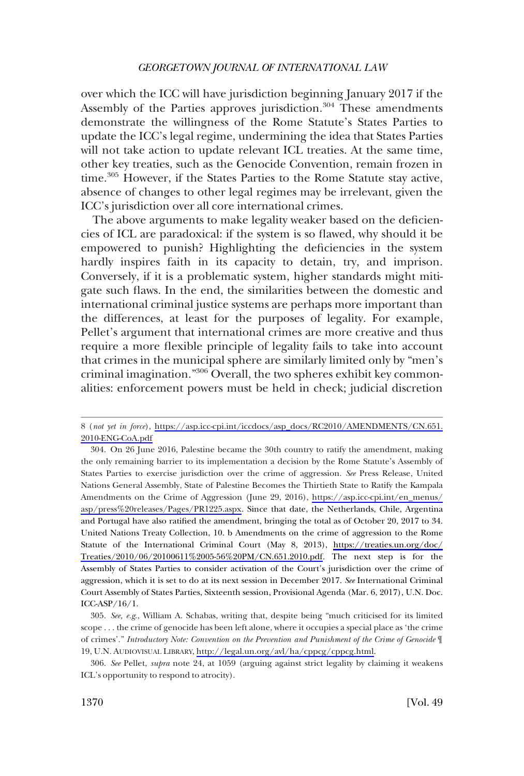over which the ICC will have jurisdiction beginning January 2017 if the Assembly of the Parties approves jurisdiction.<sup>304</sup> These amendments demonstrate the willingness of the Rome Statute's States Parties to update the ICC's legal regime, undermining the idea that States Parties will not take action to update relevant ICL treaties. At the same time, other key treaties, such as the Genocide Convention, remain frozen in time.<sup>305</sup> However, if the States Parties to the Rome Statute stay active, absence of changes to other legal regimes may be irrelevant, given the ICC's jurisdiction over all core international crimes.

The above arguments to make legality weaker based on the deficiencies of ICL are paradoxical: if the system is so flawed, why should it be empowered to punish? Highlighting the deficiencies in the system hardly inspires faith in its capacity to detain, try, and imprison. Conversely, if it is a problematic system, higher standards might mitigate such flaws. In the end, the similarities between the domestic and international criminal justice systems are perhaps more important than the differences, at least for the purposes of legality. For example, Pellet's argument that international crimes are more creative and thus require a more flexible principle of legality fails to take into account that crimes in the municipal sphere are similarly limited only by "men's criminal imagination."306 Overall, the two spheres exhibit key commonalities: enforcement powers must be held in check; judicial discretion

<sup>8 (</sup>*not yet in force*), [https://asp.icc-cpi.int/iccdocs/asp\\_docs/RC2010/AMENDMENTS/CN.651.](https://asp.icc-cpi.int/iccdocs/asp_docs/RC2010/AMENDMENTS/CN.651.2010-ENG-CoA.pdf) [2010-ENG-CoA.pdf](https://asp.icc-cpi.int/iccdocs/asp_docs/RC2010/AMENDMENTS/CN.651.2010-ENG-CoA.pdf)

<sup>304.</sup> On 26 June 2016, Palestine became the 30th country to ratify the amendment, making the only remaining barrier to its implementation a decision by the Rome Statute's Assembly of States Parties to exercise jurisdiction over the crime of aggression. *See* Press Release, United Nations General Assembly, State of Palestine Becomes the Thirtieth State to Ratify the Kampala Amendments on the Crime of Aggression (June 29, 2016), [https://asp.icc-cpi.int/en\\_menus/](https://asp.icc-cpi.int/en_menus/asp/press%20releases/Pages/PR1225.aspx)  [asp/press%20releases/Pages/PR1225.aspx](https://asp.icc-cpi.int/en_menus/asp/press%20releases/Pages/PR1225.aspx). Since that date, the Netherlands, Chile, Argentina and Portugal have also ratified the amendment, bringing the total as of October 20, 2017 to 34. United Nations Treaty Collection, 10. b Amendments on the crime of aggression to the Rome Statute of the International Criminal Court (May 8, 2013), [https://treaties.un.org/doc/](https://treaties.un.org/doc/Treaties/2010/06/20100611%2005-56%20PM/CN.651.2010.pdf) [Treaties/2010/06/20100611%2005-56%20PM/CN.651.2010.pdf](https://treaties.un.org/doc/Treaties/2010/06/20100611%2005-56%20PM/CN.651.2010.pdf). The next step is for the Assembly of States Parties to consider activation of the Court's jurisdiction over the crime of aggression, which it is set to do at its next session in December 2017. *See* International Criminal Court Assembly of States Parties, Sixteenth session, Provisional Agenda (Mar. 6, 2017), U.N. Doc. ICC-ASP/16/1.

*See, e.g*., William A. Schabas, writing that, despite being "much criticised for its limited 305. scope . . . the crime of genocide has been left alone, where it occupies a special place as 'the crime of crimes'." *Introductory Note: Convention on the Prevention and Punishment of the Crime of Genocide* ¶ 19, U.N. AUDIOVISUAL LIBRARY, [http://legal.un.org/avl/ha/cppcg/cppcg.html.](http://legal.un.org/avl/ha/cppcg/cppcg.html)

<sup>306.</sup> *See* Pellet, *supra* note 24, at 1059 (arguing against strict legality by claiming it weakens ICL's opportunity to respond to atrocity).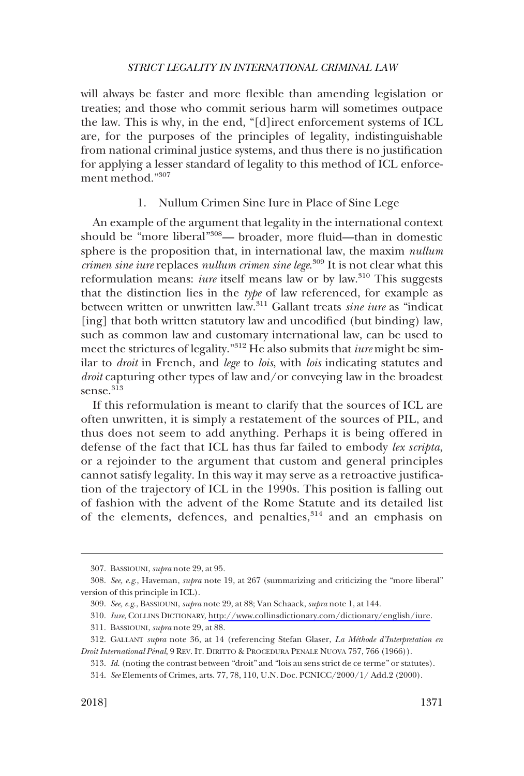<span id="page-50-0"></span>will always be faster and more flexible than amending legislation or treaties; and those who commit serious harm will sometimes outpace the law. This is why, in the end, "[d]irect enforcement systems of ICL are, for the purposes of the principles of legality, indistinguishable from national criminal justice systems, and thus there is no justification for applying a lesser standard of legality to this method of ICL enforcement method."307

# 1. Nullum Crimen Sine Iure in Place of Sine Lege

An example of the argument that legality in the international context should be "more liberal"308— broader, more fluid—than in domestic sphere is the proposition that, in international law, the maxim *nullum crimen sine iure* replaces *nullum crimen sine lege*. 309 It is not clear what this reformulation means: *iure* itself means law or by law.<sup>310</sup> This suggests that the distinction lies in the *type* of law referenced, for example as between written or unwritten law.311 Gallant treats *sine iure* as "indicat [ing] that both written statutory law and uncodified (but binding) law, such as common law and customary international law, can be used to meet the strictures of legality."312 He also submits that *iure* might be similar to *droit* in French, and *lege* to *lois*, with *lois* indicating statutes and *droit* capturing other types of law and/or conveying law in the broadest sense.<sup>313</sup>

If this reformulation is meant to clarify that the sources of ICL are often unwritten, it is simply a restatement of the sources of PIL, and thus does not seem to add anything. Perhaps it is being offered in defense of the fact that ICL has thus far failed to embody *lex scripta*, or a rejoinder to the argument that custom and general principles cannot satisfy legality. In this way it may serve as a retroactive justification of the trajectory of ICL in the 1990s. This position is falling out of fashion with the advent of the Rome Statute and its detailed list of the elements, defences, and penalties,<sup>314</sup> and an emphasis on

<sup>307.</sup> BASSIOUNI, *supra* note 29, at 95.

<sup>308.</sup> *See, e.g*., Haveman, *supra* note 19, at 267 (summarizing and criticizing the "more liberal" version of this principle in ICL).

<sup>309.</sup> *See, e.g*., BASSIOUNI, *supra* note 29, at 88; Van Schaack, *supra* note 1, at 144.

*Iure*, COLLINS DICTIONARY,<http://www.collinsdictionary.com/dictionary/english/iure>. 310.

<sup>311.</sup> BASSIOUNI, *supra* note 29, at 88.

<sup>312.</sup> GALLANT *supra* note 36, at 14 (referencing Stefan Glaser, *La Me´thode d'Interpretation en Droit International Pe´nal*, 9 REV. IT. DIRITTO & PROCEDURA PENALE NUOVA 757, 766 (1966)).

<sup>313.</sup> *Id*. (noting the contrast between "droit" and "lois au sens strict de ce terme" or statutes).

<sup>314.</sup> *See* Elements of Crimes, arts. 77, 78, 110, U.N. Doc. PCNICC/2000/1/ Add.2 (2000).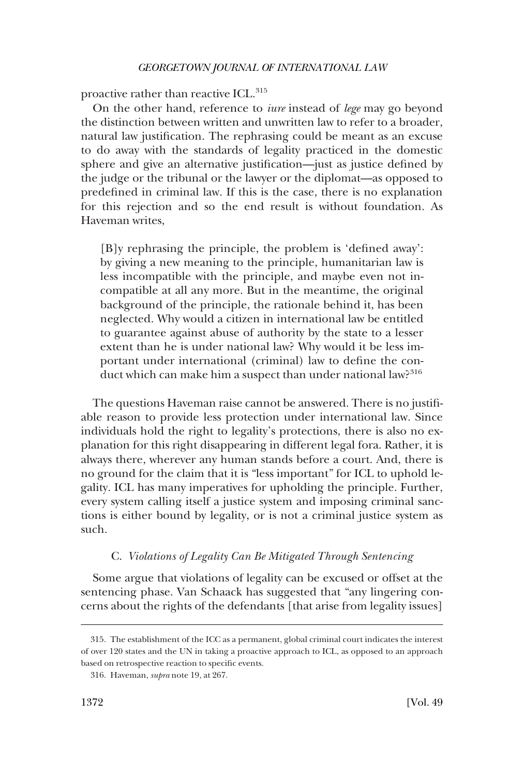<span id="page-51-0"></span>proactive rather than reactive ICL.<sup>315</sup>

On the other hand, reference to *iure* instead of *lege* may go beyond the distinction between written and unwritten law to refer to a broader, natural law justification. The rephrasing could be meant as an excuse to do away with the standards of legality practiced in the domestic sphere and give an alternative justification—just as justice defined by the judge or the tribunal or the lawyer or the diplomat—as opposed to predefined in criminal law. If this is the case, there is no explanation for this rejection and so the end result is without foundation. As Haveman writes,

[B]y rephrasing the principle, the problem is 'defined away': by giving a new meaning to the principle, humanitarian law is less incompatible with the principle, and maybe even not incompatible at all any more. But in the meantime, the original background of the principle, the rationale behind it, has been neglected. Why would a citizen in international law be entitled to guarantee against abuse of authority by the state to a lesser extent than he is under national law? Why would it be less important under international (criminal) law to define the conduct which can make him a suspect than under national law?<sup>316</sup>

The questions Haveman raise cannot be answered. There is no justifiable reason to provide less protection under international law. Since individuals hold the right to legality's protections, there is also no explanation for this right disappearing in different legal fora. Rather, it is always there, wherever any human stands before a court. And, there is no ground for the claim that it is "less important" for ICL to uphold legality. ICL has many imperatives for upholding the principle. Further, every system calling itself a justice system and imposing criminal sanctions is either bound by legality, or is not a criminal justice system as such.

### C. *Violations of Legality Can Be Mitigated Through Sentencing*

Some argue that violations of legality can be excused or offset at the sentencing phase. Van Schaack has suggested that "any lingering concerns about the rights of the defendants [that arise from legality issues]

<sup>315.</sup> The establishment of the ICC as a permanent, global criminal court indicates the interest of over 120 states and the UN in taking a proactive approach to ICL, as opposed to an approach based on retrospective reaction to specific events.

<sup>316.</sup> Haveman, *supra* note 19, at 267.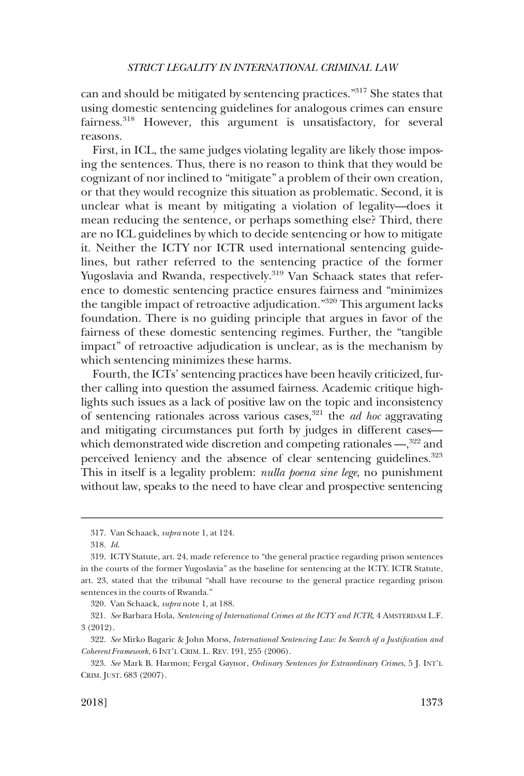can and should be mitigated by sentencing practices."317 She states that using domestic sentencing guidelines for analogous crimes can ensure fairness.<sup>318</sup> However, this argument is unsatisfactory, for several reasons.

First, in ICL, the same judges violating legality are likely those imposing the sentences. Thus, there is no reason to think that they would be cognizant of nor inclined to "mitigate" a problem of their own creation, or that they would recognize this situation as problematic. Second, it is unclear what is meant by mitigating a violation of legality—does it mean reducing the sentence, or perhaps something else? Third, there are no ICL guidelines by which to decide sentencing or how to mitigate it. Neither the ICTY nor ICTR used international sentencing guidelines, but rather referred to the sentencing practice of the former Yugoslavia and Rwanda, respectively.<sup>319</sup> Van Schaack states that reference to domestic sentencing practice ensures fairness and "minimizes the tangible impact of retroactive adjudication."320 This argument lacks foundation. There is no guiding principle that argues in favor of the fairness of these domestic sentencing regimes. Further, the "tangible impact" of retroactive adjudication is unclear, as is the mechanism by which sentencing minimizes these harms.

Fourth, the ICTs' sentencing practices have been heavily criticized, further calling into question the assumed fairness. Academic critique highlights such issues as a lack of positive law on the topic and inconsistency of sentencing rationales across various cases,321 the *ad hoc* aggravating and mitigating circumstances put forth by judges in different cases which demonstrated wide discretion and competing rationales —,<sup>322</sup> and perceived leniency and the absence of clear sentencing guidelines.<sup>323</sup> This in itself is a legality problem: *nulla poena sine lege*, no punishment without law, speaks to the need to have clear and prospective sentencing

320. Van Schaack, *supra* note 1, at 188.

<sup>317.</sup> Van Schaack, *supra* note 1, at 124.

<sup>318.</sup> *Id*.

<sup>319.</sup> ICTY Statute, art. 24, made reference to "the general practice regarding prison sentences in the courts of the former Yugoslavia" as the baseline for sentencing at the ICTY. ICTR Statute, art. 23, stated that the tribunal "shall have recourse to the general practice regarding prison sentences in the courts of Rwanda."

<sup>321.</sup> *See* Barbara Hola, *Sentencing of International Crimes at the ICTY and ICTR*, 4 AMSTERDAM L.F. 3 (2012).

<sup>322.</sup> *See* Mirko Bagaric & John Morss, *International Sentencing Law: In Search of a Justification and Coherent Framework*, 6 INT'L CRIM. L. REV. 191, 255 (2006).

<sup>323.</sup> *See* Mark B. Harmon; Fergal Gaynor, *Ordinary Sentences for Extraordinary Crimes*, 5 J. INT'L CRIM. JUST. 683 (2007).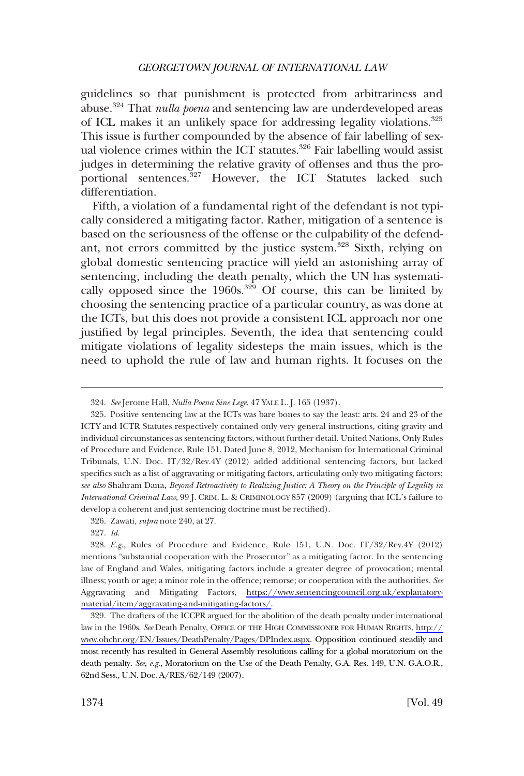guidelines so that punishment is protected from arbitrariness and abuse.324 That *nulla poena* and sentencing law are underdeveloped areas of ICL makes it an unlikely space for addressing legality violations.325 This issue is further compounded by the absence of fair labelling of sexual violence crimes within the ICT statutes.<sup>326</sup> Fair labelling would assist judges in determining the relative gravity of offenses and thus the proportional sentences.<sup>327</sup> However, the ICT Statutes lacked such differentiation.

Fifth, a violation of a fundamental right of the defendant is not typically considered a mitigating factor. Rather, mitigation of a sentence is based on the seriousness of the offense or the culpability of the defendant, not errors committed by the justice system.<sup>328</sup> Sixth, relying on global domestic sentencing practice will yield an astonishing array of sentencing, including the death penalty, which the UN has systematically opposed since the  $1960s^{329}$  Of course, this can be limited by choosing the sentencing practice of a particular country, as was done at the ICTs, but this does not provide a consistent ICL approach nor one justified by legal principles. Seventh, the idea that sentencing could mitigate violations of legality sidesteps the main issues, which is the need to uphold the rule of law and human rights. It focuses on the

<sup>324.</sup> *See* Jerome Hall, *Nulla Poena Sine Lege*, 47 YALE L. J. 165 (1937).

<sup>325.</sup> Positive sentencing law at the ICTs was bare bones to say the least: arts. 24 and 23 of the ICTY and ICTR Statutes respectively contained only very general instructions, citing gravity and individual circumstances as sentencing factors, without further detail. United Nations, Only Rules of Procedure and Evidence, Rule 151, Dated June 8, 2012, Mechanism for International Criminal Tribunals, U.N. Doc. IT/32/Rev.4Y (2012) added additional sentencing factors, but lacked specifics such as a list of aggravating or mitigating factors, articulating only two mitigating factors; *see also* Shahram Dana, *Beyond Retroactivity to Realizing Justice: A Theory on the Principle of Legality in International Criminal Law*, 99 J. CRIM. L. & CRIMINOLOGY 857 (2009) (arguing that ICL's failure to develop a coherent and just sentencing doctrine must be rectified).

<sup>326.</sup> Zawati, *supra* note 240, at 27.

<sup>327.</sup> *Id*.

<sup>328.</sup> E.g., Rules of Procedure and Evidence, Rule 151, U.N. Doc. IT/32/Rev.4Y (2012) mentions "substantial cooperation with the Prosecutor" as a mitigating factor. In the sentencing law of England and Wales, mitigating factors include a greater degree of provocation; mental illness; youth or age; a minor role in the offence; remorse; or cooperation with the authorities. *See*  Aggravating and Mitigating Factors, [https://www.sentencingcouncil.org.uk/explanatory](https://www.sentencingcouncil.org.uk/explanatory-material/item/aggravating-and-mitigating-factors/)[material/item/aggravating-and-mitigating-factors/](https://www.sentencingcouncil.org.uk/explanatory-material/item/aggravating-and-mitigating-factors/).

<sup>329.</sup> The drafters of the ICCPR argued for the abolition of the death penalty under international law in the 1960s. *See* Death Penalty, OFFICE OF THE HIGH COMMISSIONER FOR HUMAN RIGHTS, [http://](http://www.ohchr.org/EN/Issues/DeathPenalty/Pages/DPIndex.aspx)  [www.ohchr.org/EN/Issues/DeathPenalty/Pages/DPIndex.aspx.](http://www.ohchr.org/EN/Issues/DeathPenalty/Pages/DPIndex.aspx) Opposition continued steadily and most recently has resulted in General Assembly resolutions calling for a global moratorium on the death penalty. *See, e.g*., Moratorium on the Use of the Death Penalty, G.A. Res. 149, U.N. G.A.O.R., 62nd Sess., U.N. Doc. A/RES/62/149 (2007).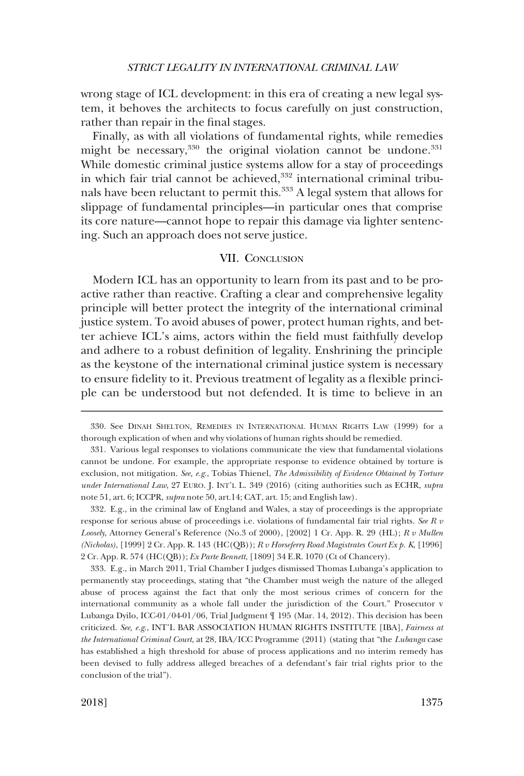<span id="page-54-0"></span>wrong stage of ICL development: in this era of creating a new legal system, it behoves the architects to focus carefully on just construction, rather than repair in the final stages.

Finally, as with all violations of fundamental rights, while remedies might be necessary,<sup>330</sup> the original violation cannot be undone.<sup>331</sup> While domestic criminal justice systems allow for a stay of proceedings in which fair trial cannot be achieved,<sup>332</sup> international criminal tribunals have been reluctant to permit this.<sup>333</sup> A legal system that allows for slippage of fundamental principles—in particular ones that comprise its core nature—cannot hope to repair this damage via lighter sentencing. Such an approach does not serve justice.

# VII. CONCLUSION

Modern ICL has an opportunity to learn from its past and to be proactive rather than reactive. Crafting a clear and comprehensive legality principle will better protect the integrity of the international criminal justice system. To avoid abuses of power, protect human rights, and better achieve ICL's aims, actors within the field must faithfully develop and adhere to a robust definition of legality. Enshrining the principle as the keystone of the international criminal justice system is necessary to ensure fidelity to it. Previous treatment of legality as a flexible principle can be understood but not defended. It is time to believe in an

332. E.g., in the criminal law of England and Wales, a stay of proceedings is the appropriate response for serious abuse of proceedings i.e. violations of fundamental fair trial rights. *See R v Loosely*, Attorney General's Reference (No.3 of 2000), [2002] 1 Cr. App. R. 29 (HL); *R v Mullen (Nicholas)*, [1999] 2 Cr. App. R. 143 (HC(QB)); *R v Horseferry Road Magistrates Court Ex p. K*, [1996] 2 Cr. App. R. 574 (HC(QB)); *Ex Parte Bennett*, [1809] 34 E.R. 1070 (Ct of Chancery).

333. E.g., in March 2011, Trial Chamber I judges dismissed Thomas Lubanga's application to permanently stay proceedings, stating that "the Chamber must weigh the nature of the alleged abuse of process against the fact that only the most serious crimes of concern for the international community as a whole fall under the jurisdiction of the Court." Prosecutor v Lubanga Dyilo, ICC-01/04-01/06, Trial Judgment ¶ 195 (Mar. 14, 2012). This decision has been criticized. *See, e.g*., INT'L BAR ASSOCIATION HUMAN RIGHTS INSTITUTE [IBA], *Fairness at the International Criminal Court*, at 28, IBA/ICC Programme (2011) (stating that "the *Lubanga* case has established a high threshold for abuse of process applications and no interim remedy has been devised to fully address alleged breaches of a defendant's fair trial rights prior to the conclusion of the trial").

<sup>330.</sup> See DINAH SHELTON, REMEDIES IN INTERNATIONAL HUMAN RIGHTS LAW (1999) for a thorough explication of when and why violations of human rights should be remedied.

<sup>331.</sup> Various legal responses to violations communicate the view that fundamental violations cannot be undone. For example, the appropriate response to evidence obtained by torture is exclusion, not mitigation. *See, e.g*., Tobias Thienel, *The Admissibility of Evidence Obtained by Torture under International Law*, 27 EURO. J. INT'L L. 349 (2016) (citing authorities such as ECHR, *supra*  note 51, art. 6; ICCPR, *supra* note 50, art.14; CAT, art. 15; and English law).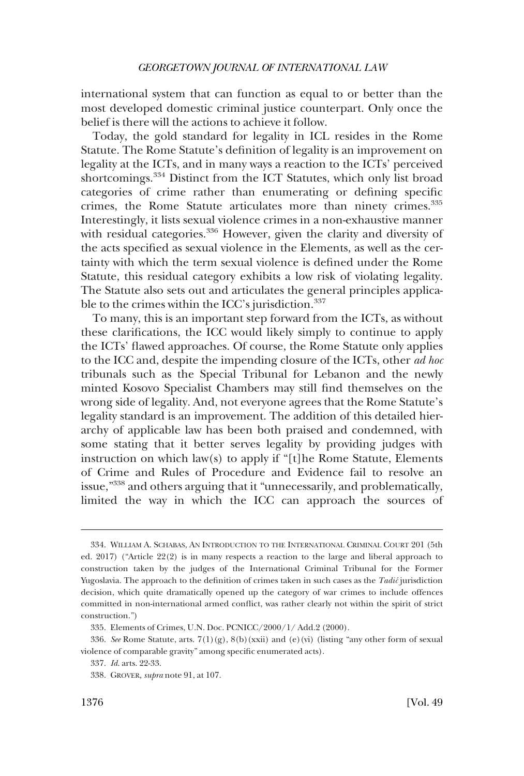international system that can function as equal to or better than the most developed domestic criminal justice counterpart. Only once the belief is there will the actions to achieve it follow.

Today, the gold standard for legality in ICL resides in the Rome Statute. The Rome Statute's definition of legality is an improvement on legality at the ICTs, and in many ways a reaction to the ICTs' perceived shortcomings.334 Distinct from the ICT Statutes, which only list broad categories of crime rather than enumerating or defining specific crimes, the Rome Statute articulates more than ninety crimes.335 Interestingly, it lists sexual violence crimes in a non-exhaustive manner with residual categories.<sup>336</sup> However, given the clarity and diversity of the acts specified as sexual violence in the Elements, as well as the certainty with which the term sexual violence is defined under the Rome Statute, this residual category exhibits a low risk of violating legality. The Statute also sets out and articulates the general principles applicable to the crimes within the ICC's jurisdiction.<sup>337</sup>

To many, this is an important step forward from the ICTs, as without these clarifications, the ICC would likely simply to continue to apply the ICTs' flawed approaches. Of course, the Rome Statute only applies to the ICC and, despite the impending closure of the ICTs, other *ad hoc*  tribunals such as the Special Tribunal for Lebanon and the newly minted Kosovo Specialist Chambers may still find themselves on the wrong side of legality. And, not everyone agrees that the Rome Statute's legality standard is an improvement. The addition of this detailed hierarchy of applicable law has been both praised and condemned, with some stating that it better serves legality by providing judges with instruction on which law(s) to apply if "[t]he Rome Statute, Elements of Crime and Rules of Procedure and Evidence fail to resolve an issue,"338 and others arguing that it "unnecessarily, and problematically, limited the way in which the ICC can approach the sources of

<sup>334.</sup> WILLIAM A. SCHABAS, AN INTRODUCTION TO THE INTERNATIONAL CRIMINAL COURT 201 (5th ed. 2017) ("Article 22(2) is in many respects a reaction to the large and liberal approach to construction taken by the judges of the International Criminal Tribunal for the Former Yugoslavia. The approach to the definition of crimes taken in such cases as the *Tadić* jurisdiction decision, which quite dramatically opened up the category of war crimes to include offences committed in non-international armed conflict, was rather clearly not within the spirit of strict construction.")

<sup>335.</sup> Elements of Crimes, U.N. Doc. PCNICC/2000/1/ Add.2 (2000).

<sup>336.</sup> *See* Rome Statute, arts. 7(1)(g), 8(b)(xxii) and (e)(vi) (listing "any other form of sexual violence of comparable gravity" among specific enumerated acts).

<sup>337.</sup> *Id*. arts. 22-33.

<sup>338.</sup> GROVER, *supra* note 91, at 107.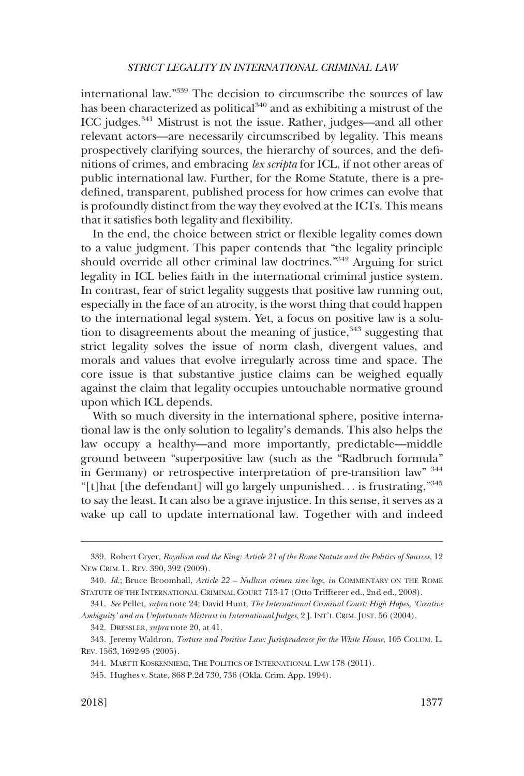international law."339 The decision to circumscribe the sources of law has been characterized as political $340$  and as exhibiting a mistrust of the ICC judges.341 Mistrust is not the issue. Rather, judges—and all other relevant actors—are necessarily circumscribed by legality. This means prospectively clarifying sources, the hierarchy of sources, and the definitions of crimes, and embracing *lex scripta* for ICL, if not other areas of public international law. Further, for the Rome Statute, there is a predefined, transparent, published process for how crimes can evolve that is profoundly distinct from the way they evolved at the ICTs. This means that it satisfies both legality and flexibility.

In the end, the choice between strict or flexible legality comes down to a value judgment. This paper contends that "the legality principle should override all other criminal law doctrines."342 Arguing for strict legality in ICL belies faith in the international criminal justice system. In contrast, fear of strict legality suggests that positive law running out, especially in the face of an atrocity, is the worst thing that could happen to the international legal system. Yet, a focus on positive law is a solution to disagreements about the meaning of justice, $343$  suggesting that strict legality solves the issue of norm clash, divergent values, and morals and values that evolve irregularly across time and space. The core issue is that substantive justice claims can be weighed equally against the claim that legality occupies untouchable normative ground upon which ICL depends.

With so much diversity in the international sphere, positive international law is the only solution to legality's demands. This also helps the law occupy a healthy—and more importantly, predictable—middle ground between "superpositive law (such as the "Radbruch formula" in Germany) or retrospective interpretation of pre-transition law" <sup>344</sup> "[t]hat [the defendant] will go largely unpunished. . . is frustrating,"<sup>345</sup> to say the least. It can also be a grave injustice. In this sense, it serves as a wake up call to update international law. Together with and indeed

<sup>339.</sup> Robert Cryer, *Royalism and the King: Article 21 of the Rome Statute and the Politics of Sources*, 12 NEW CRIM. L. REV. 390, 392 (2009).

<sup>340.</sup> *Id*.; Bruce Broomhall, *Article 22 – Nullum crimen sine lege*, *in* COMMENTARY ON THE ROME STATUTE OF THE INTERNATIONAL CRIMINAL COURT 713-17 (Otto Triffterer ed., 2nd ed., 2008).

<sup>341.</sup> *See* Pellet, *supra* note 24; David Hunt, *The International Criminal Court: High Hopes, 'Creative Ambiguity' and an Unfortunate Mistrust in International Judges*, 2 J. INT'L CRIM. JUST. 56 (2004).

<sup>342.</sup> DRESSLER, *supra* note 20, at 41.

<sup>343.</sup> Jeremy Waldron, *Torture and Positive Law: Jurisprudence for the White House*, 105 COLUM. L. REV. 1563, 1692-95 (2005).

<sup>344.</sup> MARTTI KOSKENNIEMI, THE POLITICS OF INTERNATIONAL LAW 178 (2011).

<sup>345.</sup> Hughes v. State, 868 P.2d 730, 736 (Okla. Crim. App. 1994).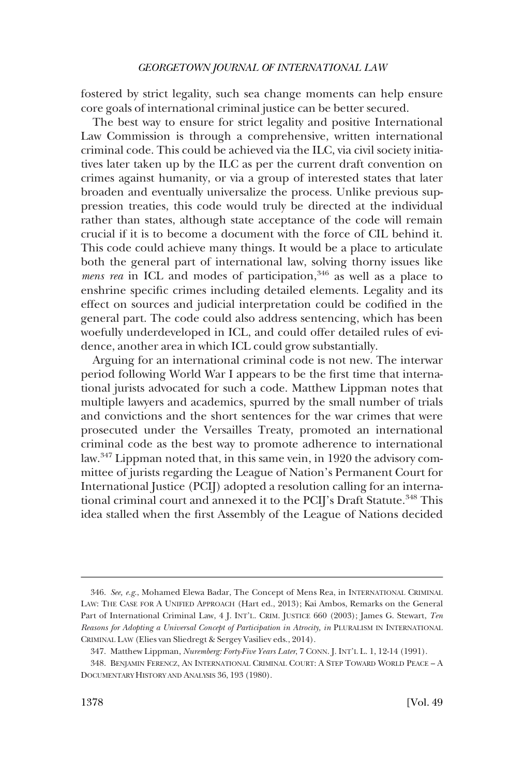fostered by strict legality, such sea change moments can help ensure core goals of international criminal justice can be better secured.

The best way to ensure for strict legality and positive International Law Commission is through a comprehensive, written international criminal code. This could be achieved via the ILC, via civil society initiatives later taken up by the ILC as per the current draft convention on crimes against humanity, or via a group of interested states that later broaden and eventually universalize the process. Unlike previous suppression treaties, this code would truly be directed at the individual rather than states, although state acceptance of the code will remain crucial if it is to become a document with the force of CIL behind it. This code could achieve many things. It would be a place to articulate both the general part of international law, solving thorny issues like *mens rea* in ICL and modes of participation,<sup>346</sup> as well as a place to enshrine specific crimes including detailed elements. Legality and its effect on sources and judicial interpretation could be codified in the general part. The code could also address sentencing, which has been woefully underdeveloped in ICL, and could offer detailed rules of evidence, another area in which ICL could grow substantially.

Arguing for an international criminal code is not new. The interwar period following World War I appears to be the first time that international jurists advocated for such a code. Matthew Lippman notes that multiple lawyers and academics, spurred by the small number of trials and convictions and the short sentences for the war crimes that were prosecuted under the Versailles Treaty, promoted an international criminal code as the best way to promote adherence to international law.347 Lippman noted that, in this same vein, in 1920 the advisory committee of jurists regarding the League of Nation's Permanent Court for International Justice (PCIJ) adopted a resolution calling for an international criminal court and annexed it to the PCIJ's Draft Statute.<sup>348</sup> This idea stalled when the first Assembly of the League of Nations decided

<sup>346.</sup> *See, e.g*., Mohamed Elewa Badar, The Concept of Mens Rea, in INTERNATIONAL CRIMINAL LAW: THE CASE FOR A UNIFIED APPROACH (Hart ed., 2013); Kai Ambos, Remarks on the General Part of International Criminal Law, 4 J. INT'L. CRIM. JUSTICE 660 (2003); James G. Stewart, *Ten Reasons for Adopting a Universal Concept of Participation in Atrocity, in* PLURALISM IN INTERNATIONAL CRIMINAL LAW (Elies van Sliedregt & Sergey Vasiliev eds., 2014).

<sup>347.</sup> Matthew Lippman, *Nuremberg: Forty-Five Years Later*, 7 CONN. J. INT'L L. 1, 12-14 (1991).

<sup>348.</sup> BENJAMIN FERENCZ, AN INTERNATIONAL CRIMINAL COURT: A STEP TOWARD WORLD PEACE – A DOCUMENTARY HISTORY AND ANALYSIS 36, 193 (1980).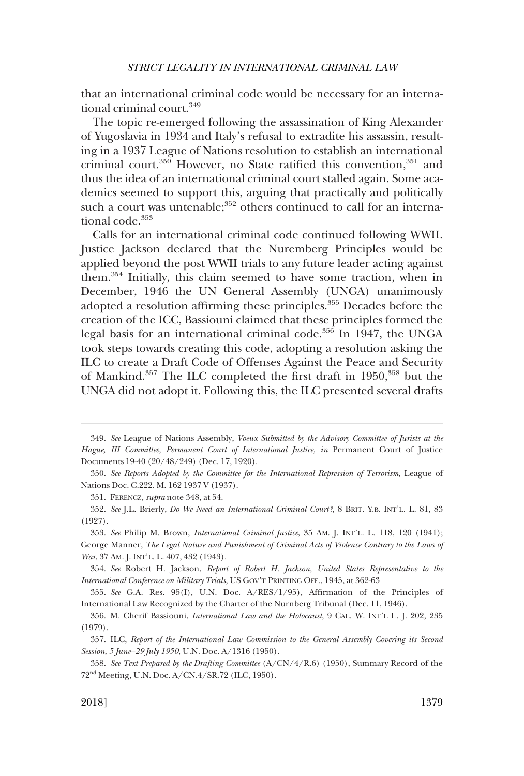that an international criminal code would be necessary for an international criminal court.349

The topic re-emerged following the assassination of King Alexander of Yugoslavia in 1934 and Italy's refusal to extradite his assassin, resulting in a 1937 League of Nations resolution to establish an international criminal court.<sup>350</sup> However, no State ratified this convention,<sup>351</sup> and thus the idea of an international criminal court stalled again. Some academics seemed to support this, arguing that practically and politically such a court was untenable;<sup>352</sup> others continued to call for an international code.<sup>353</sup>

Calls for an international criminal code continued following WWII. Justice Jackson declared that the Nuremberg Principles would be applied beyond the post WWII trials to any future leader acting against them.354 Initially, this claim seemed to have some traction, when in December, 1946 the UN General Assembly (UNGA) unanimously adopted a resolution affirming these principles.<sup>355</sup> Decades before the creation of the ICC, Bassiouni claimed that these principles formed the legal basis for an international criminal code.<sup>356</sup> In 1947, the UNGA took steps towards creating this code, adopting a resolution asking the ILC to create a Draft Code of Offenses Against the Peace and Security of Mankind.<sup>357</sup> The ILC completed the first draft in 1950,<sup>358</sup> but the UNGA did not adopt it. Following this, the ILC presented several drafts

<sup>349.</sup> *See* League of Nations Assembly, *Voeux Submitted by the Advisory Committee of Jurists at the Hague, III Committee, Permanent Court of International Justice, in* Permanent Court of Justice Documents 19-40 (20/48/249) (Dec. 17, 1920).

<sup>350.</sup> *See Reports Adopted by the Committee for the International Repression of Terrorism*, League of Nations Doc. C.222. M. 162 1937 V (1937).

<sup>351.</sup> FERENCZ, *supra* note 348, at 54.

<sup>352.</sup> *See* J.L. Brierly, *Do We Need an International Criminal Court?*, 8 BRIT. Y.B. INT'L. L. 81, 83 (1927).

<sup>353.</sup> *See* Philip M. Brown, *International Criminal Justice*, 35 AM. J. INT'L. L. 118, 120 (1941); George Manner, *The Legal Nature and Punishment of Criminal Acts of Violence Contrary to the Laws of War*, 37 AM. J. INT'L. L. 407, 432 (1943).

<sup>354.</sup> *See* Robert H. Jackson, *Report of Robert H. Jackson, United States Representative to the International Conference on Military Trials*, US GOV'T PRINTING OFF., 1945, at 362-63

<sup>355.</sup> *See* G.A. Res. 95(I), U.N. Doc. A/RES/1/95), Affirmation of the Principles of International Law Recognized by the Charter of the Nurnberg Tribunal (Dec. 11, 1946).

<sup>356.</sup> M. Cherif Bassiouni, *International Law and the Holocaust*, 9 CAL. W. INT'L L. J. 202, 235 (1979).

<sup>357.</sup> ILC, *Report of the International Law Commission to the General Assembly Covering its Second Session, 5 June–29 July 1950*, U.N. Doc. A/1316 (1950).

<sup>358.</sup> *See Text Prepared by the Drafting Committee* (A/CN/4/R.6) (1950), Summary Record of the 72nd Meeting, U.N. Doc. A/CN.4/SR.72 (ILC, 1950).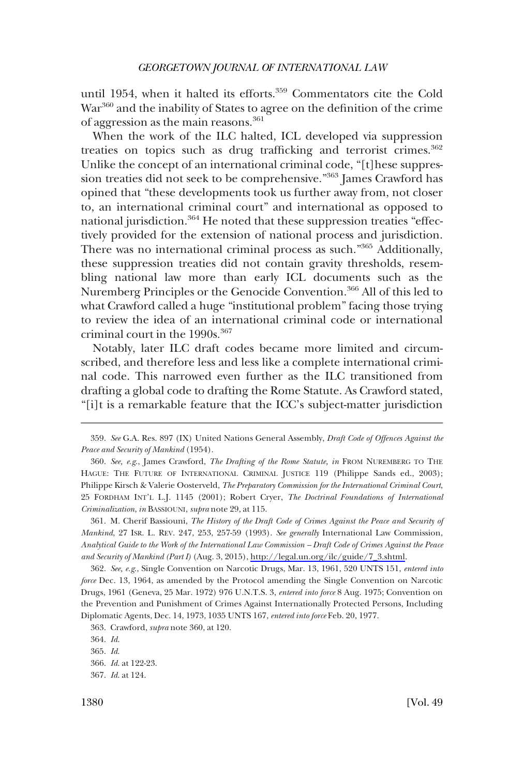until 1954, when it halted its efforts.<sup>359</sup> Commentators cite the Cold War<sup>360</sup> and the inability of States to agree on the definition of the crime of aggression as the main reasons.<sup>361</sup>

When the work of the ILC halted, ICL developed via suppression treaties on topics such as drug trafficking and terrorist crimes.<sup>362</sup> Unlike the concept of an international criminal code, "[t]hese suppression treaties did not seek to be comprehensive."363 James Crawford has opined that "these developments took us further away from, not closer to, an international criminal court" and international as opposed to national jurisdiction.<sup>364</sup> He noted that these suppression treaties "effectively provided for the extension of national process and jurisdiction. There was no international criminal process as such."365 Additionally, these suppression treaties did not contain gravity thresholds, resembling national law more than early ICL documents such as the Nuremberg Principles or the Genocide Convention.366 All of this led to what Crawford called a huge "institutional problem" facing those trying to review the idea of an international criminal code or international criminal court in the 1990s.<sup>367</sup>

Notably, later ILC draft codes became more limited and circumscribed, and therefore less and less like a complete international criminal code. This narrowed even further as the ILC transitioned from drafting a global code to drafting the Rome Statute. As Crawford stated, "[i]t is a remarkable feature that the ICC's subject-matter jurisdiction

<sup>359.</sup> *See* G.A. Res. 897 (IX) United Nations General Assembly, *Draft Code of Offences Against the Peace and Security of Mankind* (1954).

<sup>360.</sup> *See, e.g*., James Crawford, *The Drafting of the Rome Statute, in* FROM NUREMBERG TO THE HAGUE: THE FUTURE OF INTERNATIONAL CRIMINAL JUSTICE 119 (Philippe Sands ed., 2003); Philippe Kirsch & Valerie Oosterveld, *The Preparatory Commission for the International Criminal Court*, 25 FORDHAM INT'L L.J. 1145 (2001); Robert Cryer, *The Doctrinal Foundations of International Criminalization*, *in* BASSIOUNI, *supra* note 29, at 115.

M. Cherif Bassiouni, *The History of the Draft Code of Crimes Against the Peace and Security of*  361. *Mankind*, 27 ISR. L. REV. 247, 253, 257-59 (1993). *See generally* International Law Commission, *Analytical Guide to the Work of the International Law Commission – Draft Code of Crimes Against the Peace and Security of Mankind (Part I)* (Aug. 3, 2015), [http://legal.un.org/ilc/guide/7\\_3.shtml.](http://legal.un.org/ilc/guide/7_3.shtml)

<sup>362.</sup> *See, e.g*., Single Convention on Narcotic Drugs, Mar. 13, 1961, 520 UNTS 151, *entered into force* Dec. 13, 1964, as amended by the Protocol amending the Single Convention on Narcotic Drugs, 1961 (Geneva, 25 Mar. 1972) 976 U.N.T.S. 3, *entered into force* 8 Aug. 1975; Convention on the Prevention and Punishment of Crimes Against Internationally Protected Persons, Including Diplomatic Agents, Dec. 14, 1973, 1035 UNTS 167, *entered into force* Feb. 20, 1977.

<sup>363.</sup> Crawford, *supra* note 360, at 120.

<sup>364.</sup> *Id*.

<sup>365.</sup> *Id*.

<sup>366.</sup> *Id*. at 122-23.

<sup>367.</sup> *Id*. at 124.